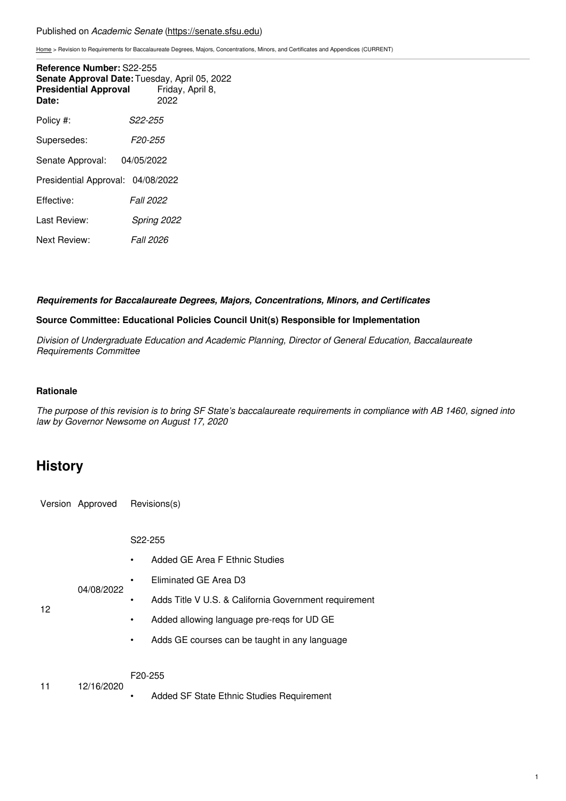#### Published on *Academic Senate* [\(https://senate.sfsu.edu](https://senate.sfsu.edu))

[Home](https://senate.sfsu.edu/) > Revision to Requirements for Baccalaureate Degrees, Majors, Concentrations, Minors, and Certificates and Appendices (CURRENT)

| Reference Number: S22-255<br><b>Presidential Approval</b><br>Date: | Senate Approval Date: Tuesday, April 05, 2022<br>Friday, April 8,<br>2022 |
|--------------------------------------------------------------------|---------------------------------------------------------------------------|
| Policy #:                                                          | S22-255                                                                   |
| Supersedes:                                                        | F20-255                                                                   |
| Senate Approval:                                                   | 04/05/2022                                                                |
| Presidential Approval: 04/08/2022                                  |                                                                           |
| Effective:                                                         | <i>Fall 2022</i>                                                          |
| Last Review:                                                       | Spring 2022                                                               |
| Next Review:                                                       | <i>Fall 2026</i>                                                          |

#### *Requirements for Baccalaureate Degrees, Majors, Concentrations, Minors, and Certificates*

#### **Source Committee: Educational Policies Council Unit(s) Responsible for Implementation**

*Division of Undergraduate Education and Academic Planning, Director of General Education, Baccalaureate Requirements Committee*

### **Rationale**

The purpose of this revision is to bring SF State's baccalaureate requirements in compliance with AB 1460, signed into *law by Governor Newsome on August 17, 2020*

### **History**

Version Approved Revisions(s)

S22-255

- Added GE Area F Ethnic Studies
- Eliminated GE Area D3
- 
- 04/08/2022 • Adds Title V U.S. & California Government requirement
- 12
- Added allowing language pre-reqs for UD GE
- Adds GE courses can be taught in any language

#### F20-255

11 12/16/2020

• Added SF State Ethnic Studies Requirement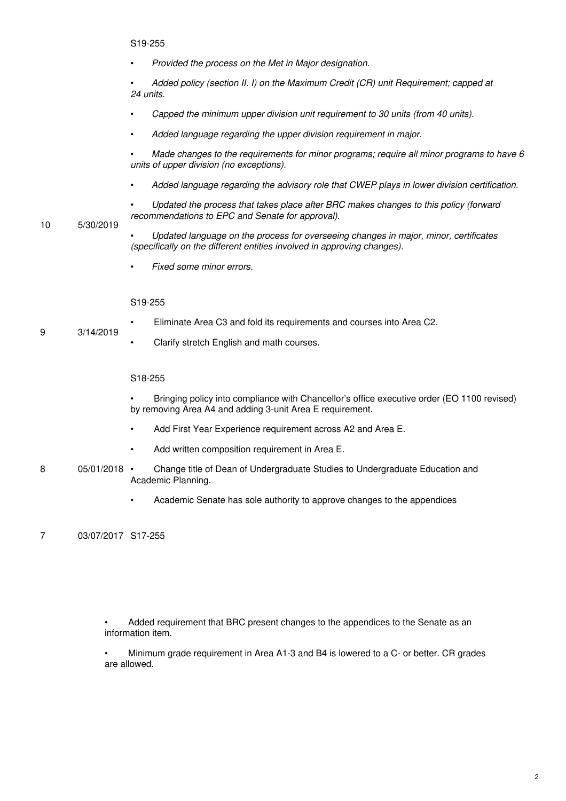• *Provided the process on the Met in Major designation.*

• *Added policy (section II. I) on the Maximum Credit (CR) unit Requirement; capped at 24 units.*

- *Capped the minimum upper division unit requirement to 30 units (from 40 units).*
- *Added language regarding the upper division requirement in major.*

• *Made changes to the requirements for minor programs; require all minor programs to have 6 units of upper division (no exceptions).*

- *Added language regarding the advisory role that CWEP plays in lower division certification.*
- *Updated the process that takes place after BRC makes changes to this policy (forward recommendations to EPC and Senate for approval).*

#### 10 5/30/2019

- *Updated language on the process for overseeing changes in major, minor, certificates (specifically on the different entities involved in approving changes).*
- *Fixed some minor errors.*

#### S19-255

- Eliminate Area C3 and fold its requirements and courses into Area C2.
- 9 3/14/2019
	- Clarify stretch English and math courses.

#### S18-255

• Bringing policy into compliance with Chancellor's office executive order (EO 1100 revised) by removing Area A4 and adding 3-unit Area E requirement.

- Add First Year Experience requirement across A2 and Area E.
- Add written composition requirement in Area E.
- 8 05/01/2018 · • Change title of Dean of Undergraduate Studies to Undergraduate Education and Academic Planning.
	- Academic Senate has sole authority to approve changes to the appendices

7 03/07/2017 S17-255

• Added requirement that BRC present changes to the appendices to the Senate as an information item.

• Minimum grade requirement in Area A1-3 and B4 is lowered to a C- or better. CR grades are allowed.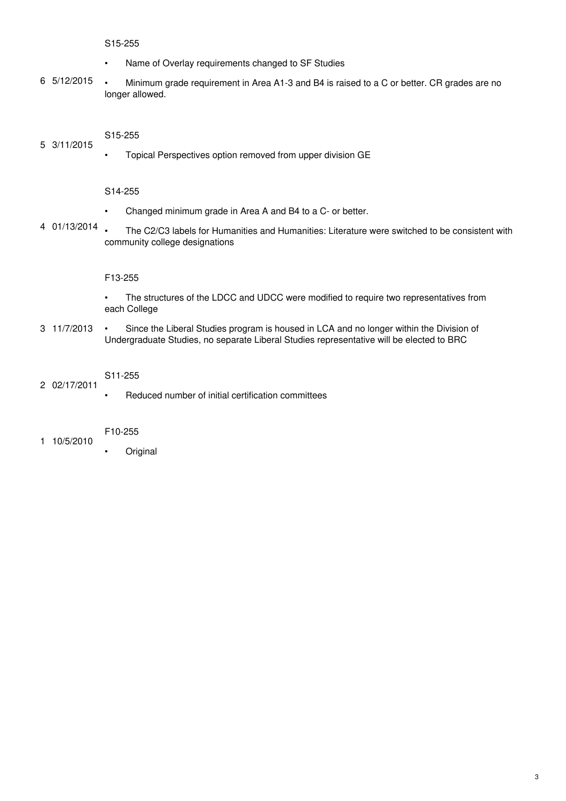#### S15-255

- Name of Overlay requirements changed to SF Studies
- 6 5/12/2015 • Minimum grade requirement in Area A1-3 and B4 is raised to a C or better. CR grades are no longer allowed.

#### 5 3/11/2015 S15-255

• Topical Perspectives option removed from upper division GE

#### S14-255

- Changed minimum grade in Area A and B4 to a C- or better.
- 4 01/13/2014 • The C2/C3 labels for Humanities and Humanities: Literature were switched to be consistent with community college designations

#### F13-255

- The structures of the LDCC and UDCC were modified to require two representatives from each College
- 3 11/7/2013 • Since the Liberal Studies program is housed in LCA and no longer within the Division of Undergraduate Studies, no separate Liberal Studies representative will be elected to BRC

### S11-255

• Reduced number of initial certification committees

#### F10-255

1 10/5/2010

2 02/17/2011

**Original**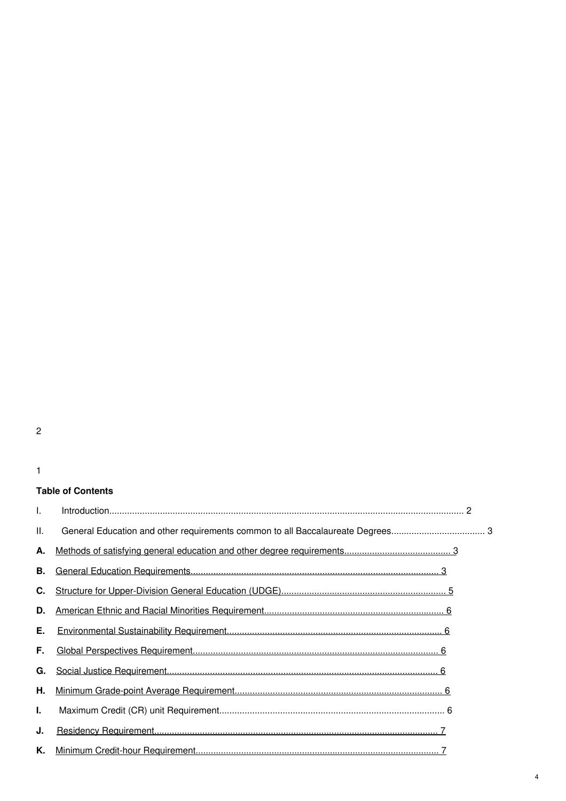### 1

### **Table of Contents**

| H. |  |
|----|--|
| А. |  |
| В. |  |
| C. |  |
| D. |  |
| Е. |  |
| F. |  |
| G. |  |
| Η. |  |
| L. |  |
| J. |  |
| Κ. |  |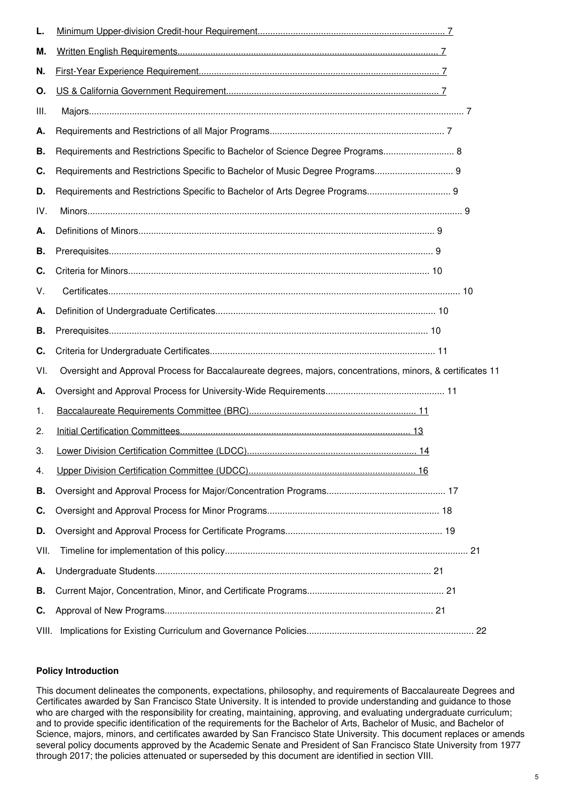| L.    |                                                                                                             |  |
|-------|-------------------------------------------------------------------------------------------------------------|--|
| м.    |                                                                                                             |  |
| N.    |                                                                                                             |  |
| О.    |                                                                                                             |  |
| III.  |                                                                                                             |  |
| Α.    |                                                                                                             |  |
| В.    | Requirements and Restrictions Specific to Bachelor of Science Degree Programs 8                             |  |
| C.    | Requirements and Restrictions Specific to Bachelor of Music Degree Programs 9                               |  |
| D.    | Requirements and Restrictions Specific to Bachelor of Arts Degree Programs 9                                |  |
| IV.   |                                                                                                             |  |
| Α.    |                                                                                                             |  |
| В.    |                                                                                                             |  |
| C.    |                                                                                                             |  |
| V.    |                                                                                                             |  |
| Α.    |                                                                                                             |  |
| В.    |                                                                                                             |  |
| C.    |                                                                                                             |  |
| VI.   | Oversight and Approval Process for Baccalaureate degrees, majors, concentrations, minors, & certificates 11 |  |
| Α.    |                                                                                                             |  |
| 1.    |                                                                                                             |  |
| 2.    |                                                                                                             |  |
| 3.    |                                                                                                             |  |
| 4.    |                                                                                                             |  |
| В.    |                                                                                                             |  |
| C.    |                                                                                                             |  |
| D.    |                                                                                                             |  |
| VII.  |                                                                                                             |  |
| Α.    |                                                                                                             |  |
| В.    |                                                                                                             |  |
| C.    |                                                                                                             |  |
| VIII. |                                                                                                             |  |

### **Policy Introduction**

This document delineates the components, expectations, philosophy, and requirements of Baccalaureate Degrees and Certificates awarded by San Francisco State University. It is intended to provide understanding and guidance to those who are charged with the responsibility for creating, maintaining, approving, and evaluating undergraduate curriculum; and to provide specific identification of the requirements for the Bachelor of Arts, Bachelor of Music, and Bachelor of Science, majors, minors, and certificates awarded by San Francisco State University. This document replaces or amends several policy documents approved by the Academic Senate and President of San Francisco State University from 1977 through 2017; the policies attenuated or superseded by this document are identified in section VIII.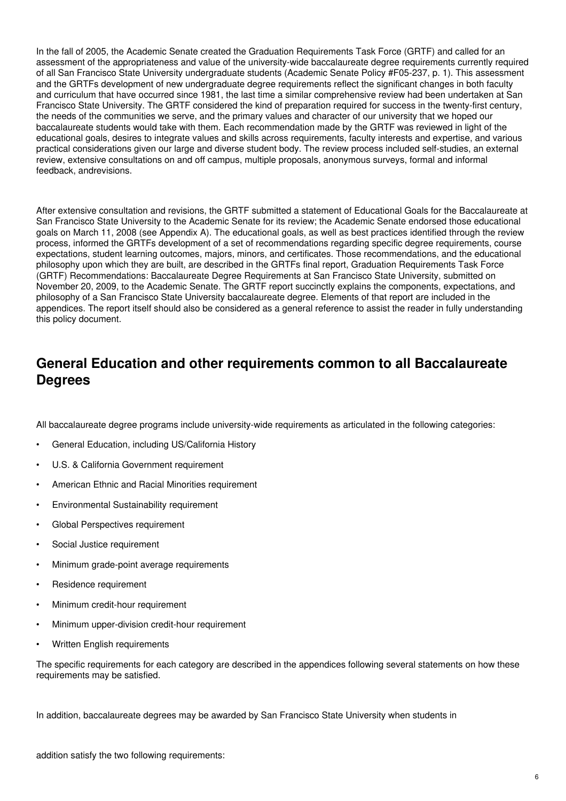In the fall of 2005, the Academic Senate created the Graduation Requirements Task Force (GRTF) and called for an assessment of the appropriateness and value of the university-wide baccalaureate degree requirements currently required of all San Francisco State University undergraduate students (Academic Senate Policy #F05-237, p. 1). This assessment and the GRTFs development of new undergraduate degree requirements reflect the significant changes in both faculty and curriculum that have occurred since 1981, the last time a similar comprehensive review had been undertaken at San Francisco State University. The GRTF considered the kind of preparation required for success in the twenty-first century, the needs of the communities we serve, and the primary values and character of our university that we hoped our baccalaureate students would take with them. Each recommendation made by the GRTF was reviewed in light of the educational goals, desires to integrate values and skills across requirements, faculty interests and expertise, and various practical considerations given our large and diverse student body. The review process included self-studies, an external review, extensive consultations on and off campus, multiple proposals, anonymous surveys, formal and informal feedback, andrevisions.

After extensive consultation and revisions, the GRTF submitted a statement of Educational Goals for the Baccalaureate at San Francisco State University to the Academic Senate for its review; the Academic Senate endorsed those educational goals on March 11, 2008 (see Appendix A). The educational goals, as well as best practices identified through the review process, informed the GRTFs development of a set of recommendations regarding specific degree requirements, course expectations, student learning outcomes, majors, minors, and certificates. Those recommendations, and the educational philosophy upon which they are built, are described in the GRTFs final report, Graduation Requirements Task Force (GRTF) Recommendations: Baccalaureate Degree Requirements at San Francisco State University, submitted on November 20, 2009, to the Academic Senate. The GRTF report succinctly explains the components, expectations, and philosophy of a San Francisco State University baccalaureate degree. Elements of that report are included in the appendices. The report itself should also be considered as a general reference to assist the reader in fully understanding this policy document.

## **General Education and other requirements common to all Baccalaureate Degrees**

All baccalaureate degree programs include university-wide requirements as articulated in the following categories:

- General Education, including US/California History
- U.S. & California Government requirement
- American Ethnic and Racial Minorities requirement
- Environmental Sustainability requirement
- Global Perspectives requirement
- Social Justice requirement
- Minimum grade-point average requirements
- Residence requirement
- Minimum credit-hour requirement
- Minimum upper-division credit-hour requirement
- Written English requirements

The specific requirements for each category are described in the appendices following several statements on how these requirements may be satisfied.

In addition, baccalaureate degrees may be awarded by San Francisco State University when students in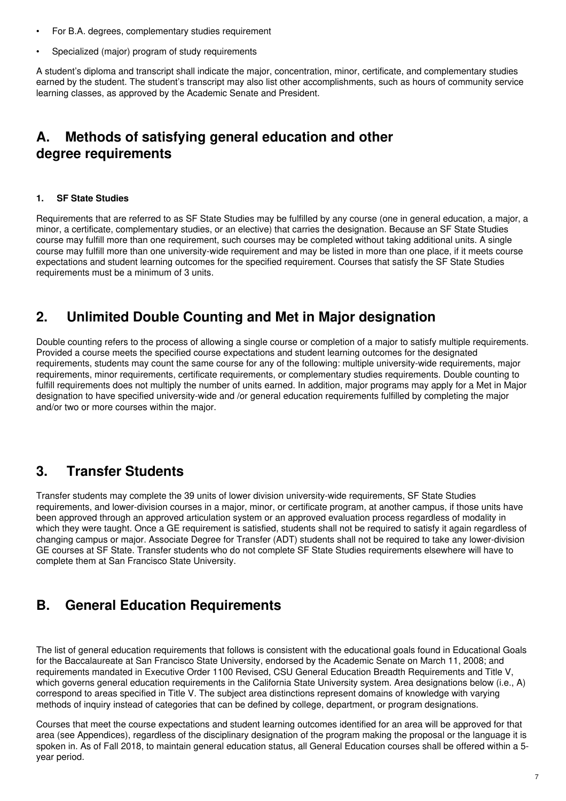- For B.A. degrees, complementary studies requirement
- Specialized (major) program of study requirements

A student's diploma and transcript shall indicate the major, concentration, minor, certificate, and complementary studies earned by the student. The student's transcript may also list other accomplishments, such as hours of community service learning classes, as approved by the Academic Senate and President.

# **A. Methods of satisfying general education and other degree requirements**

### **1. SF State Studies**

Requirements that are referred to as SF State Studies may be fulfilled by any course (one in general education, a major, a minor, a certificate, complementary studies, or an elective) that carries the designation. Because an SF State Studies course may fulfill more than one requirement, such courses may be completed without taking additional units. A single course may fulfill more than one university-wide requirement and may be listed in more than one place, if it meets course expectations and student learning outcomes for the specified requirement. Courses that satisfy the SF State Studies requirements must be a minimum of 3 units.

## **2. Unlimited Double Counting and Met in Major designation**

Double counting refers to the process of allowing a single course or completion of a major to satisfy multiple requirements. Provided a course meets the specified course expectations and student learning outcomes for the designated requirements, students may count the same course for any of the following: multiple university-wide requirements, major requirements, minor requirements, certificate requirements, or complementary studies requirements. Double counting to fulfill requirements does not multiply the number of units earned. In addition, major programs may apply for a Met in Major designation to have specified university-wide and /or general education requirements fulfilled by completing the major and/or two or more courses within the major.

# **3. Transfer Students**

Transfer students may complete the 39 units of lower division university-wide requirements, SF State Studies requirements, and lower-division courses in a major, minor, or certificate program, at another campus, if those units have been approved through an approved articulation system or an approved evaluation process regardless of modality in which they were taught. Once a GE requirement is satisfied, students shall not be required to satisfy it again regardless of changing campus or major. Associate Degree for Transfer (ADT) students shall not be required to take any lower-division GE courses at SF State. Transfer students who do not complete SF State Studies requirements elsewhere will have to complete them at San Francisco State University.

# **B. General Education Requirements**

The list of general education requirements that follows is consistent with the educational goals found in Educational Goals for the Baccalaureate at San Francisco State University, endorsed by the Academic Senate on March 11, 2008; and requirements mandated in Executive Order 1100 Revised, CSU General Education Breadth Requirements and Title V, which governs general education requirements in the California State University system. Area designations below (i.e., A) correspond to areas specified in Title V. The subject area distinctions represent domains of knowledge with varying methods of inquiry instead of categories that can be defined by college, department, or program designations.

Courses that meet the course expectations and student learning outcomes identified for an area will be approved for that area (see Appendices), regardless of the disciplinary designation of the program making the proposal or the language it is spoken in. As of Fall 2018, to maintain general education status, all General Education courses shall be offered within a 5 year period.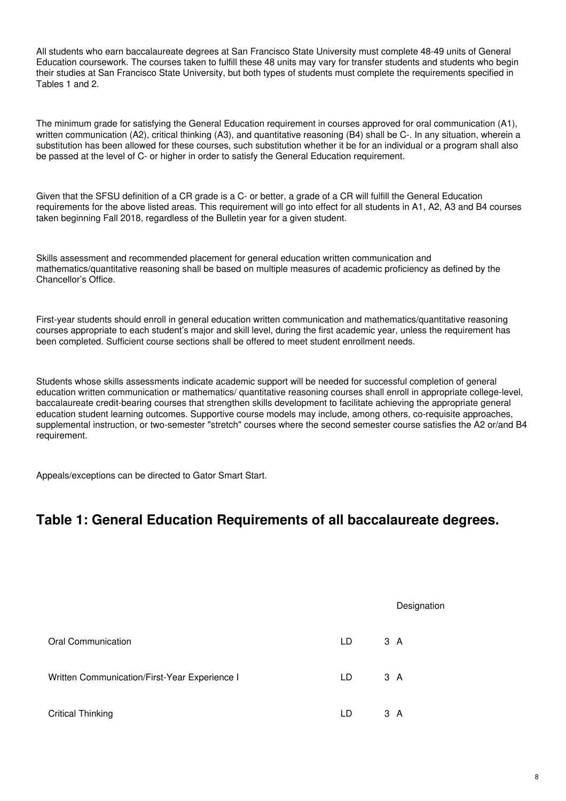All students who earn baccalaureate degrees at San Francisco State University must complete 48-49 units of General Education coursework. The courses taken to fulfill these 48 units may vary for transfer students and students who begin their studies at San Francisco State University, but both types of students must complete the requirements specified in Tables 1 and 2.

The minimum grade for satisfying the General Education requirement in courses approved for oral communication (A1), written communication (A2), critical thinking (A3), and quantitative reasoning (B4) shall be C-. In any situation, wherein a substitution has been allowed for these courses, such substitution whether it be for an individual or a program shall also be passed at the level of C- or higher in order to satisfy the General Education requirement.

Given that the SFSU definition of a CR grade is a C- or better, a grade of a CR will fulfill the General Education requirements for the above listed areas. This requirement will go into effect for all students in A1, A2, A3 and B4 courses taken beginning Fall 2018, regardless of the Bulletin year for a given student.

Skills assessment and recommended placement for general education written communication and mathematics/quantitative reasoning shall be based on multiple measures of academic proficiency as defined by the Chancellor's Office.

First-year students should enroll in general education written communication and mathematics/quantitative reasoning courses appropriate to each student's major and skill level, during the first academic year, unless the requirement has been completed. Sufficient course sections shall be offered to meet student enrollment needs.

Students whose skills assessments indicate academic support will be needed for successful completion of general education written communication or mathematics/ quantitative reasoning courses shall enroll in appropriate college-level, baccalaureate credit-bearing courses that strengthen skills development to facilitate achieving the appropriate general education student learning outcomes. Supportive course models may include, among others, co-requisite approaches, supplemental instruction, or two-semester "stretch" courses where the second semester course satisfies the A2 or/and B4 requirement.

Appeals/exceptions can be directed to Gator Smart Start.

# **Table 1: General Education Requirements of all baccalaureate degrees.**

|                                               |    | Designation |
|-----------------------------------------------|----|-------------|
| Oral Communication                            | LD | 3A          |
| Written Communication/First-Year Experience I | LD | 3A          |
| <b>Critical Thinking</b>                      | LD | 3 A         |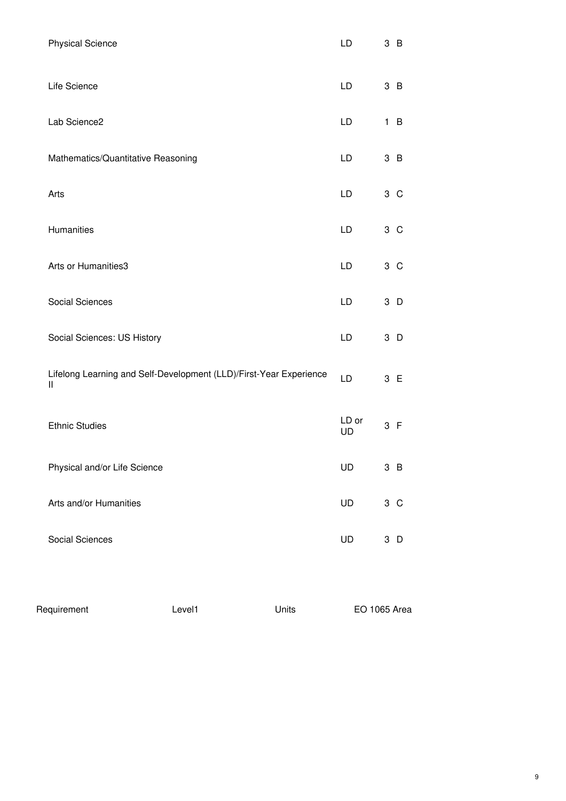| <b>Physical Science</b>                                                 |        |       | LD                 | 3B             |
|-------------------------------------------------------------------------|--------|-------|--------------------|----------------|
| Life Science                                                            |        |       | <b>LD</b>          | 3B             |
| Lab Science2                                                            |        |       | LD                 | 1 B            |
| Mathematics/Quantitative Reasoning                                      |        |       | LD                 | 3B             |
| Arts                                                                    |        |       | <b>LD</b>          | 3 <sup>C</sup> |
| Humanities                                                              |        |       | LD                 | 3 <sup>C</sup> |
| Arts or Humanities3                                                     |        |       | LD                 | 3 <sup>C</sup> |
| Social Sciences                                                         |        |       | LD                 | 3 D            |
| Social Sciences: US History                                             |        |       | LD                 | 3 D            |
| Lifelong Learning and Self-Development (LLD)/First-Year Experience<br>Ш |        |       | LD                 | 3 E            |
| <b>Ethnic Studies</b>                                                   |        |       | LD or<br><b>UD</b> | 3 F            |
| Physical and/or Life Science                                            |        |       | UD                 | 3 <sub>B</sub> |
| Arts and/or Humanities                                                  |        |       | UD                 | 3 C            |
| <b>Social Sciences</b>                                                  |        |       | UD                 | $3$ D          |
| Requirement                                                             | Level1 | Units |                    | EO 1065 Area   |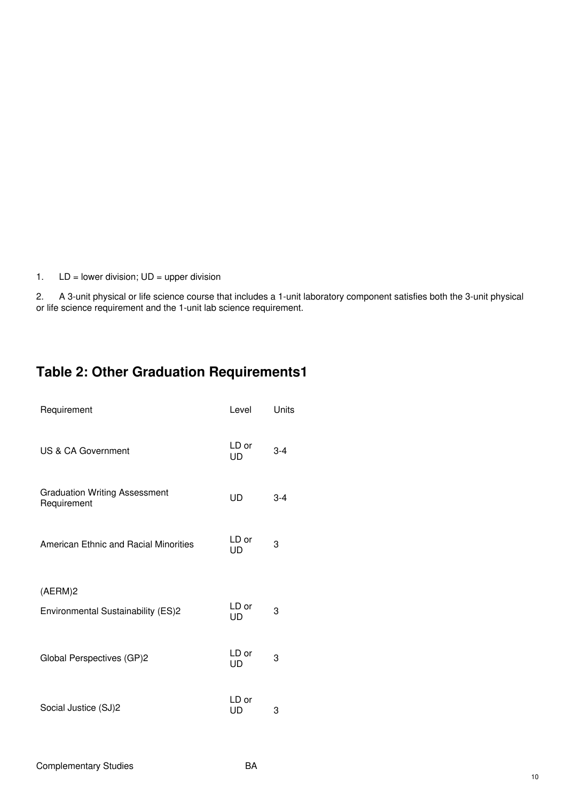1.  $LD = lower division; UD = upper division$ 

2. A 3-unit physical or life science course that includes a 1-unit laboratory component satisfies both the 3-unit physical or life science requirement and the 1-unit lab science requirement.

# **Table 2: Other Graduation Requirements1**

| Requirement                                         | Level       | Units   |
|-----------------------------------------------------|-------------|---------|
| <b>US &amp; CA Government</b>                       | LD or<br>UD | $3 - 4$ |
| <b>Graduation Writing Assessment</b><br>Requirement | UD          | $3-4$   |
| American Ethnic and Racial Minorities               | LD or<br>UD | 3       |
| (AERM)2                                             |             |         |
| Environmental Sustainability (ES)2                  | LD or<br>UD | 3       |
| Global Perspectives (GP)2                           | LD or<br>UD | 3       |
| Social Justice (SJ)2                                | LD or<br>UD | 3       |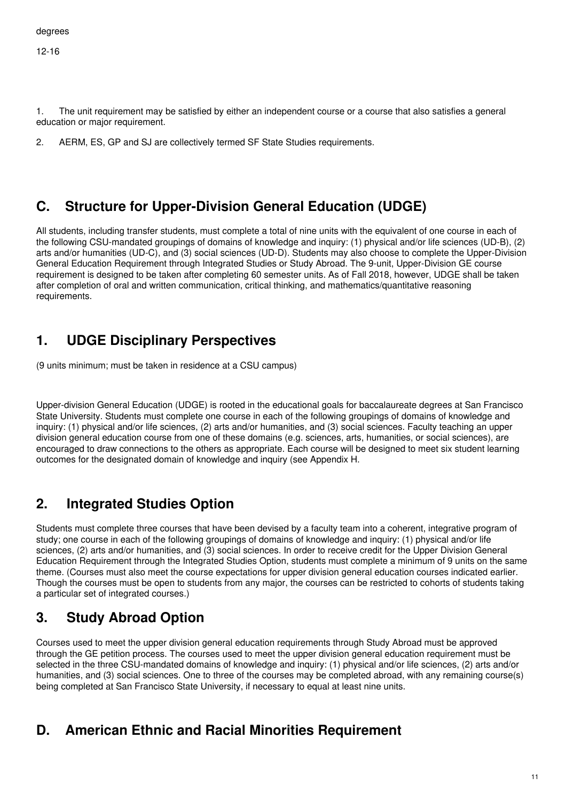12-16

1. The unit requirement may be satisfied by either an independent course or a course that also satisfies a general education or major requirement.

2. AERM, ES, GP and SJ are collectively termed SF State Studies requirements.

# **C. Structure for Upper-Division General Education (UDGE)**

All students, including transfer students, must complete a total of nine units with the equivalent of one course in each of the following CSU-mandated groupings of domains of knowledge and inquiry: (1) physical and/or life sciences (UD-B), (2) arts and/or humanities (UD-C), and (3) social sciences (UD-D). Students may also choose to complete the Upper-Division General Education Requirement through Integrated Studies or Study Abroad. The 9-unit, Upper-Division GE course requirement is designed to be taken after completing 60 semester units. As of Fall 2018, however, UDGE shall be taken after completion of oral and written communication, critical thinking, and mathematics/quantitative reasoning requirements.

# **1. UDGE Disciplinary Perspectives**

(9 units minimum; must be taken in residence at a CSU campus)

Upper-division General Education (UDGE) is rooted in the educational goals for baccalaureate degrees at San Francisco State University. Students must complete one course in each of the following groupings of domains of knowledge and inquiry: (1) physical and/or life sciences, (2) arts and/or humanities, and (3) social sciences. Faculty teaching an upper division general education course from one of these domains (e.g. sciences, arts, humanities, or social sciences), are encouraged to draw connections to the others as appropriate. Each course will be designed to meet six student learning outcomes for the designated domain of knowledge and inquiry (see Appendix H.

# **2. Integrated Studies Option**

Students must complete three courses that have been devised by a faculty team into a coherent, integrative program of study; one course in each of the following groupings of domains of knowledge and inquiry: (1) physical and/or life sciences, (2) arts and/or humanities, and (3) social sciences. In order to receive credit for the Upper Division General Education Requirement through the Integrated Studies Option, students must complete a minimum of 9 units on the same theme. (Courses must also meet the course expectations for upper division general education courses indicated earlier. Though the courses must be open to students from any major, the courses can be restricted to cohorts of students taking a particular set of integrated courses.)

# **3. Study Abroad Option**

Courses used to meet the upper division general education requirements through Study Abroad must be approved through the GE petition process. The courses used to meet the upper division general education requirement must be selected in the three CSU-mandated domains of knowledge and inquiry: (1) physical and/or life sciences, (2) arts and/or humanities, and (3) social sciences. One to three of the courses may be completed abroad, with any remaining course(s) being completed at San Francisco State University, if necessary to equal at least nine units.

# **D. American Ethnic and Racial Minorities Requirement**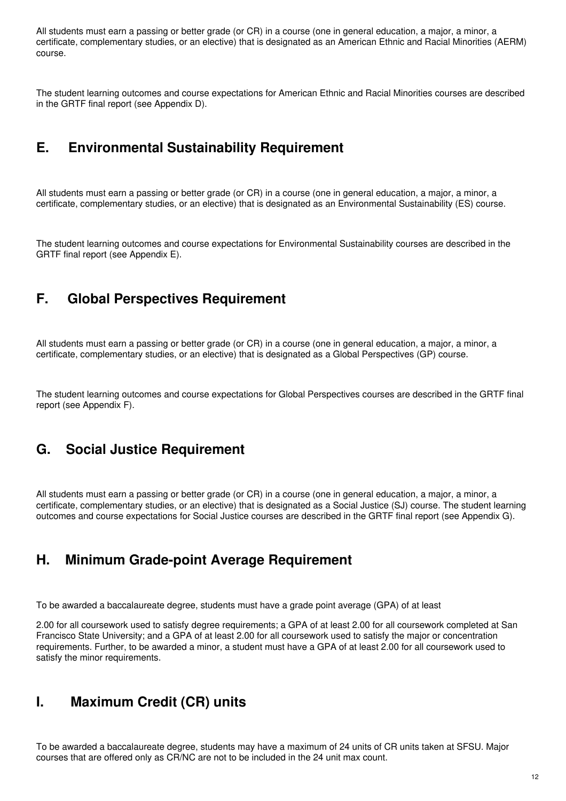All students must earn a passing or better grade (or CR) in a course (one in general education, a major, a minor, a certificate, complementary studies, or an elective) that is designated as an American Ethnic and Racial Minorities (AERM) course.

The student learning outcomes and course expectations for American Ethnic and Racial Minorities courses are described in the GRTF final report (see Appendix D).

### **E. Environmental Sustainability Requirement**

All students must earn a passing or better grade (or CR) in a course (one in general education, a major, a minor, a certificate, complementary studies, or an elective) that is designated as an Environmental Sustainability (ES) course.

The student learning outcomes and course expectations for Environmental Sustainability courses are described in the GRTF final report (see Appendix E).

# **F. Global Perspectives Requirement**

All students must earn a passing or better grade (or CR) in a course (one in general education, a major, a minor, a certificate, complementary studies, or an elective) that is designated as a Global Perspectives (GP) course.

The student learning outcomes and course expectations for Global Perspectives courses are described in the GRTF final report (see Appendix F).

### **G. Social Justice Requirement**

All students must earn a passing or better grade (or CR) in a course (one in general education, a major, a minor, a certificate, complementary studies, or an elective) that is designated as a Social Justice (SJ) course. The student learning outcomes and course expectations for Social Justice courses are described in the GRTF final report (see Appendix G).

### **H. Minimum Grade-point Average Requirement**

To be awarded a baccalaureate degree, students must have a grade point average (GPA) of at least

2.00 for all coursework used to satisfy degree requirements; a GPA of at least 2.00 for all coursework completed at San Francisco State University; and a GPA of at least 2.00 for all coursework used to satisfy the major or concentration requirements. Further, to be awarded a minor, a student must have a GPA of at least 2.00 for all coursework used to satisfy the minor requirements.

### **I. Maximum Credit (CR) units**

To be awarded a baccalaureate degree, students may have a maximum of 24 units of CR units taken at SFSU. Major courses that are offered only as CR/NC are not to be included in the 24 unit max count.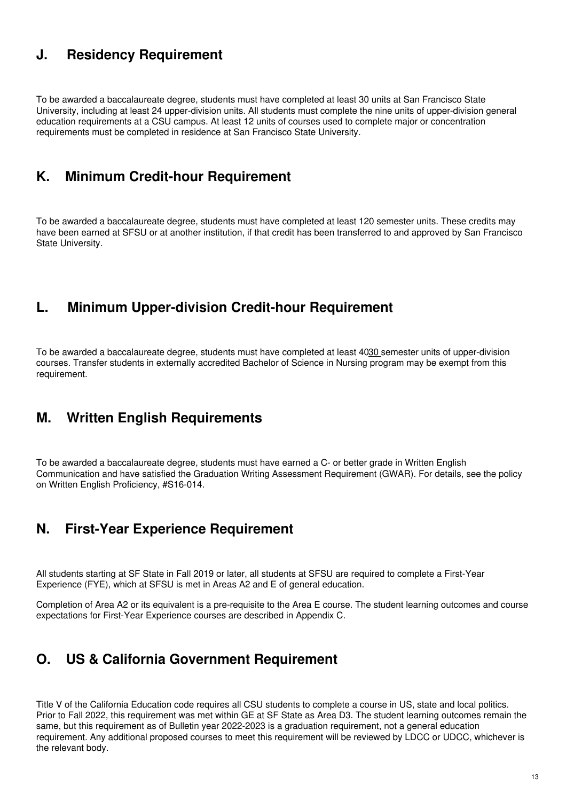## **J. Residency Requirement**

To be awarded a baccalaureate degree, students must have completed at least 30 units at San Francisco State University, including at least 24 upper-division units. All students must complete the nine units of upper-division general education requirements at a CSU campus. At least 12 units of courses used to complete major or concentration requirements must be completed in residence at San Francisco State University.

### **K. Minimum Credit-hour Requirement**

To be awarded a baccalaureate degree, students must have completed at least 120 semester units. These credits may have been earned at SFSU or at another institution, if that credit has been transferred to and approved by San Francisco State University.

## **L. Minimum Upper-division Credit-hour Requirement**

To be awarded a baccalaureate degree, students must have completed at least 4030 semester units of upper-division courses. Transfer students in externally accredited Bachelor of Science in Nursing program may be exempt from this requirement.

### **M. Written English Requirements**

To be awarded a baccalaureate degree, students must have earned a C- or better grade in Written English Communication and have satisfied the Graduation Writing Assessment Requirement (GWAR). For details, see the policy on Written English Proficiency, #S16-014.

### **N. First-Year Experience Requirement**

All students starting at SF State in Fall 2019 or later, all students at SFSU are required to complete a First-Year Experience (FYE), which at SFSU is met in Areas A2 and E of general education.

Completion of Area A2 or its equivalent is a pre-requisite to the Area E course. The student learning outcomes and course expectations for First-Year Experience courses are described in Appendix C.

# **O. US & California Government Requirement**

Title V of the California Education code requires all CSU students to complete a course in US, state and local politics. Prior to Fall 2022, this requirement was met within GE at SF State as Area D3. The student learning outcomes remain the same, but this requirement as of Bulletin year 2022-2023 is a graduation requirement, not a general education requirement. Any additional proposed courses to meet this requirement will be reviewed by LDCC or UDCC, whichever is the relevant body.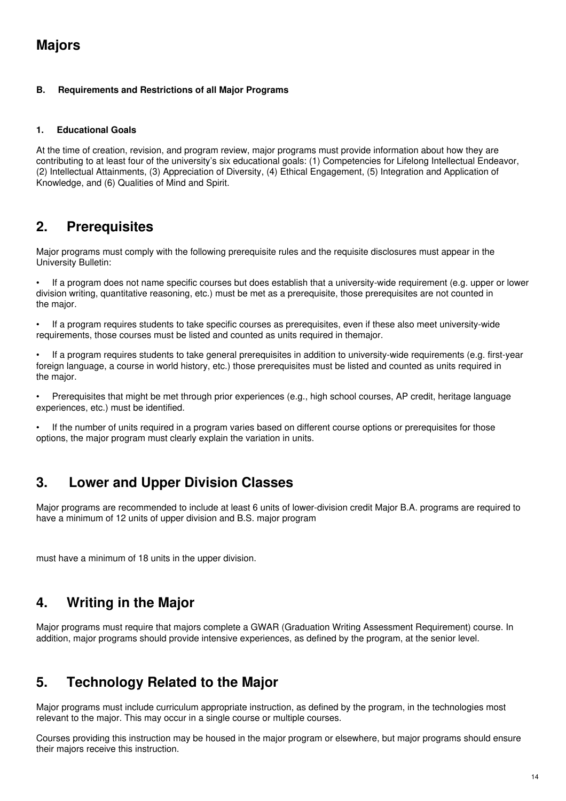# **Majors**

### **B. Requirements and Restrictions of all Major Programs**

### **1. Educational Goals**

At the time of creation, revision, and program review, major programs must provide information about how they are contributing to at least four of the university's six educational goals: (1) Competencies for Lifelong Intellectual Endeavor, (2) Intellectual Attainments, (3) Appreciation of Diversity, (4) Ethical Engagement, (5) Integration and Application of Knowledge, and (6) Qualities of Mind and Spirit.

# **2. Prerequisites**

Major programs must comply with the following prerequisite rules and the requisite disclosures must appear in the University Bulletin:

• If a program does not name specific courses but does establish that a university-wide requirement (e.g. upper or lower division writing, quantitative reasoning, etc.) must be met as a prerequisite, those prerequisites are not counted in the major.

If a program requires students to take specific courses as prerequisites, even if these also meet university-wide requirements, those courses must be listed and counted as units required in themajor.

If a program requires students to take general prerequisites in addition to university-wide requirements (e.g. first-year foreign language, a course in world history, etc.) those prerequisites must be listed and counted as units required in the major.

• Prerequisites that might be met through prior experiences (e.g., high school courses, AP credit, heritage language experiences, etc.) must be identified.

If the number of units required in a program varies based on different course options or prerequisites for those options, the major program must clearly explain the variation in units.

# **3. Lower and Upper Division Classes**

Major programs are recommended to include at least 6 units of lower-division credit Major B.A. programs are required to have a minimum of 12 units of upper division and B.S. major program

must have a minimum of 18 units in the upper division.

# **4. Writing in the Major**

Major programs must require that majors complete a GWAR (Graduation Writing Assessment Requirement) course. In addition, major programs should provide intensive experiences, as defined by the program, at the senior level.

# **5. Technology Related to the Major**

Major programs must include curriculum appropriate instruction, as defined by the program, in the technologies most relevant to the major. This may occur in a single course or multiple courses.

Courses providing this instruction may be housed in the major program or elsewhere, but major programs should ensure their majors receive this instruction.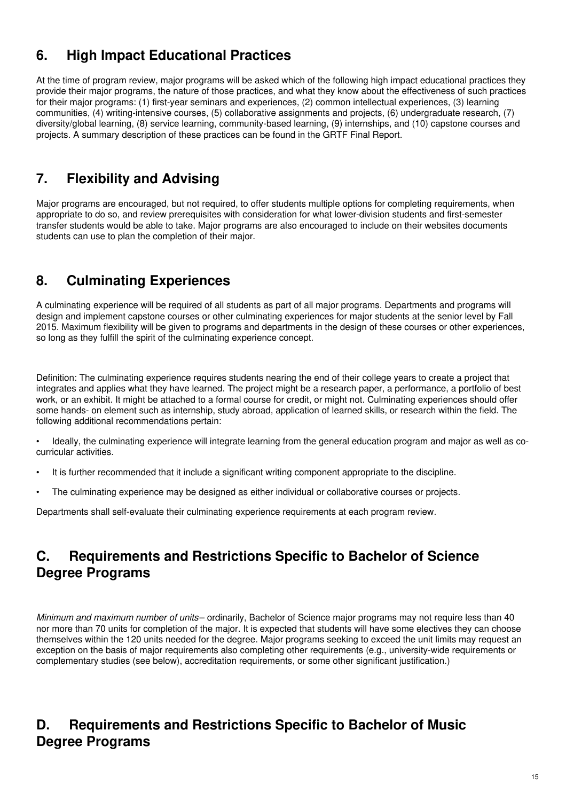# **6. High Impact Educational Practices**

At the time of program review, major programs will be asked which of the following high impact educational practices they provide their major programs, the nature of those practices, and what they know about the effectiveness of such practices for their major programs: (1) first-year seminars and experiences, (2) common intellectual experiences, (3) learning communities, (4) writing-intensive courses, (5) collaborative assignments and projects, (6) undergraduate research, (7) diversity/global learning, (8) service learning, community-based learning, (9) internships, and (10) capstone courses and projects. A summary description of these practices can be found in the GRTF Final Report.

# **7. Flexibility and Advising**

Major programs are encouraged, but not required, to offer students multiple options for completing requirements, when appropriate to do so, and review prerequisites with consideration for what lower-division students and first-semester transfer students would be able to take. Major programs are also encouraged to include on their websites documents students can use to plan the completion of their major.

# **8. Culminating Experiences**

A culminating experience will be required of all students as part of all major programs. Departments and programs will design and implement capstone courses or other culminating experiences for major students at the senior level by Fall 2015. Maximum flexibility will be given to programs and departments in the design of these courses or other experiences, so long as they fulfill the spirit of the culminating experience concept.

Definition: The culminating experience requires students nearing the end of their college years to create a project that integrates and applies what they have learned. The project might be a research paper, a performance, a portfolio of best work, or an exhibit. It might be attached to a formal course for credit, or might not. Culminating experiences should offer some hands- on element such as internship, study abroad, application of learned skills, or research within the field. The following additional recommendations pertain:

- Ideally, the culminating experience will integrate learning from the general education program and major as well as cocurricular activities.
- It is further recommended that it include a significant writing component appropriate to the discipline.
- The culminating experience may be designed as either individual or collaborative courses or projects.

Departments shall self-evaluate their culminating experience requirements at each program review.

# **C. Requirements and Restrictions Specific to Bachelor of Science Degree Programs**

*Minimum and maximum number of units*– ordinarily, Bachelor of Science major programs may not require less than 40 nor more than 70 units for completion of the major. It is expected that students will have some electives they can choose themselves within the 120 units needed for the degree. Major programs seeking to exceed the unit limits may request an exception on the basis of major requirements also completing other requirements (e.g., university-wide requirements or complementary studies (see below), accreditation requirements, or some other significant justification.)

# **D. Requirements and Restrictions Specific to Bachelor of Music Degree Programs**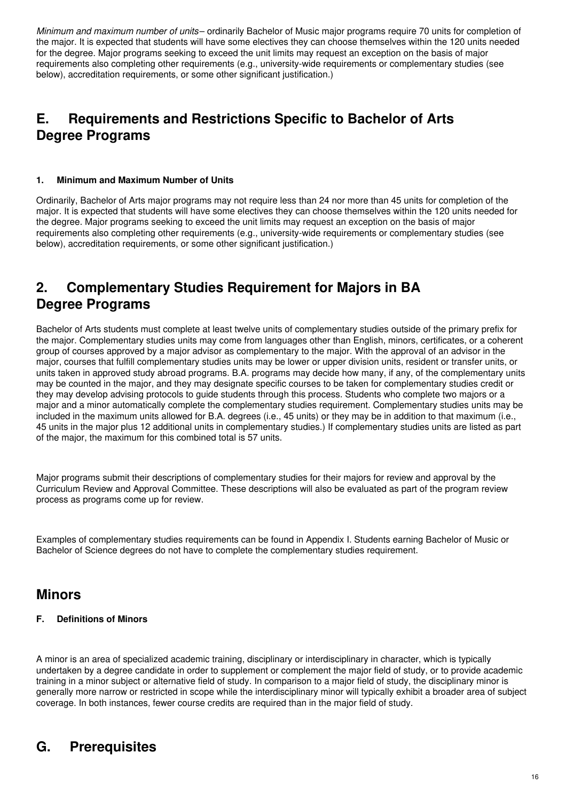*Minimum and maximum number of units*– ordinarily Bachelor of Music major programs require 70 units for completion of the major. It is expected that students will have some electives they can choose themselves within the 120 units needed for the degree. Major programs seeking to exceed the unit limits may request an exception on the basis of major requirements also completing other requirements (e.g., university-wide requirements or complementary studies (see below), accreditation requirements, or some other significant justification.)

# **E. Requirements and Restrictions Specific to Bachelor of Arts Degree Programs**

### **1. Minimum and Maximum Number of Units**

Ordinarily, Bachelor of Arts major programs may not require less than 24 nor more than 45 units for completion of the major. It is expected that students will have some electives they can choose themselves within the 120 units needed for the degree. Major programs seeking to exceed the unit limits may request an exception on the basis of major requirements also completing other requirements (e.g., university-wide requirements or complementary studies (see below), accreditation requirements, or some other significant justification.)

# **2. Complementary Studies Requirement for Majors in BA Degree Programs**

Bachelor of Arts students must complete at least twelve units of complementary studies outside of the primary prefix for the major. Complementary studies units may come from languages other than English, minors, certificates, or a coherent group of courses approved by a major advisor as complementary to the major. With the approval of an advisor in the major, courses that fulfill complementary studies units may be lower or upper division units, resident or transfer units, or units taken in approved study abroad programs. B.A. programs may decide how many, if any, of the complementary units may be counted in the major, and they may designate specific courses to be taken for complementary studies credit or they may develop advising protocols to guide students through this process. Students who complete two majors or a major and a minor automatically complete the complementary studies requirement. Complementary studies units may be included in the maximum units allowed for B.A. degrees (i.e., 45 units) or they may be in addition to that maximum (i.e., 45 units in the major plus 12 additional units in complementary studies.) If complementary studies units are listed as part of the major, the maximum for this combined total is 57 units.

Major programs submit their descriptions of complementary studies for their majors for review and approval by the Curriculum Review and Approval Committee. These descriptions will also be evaluated as part of the program review process as programs come up for review.

Examples of complementary studies requirements can be found in Appendix I. Students earning Bachelor of Music or Bachelor of Science degrees do not have to complete the complementary studies requirement.

### **Minors**

### **F. Definitions of Minors**

A minor is an area of specialized academic training, disciplinary or interdisciplinary in character, which is typically undertaken by a degree candidate in order to supplement or complement the major field of study, or to provide academic training in a minor subject or alternative field of study. In comparison to a major field of study, the disciplinary minor is generally more narrow or restricted in scope while the interdisciplinary minor will typically exhibit a broader area of subject coverage. In both instances, fewer course credits are required than in the major field of study.

# **G. Prerequisites**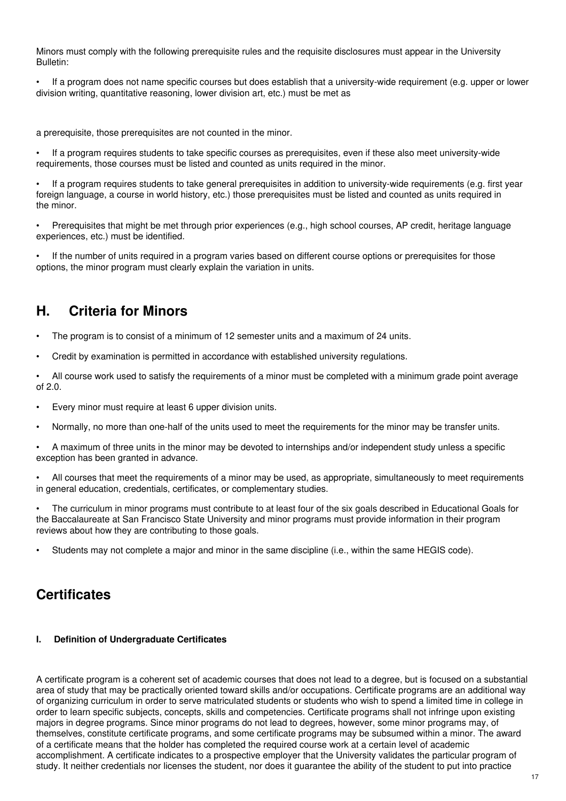Minors must comply with the following prerequisite rules and the requisite disclosures must appear in the University Bulletin:

• If a program does not name specific courses but does establish that a university-wide requirement (e.g. upper or lower division writing, quantitative reasoning, lower division art, etc.) must be met as

a prerequisite, those prerequisites are not counted in the minor.

If a program requires students to take specific courses as prerequisites, even if these also meet university-wide requirements, those courses must be listed and counted as units required in the minor.

If a program requires students to take general prerequisites in addition to university-wide requirements (e.g. first year foreign language, a course in world history, etc.) those prerequisites must be listed and counted as units required in the minor.

• Prerequisites that might be met through prior experiences (e.g., high school courses, AP credit, heritage language experiences, etc.) must be identified.

If the number of units required in a program varies based on different course options or prerequisites for those options, the minor program must clearly explain the variation in units.

## **H. Criteria for Minors**

- The program is to consist of a minimum of 12 semester units and a maximum of 24 units.
- Credit by examination is permitted in accordance with established university regulations.

• All course work used to satisfy the requirements of a minor must be completed with a minimum grade point average of 2.0.

- Every minor must require at least 6 upper division units.
- Normally, no more than one-half of the units used to meet the requirements for the minor may be transfer units.

• A maximum of three units in the minor may be devoted to internships and/or independent study unless a specific exception has been granted in advance.

• All courses that meet the requirements of a minor may be used, as appropriate, simultaneously to meet requirements in general education, credentials, certificates, or complementary studies.

• The curriculum in minor programs must contribute to at least four of the six goals described in Educational Goals for the Baccalaureate at San Francisco State University and minor programs must provide information in their program reviews about how they are contributing to those goals.

• Students may not complete a major and minor in the same discipline (i.e., within the same HEGIS code).

### **Certificates**

#### **I. Definition of Undergraduate Certificates**

A certificate program is a coherent set of academic courses that does not lead to a degree, but is focused on a substantial area of study that may be practically oriented toward skills and/or occupations. Certificate programs are an additional way of organizing curriculum in order to serve matriculated students or students who wish to spend a limited time in college in order to learn specific subjects, concepts, skills and competencies. Certificate programs shall not infringe upon existing majors in degree programs. Since minor programs do not lead to degrees, however, some minor programs may, of themselves, constitute certificate programs, and some certificate programs may be subsumed within a minor. The award of a certificate means that the holder has completed the required course work at a certain level of academic accomplishment. A certificate indicates to a prospective employer that the University validates the particular program of study. It neither credentials nor licenses the student, nor does it guarantee the ability of the student to put into practice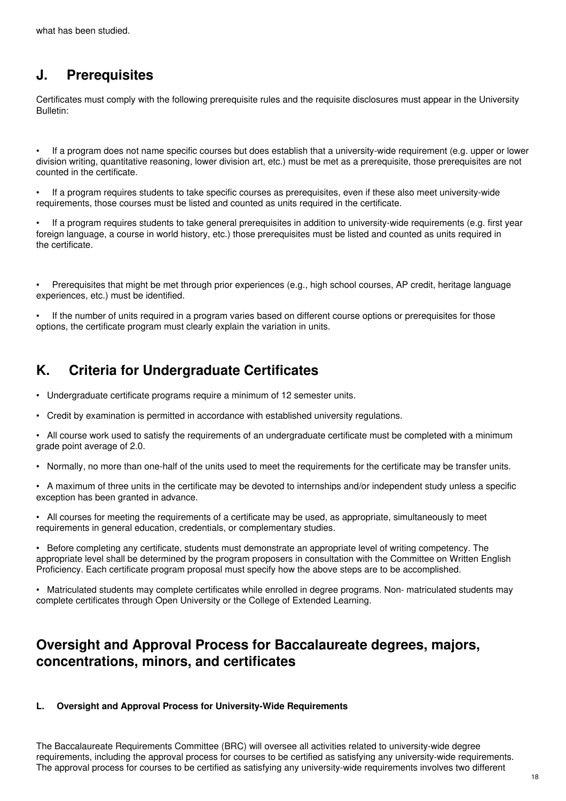# **J. Prerequisites**

Certificates must comply with the following prerequisite rules and the requisite disclosures must appear in the University Bulletin:

• If a program does not name specific courses but does establish that a university-wide requirement (e.g. upper or lower division writing, quantitative reasoning, lower division art, etc.) must be met as a prerequisite, those prerequisites are not counted in the certificate.

• If a program requires students to take specific courses as prerequisites, even if these also meet university-wide requirements, those courses must be listed and counted as units required in the certificate.

If a program requires students to take general prerequisites in addition to university-wide requirements (e.g. first year foreign language, a course in world history, etc.) those prerequisites must be listed and counted as units required in the certificate.

• Prerequisites that might be met through prior experiences (e.g., high school courses, AP credit, heritage language experiences, etc.) must be identified.

If the number of units required in a program varies based on different course options or prerequisites for those options, the certificate program must clearly explain the variation in units.

# **K. Criteria for Undergraduate Certificates**

- Undergraduate certificate programs require a minimum of 12 semester units.
- Credit by examination is permitted in accordance with established university regulations.

• All course work used to satisfy the requirements of an undergraduate certificate must be completed with a minimum grade point average of 2.0.

• Normally, no more than one-half of the units used to meet the requirements for the certificate may be transfer units.

• A maximum of three units in the certificate may be devoted to internships and/or independent study unless a specific exception has been granted in advance.

• All courses for meeting the requirements of a certificate may be used, as appropriate, simultaneously to meet requirements in general education, credentials, or complementary studies.

• Before completing any certificate, students must demonstrate an appropriate level of writing competency. The appropriate level shall be determined by the program proposers in consultation with the Committee on Written English Proficiency. Each certificate program proposal must specify how the above steps are to be accomplished.

• Matriculated students may complete certificates while enrolled in degree programs. Non- matriculated students may complete certificates through Open University or the College of Extended Learning.

# **Oversight and Approval Process for Baccalaureate degrees, majors, concentrations, minors, and certificates**

### **L. Oversight and Approval Process for University-Wide Requirements**

The Baccalaureate Requirements Committee (BRC) will oversee all activities related to university-wide degree requirements, including the approval process for courses to be certified as satisfying any university-wide requirements. The approval process for courses to be certified as satisfying any university-wide requirements involves two different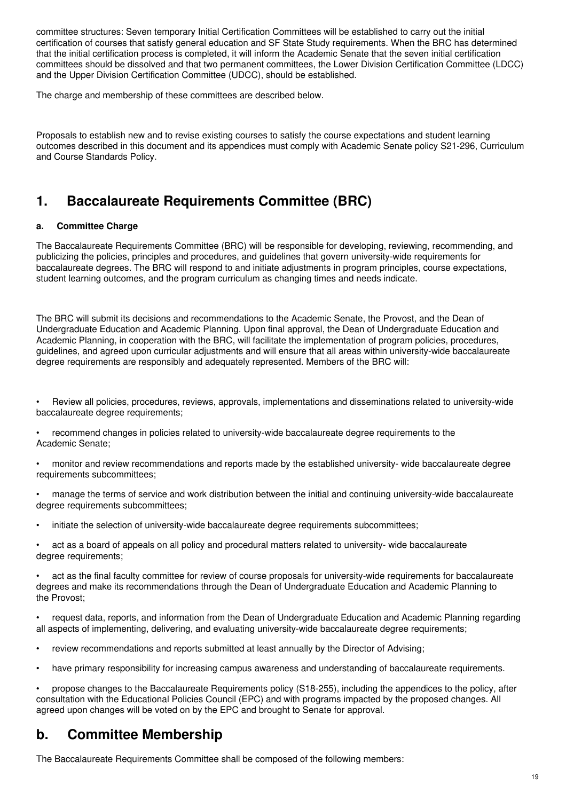committee structures: Seven temporary Initial Certification Committees will be established to carry out the initial certification of courses that satisfy general education and SF State Study requirements. When the BRC has determined that the initial certification process is completed, it will inform the Academic Senate that the seven initial certification committees should be dissolved and that two permanent committees, the Lower Division Certification Committee (LDCC) and the Upper Division Certification Committee (UDCC), should be established.

The charge and membership of these committees are described below.

Proposals to establish new and to revise existing courses to satisfy the course expectations and student learning outcomes described in this document and its appendices must comply with Academic Senate policy S21-296, Curriculum and Course Standards Policy.

# **1. Baccalaureate Requirements Committee (BRC)**

### **a. Committee Charge**

The Baccalaureate Requirements Committee (BRC) will be responsible for developing, reviewing, recommending, and publicizing the policies, principles and procedures, and guidelines that govern university-wide requirements for baccalaureate degrees. The BRC will respond to and initiate adjustments in program principles, course expectations, student learning outcomes, and the program curriculum as changing times and needs indicate.

The BRC will submit its decisions and recommendations to the Academic Senate, the Provost, and the Dean of Undergraduate Education and Academic Planning. Upon final approval, the Dean of Undergraduate Education and Academic Planning, in cooperation with the BRC, will facilitate the implementation of program policies, procedures, guidelines, and agreed upon curricular adjustments and will ensure that all areas within university-wide baccalaureate degree requirements are responsibly and adequately represented. Members of the BRC will:

• Review all policies, procedures, reviews, approvals, implementations and disseminations related to university-wide baccalaureate degree requirements;

• recommend changes in policies related to university-wide baccalaureate degree requirements to the Academic Senate;

• monitor and review recommendations and reports made by the established university- wide baccalaureate degree requirements subcommittees;

• manage the terms of service and work distribution between the initial and continuing university-wide baccalaureate degree requirements subcommittees;

• initiate the selection of university-wide baccalaureate degree requirements subcommittees;

• act as a board of appeals on all policy and procedural matters related to university- wide baccalaureate degree requirements;

• act as the final faculty committee for review of course proposals for university-wide requirements for baccalaureate degrees and make its recommendations through the Dean of Undergraduate Education and Academic Planning to the Provost;

• request data, reports, and information from the Dean of Undergraduate Education and Academic Planning regarding all aspects of implementing, delivering, and evaluating university-wide baccalaureate degree requirements;

• review recommendations and reports submitted at least annually by the Director of Advising;

• have primary responsibility for increasing campus awareness and understanding of baccalaureate requirements.

• propose changes to the Baccalaureate Requirements policy (S18-255), including the appendices to the policy, after consultation with the Educational Policies Council (EPC) and with programs impacted by the proposed changes. All agreed upon changes will be voted on by the EPC and brought to Senate for approval.

# **b. Committee Membership**

The Baccalaureate Requirements Committee shall be composed of the following members: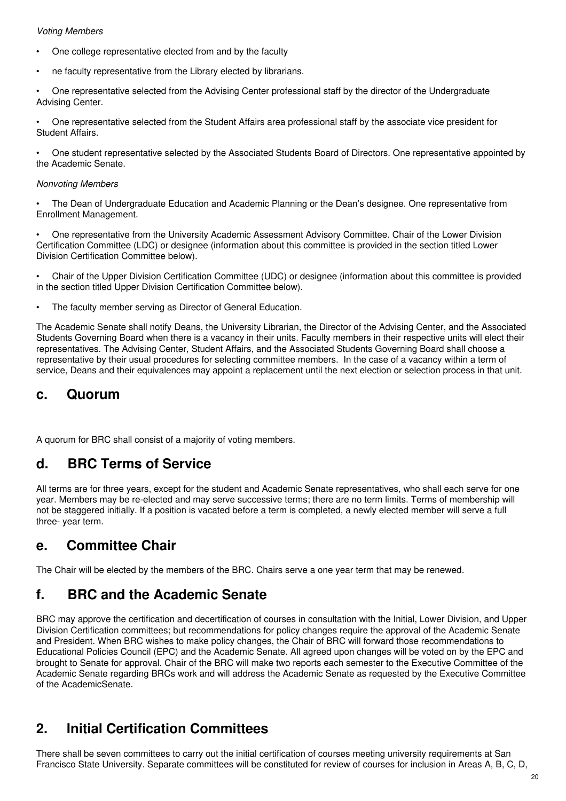### *Voting Members*

- One college representative elected from and by the faculty
- ne faculty representative from the Library elected by librarians.
- One representative selected from the Advising Center professional staff by the director of the Undergraduate Advising Center.

• One representative selected from the Student Affairs area professional staff by the associate vice president for Student Affairs.

• One student representative selected by the Associated Students Board of Directors. One representative appointed by the Academic Senate.

#### *Nonvoting Members*

• The Dean of Undergraduate Education and Academic Planning or the Dean's designee. One representative from Enrollment Management.

• One representative from the University Academic Assessment Advisory Committee. Chair of the Lower Division Certification Committee (LDC) or designee (information about this committee is provided in the section titled Lower Division Certification Committee below).

• Chair of the Upper Division Certification Committee (UDC) or designee (information about this committee is provided in the section titled Upper Division Certification Committee below).

The faculty member serving as Director of General Education.

The Academic Senate shall notify Deans, the University Librarian, the Director of the Advising Center, and the Associated Students Governing Board when there is a vacancy in their units. Faculty members in their respective units will elect their representatives. The Advising Center, Student Affairs, and the Associated Students Governing Board shall choose a representative by their usual procedures for selecting committee members. In the case of a vacancy within a term of service, Deans and their equivalences may appoint a replacement until the next election or selection process in that unit.

### **c. Quorum**

A quorum for BRC shall consist of a majority of voting members.

### **d. BRC Terms of Service**

All terms are for three years, except for the student and Academic Senate representatives, who shall each serve for one year. Members may be re-elected and may serve successive terms; there are no term limits. Terms of membership will not be staggered initially. If a position is vacated before a term is completed, a newly elected member will serve a full three- year term.

### **e. Committee Chair**

The Chair will be elected by the members of the BRC. Chairs serve a one year term that may be renewed.

# **f. BRC and the Academic Senate**

BRC may approve the certification and decertification of courses in consultation with the Initial, Lower Division, and Upper Division Certification committees; but recommendations for policy changes require the approval of the Academic Senate and President. When BRC wishes to make policy changes, the Chair of BRC will forward those recommendations to Educational Policies Council (EPC) and the Academic Senate. All agreed upon changes will be voted on by the EPC and brought to Senate for approval. Chair of the BRC will make two reports each semester to the Executive Committee of the Academic Senate regarding BRCs work and will address the Academic Senate as requested by the Executive Committee of the AcademicSenate.

# **2. Initial Certification Committees**

There shall be seven committees to carry out the initial certification of courses meeting university requirements at San Francisco State University. Separate committees will be constituted for review of courses for inclusion in Areas A, B, C, D,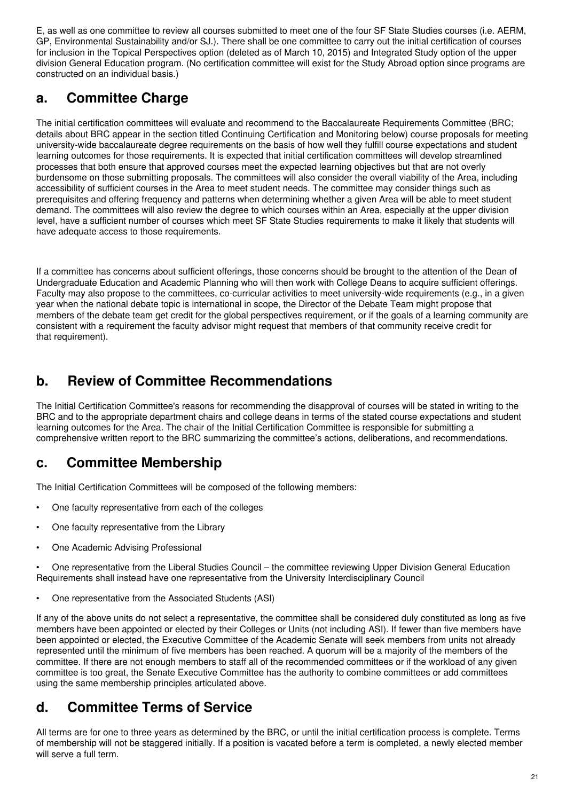E, as well as one committee to review all courses submitted to meet one of the four SF State Studies courses (i.e. AERM, GP, Environmental Sustainability and/or SJ.). There shall be one committee to carry out the initial certification of courses for inclusion in the Topical Perspectives option (deleted as of March 10, 2015) and Integrated Study option of the upper division General Education program. (No certification committee will exist for the Study Abroad option since programs are constructed on an individual basis.)

# **a. Committee Charge**

The initial certification committees will evaluate and recommend to the Baccalaureate Requirements Committee (BRC; details about BRC appear in the section titled Continuing Certification and Monitoring below) course proposals for meeting university-wide baccalaureate degree requirements on the basis of how well they fulfill course expectations and student learning outcomes for those requirements. It is expected that initial certification committees will develop streamlined processes that both ensure that approved courses meet the expected learning objectives but that are not overly burdensome on those submitting proposals. The committees will also consider the overall viability of the Area, including accessibility of sufficient courses in the Area to meet student needs. The committee may consider things such as prerequisites and offering frequency and patterns when determining whether a given Area will be able to meet student demand. The committees will also review the degree to which courses within an Area, especially at the upper division level, have a sufficient number of courses which meet SF State Studies requirements to make it likely that students will have adequate access to those requirements.

If a committee has concerns about sufficient offerings, those concerns should be brought to the attention of the Dean of Undergraduate Education and Academic Planning who will then work with College Deans to acquire sufficient offerings. Faculty may also propose to the committees, co-curricular activities to meet university-wide requirements (e.g., in a given year when the national debate topic is international in scope, the Director of the Debate Team might propose that members of the debate team get credit for the global perspectives requirement, or if the goals of a learning community are consistent with a requirement the faculty advisor might request that members of that community receive credit for that requirement).

# **b. Review of Committee Recommendations**

The Initial Certification Committee's reasons for recommending the disapproval of courses will be stated in writing to the BRC and to the appropriate department chairs and college deans in terms of the stated course expectations and student learning outcomes for the Area. The chair of the Initial Certification Committee is responsible for submitting a comprehensive written report to the BRC summarizing the committee's actions, deliberations, and recommendations.

# **c. Committee Membership**

The Initial Certification Committees will be composed of the following members:

- One faculty representative from each of the colleges
- One faculty representative from the Library
- One Academic Advising Professional

• One representative from the Liberal Studies Council – the committee reviewing Upper Division General Education Requirements shall instead have one representative from the University Interdisciplinary Council

• One representative from the Associated Students (ASI)

If any of the above units do not select a representative, the committee shall be considered duly constituted as long as five members have been appointed or elected by their Colleges or Units (not including ASI). If fewer than five members have been appointed or elected, the Executive Committee of the Academic Senate will seek members from units not already represented until the minimum of five members has been reached. A quorum will be a majority of the members of the committee. If there are not enough members to staff all of the recommended committees or if the workload of any given committee is too great, the Senate Executive Committee has the authority to combine committees or add committees using the same membership principles articulated above.

# **d. Committee Terms of Service**

All terms are for one to three years as determined by the BRC, or until the initial certification process is complete. Terms of membership will not be staggered initially. If a position is vacated before a term is completed, a newly elected member will serve a full term.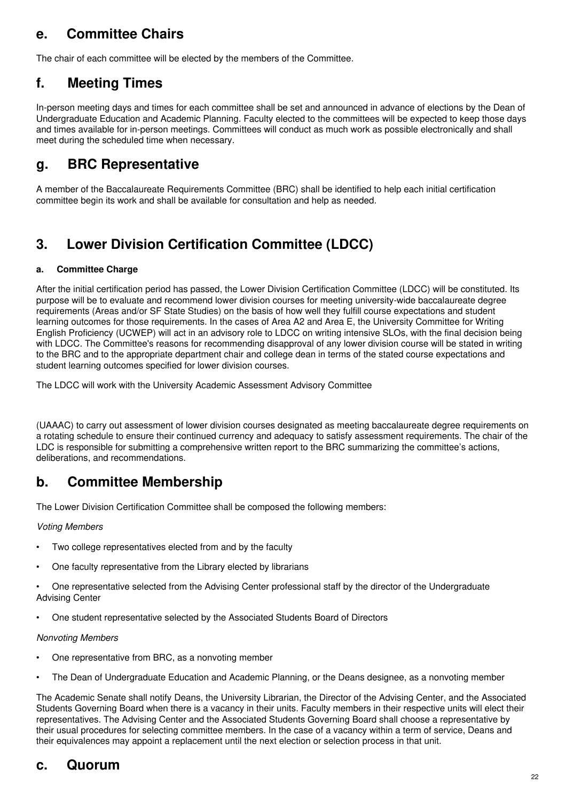# **e. Committee Chairs**

The chair of each committee will be elected by the members of the Committee.

## **f. Meeting Times**

In-person meeting days and times for each committee shall be set and announced in advance of elections by the Dean of Undergraduate Education and Academic Planning. Faculty elected to the committees will be expected to keep those days and times available for in-person meetings. Committees will conduct as much work as possible electronically and shall meet during the scheduled time when necessary.

## **g. BRC Representative**

A member of the Baccalaureate Requirements Committee (BRC) shall be identified to help each initial certification committee begin its work and shall be available for consultation and help as needed.

# **3. Lower Division Certification Committee (LDCC)**

### **a. Committee Charge**

After the initial certification period has passed, the Lower Division Certification Committee (LDCC) will be constituted. Its purpose will be to evaluate and recommend lower division courses for meeting university-wide baccalaureate degree requirements (Areas and/or SF State Studies) on the basis of how well they fulfill course expectations and student learning outcomes for those requirements. In the cases of Area A2 and Area E, the University Committee for Writing English Proficiency (UCWEP) will act in an advisory role to LDCC on writing intensive SLOs, with the final decision being with LDCC. The Committee's reasons for recommending disapproval of any lower division course will be stated in writing to the BRC and to the appropriate department chair and college dean in terms of the stated course expectations and student learning outcomes specified for lower division courses.

The LDCC will work with the University Academic Assessment Advisory Committee

(UAAAC) to carry out assessment of lower division courses designated as meeting baccalaureate degree requirements on a rotating schedule to ensure their continued currency and adequacy to satisfy assessment requirements. The chair of the LDC is responsible for submitting a comprehensive written report to the BRC summarizing the committee's actions, deliberations, and recommendations.

### **b. Committee Membership**

The Lower Division Certification Committee shall be composed the following members:

### *Voting Members*

- Two college representatives elected from and by the faculty
- One faculty representative from the Library elected by librarians
- One representative selected from the Advising Center professional staff by the director of the Undergraduate Advising Center
- One student representative selected by the Associated Students Board of Directors

### *Nonvoting Members*

- One representative from BRC, as a nonvoting member
- The Dean of Undergraduate Education and Academic Planning, or the Deans designee, as a nonvoting member

The Academic Senate shall notify Deans, the University Librarian, the Director of the Advising Center, and the Associated Students Governing Board when there is a vacancy in their units. Faculty members in their respective units will elect their representatives. The Advising Center and the Associated Students Governing Board shall choose a representative by their usual procedures for selecting committee members. In the case of a vacancy within a term of service, Deans and their equivalences may appoint a replacement until the next election or selection process in that unit.

### **c. Quorum**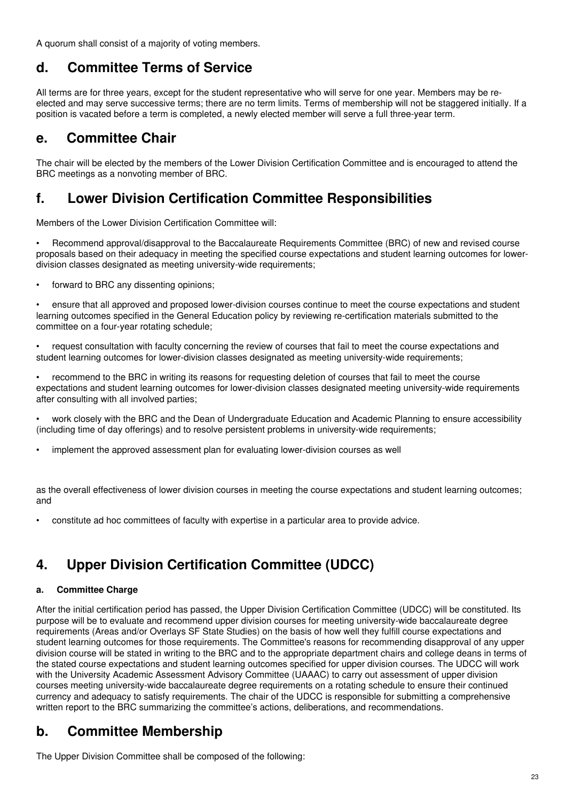A quorum shall consist of a majority of voting members.

# **d. Committee Terms of Service**

All terms are for three years, except for the student representative who will serve for one year. Members may be reelected and may serve successive terms; there are no term limits. Terms of membership will not be staggered initially. If a position is vacated before a term is completed, a newly elected member will serve a full three-year term.

# **e. Committee Chair**

The chair will be elected by the members of the Lower Division Certification Committee and is encouraged to attend the BRC meetings as a nonvoting member of BRC.

# **f. Lower Division Certification Committee Responsibilities**

Members of the Lower Division Certification Committee will:

• Recommend approval/disapproval to the Baccalaureate Requirements Committee (BRC) of new and revised course proposals based on their adequacy in meeting the specified course expectations and student learning outcomes for lowerdivision classes designated as meeting university-wide requirements;

• forward to BRC any dissenting opinions;

• ensure that all approved and proposed lower-division courses continue to meet the course expectations and student learning outcomes specified in the General Education policy by reviewing re-certification materials submitted to the committee on a four-year rotating schedule;

• request consultation with faculty concerning the review of courses that fail to meet the course expectations and student learning outcomes for lower-division classes designated as meeting university-wide requirements;

• recommend to the BRC in writing its reasons for requesting deletion of courses that fail to meet the course expectations and student learning outcomes for lower-division classes designated meeting university-wide requirements after consulting with all involved parties;

• work closely with the BRC and the Dean of Undergraduate Education and Academic Planning to ensure accessibility (including time of day offerings) and to resolve persistent problems in university-wide requirements;

• implement the approved assessment plan for evaluating lower-division courses as well

as the overall effectiveness of lower division courses in meeting the course expectations and student learning outcomes; and

• constitute ad hoc committees of faculty with expertise in a particular area to provide advice.

# **4. Upper Division Certification Committee (UDCC)**

### **a. Committee Charge**

After the initial certification period has passed, the Upper Division Certification Committee (UDCC) will be constituted. Its purpose will be to evaluate and recommend upper division courses for meeting university-wide baccalaureate degree requirements (Areas and/or Overlays SF State Studies) on the basis of how well they fulfill course expectations and student learning outcomes for those requirements. The Committee's reasons for recommending disapproval of any upper division course will be stated in writing to the BRC and to the appropriate department chairs and college deans in terms of the stated course expectations and student learning outcomes specified for upper division courses. The UDCC will work with the University Academic Assessment Advisory Committee (UAAAC) to carry out assessment of upper division courses meeting university-wide baccalaureate degree requirements on a rotating schedule to ensure their continued currency and adequacy to satisfy requirements. The chair of the UDCC is responsible for submitting a comprehensive written report to the BRC summarizing the committee's actions, deliberations, and recommendations.

# **b. Committee Membership**

The Upper Division Committee shall be composed of the following: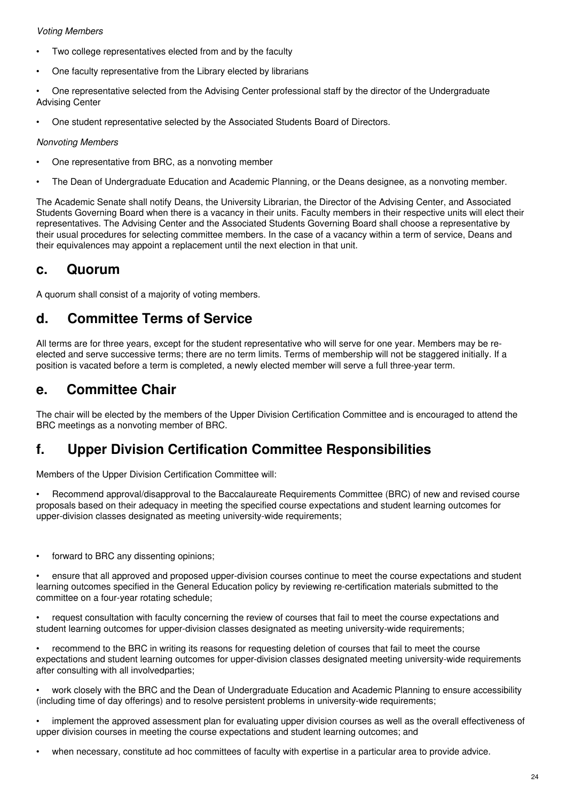### *Voting Members*

- Two college representatives elected from and by the faculty
- One faculty representative from the Library elected by librarians
- One representative selected from the Advising Center professional staff by the director of the Undergraduate Advising Center
- One student representative selected by the Associated Students Board of Directors.

### *Nonvoting Members*

- One representative from BRC, as a nonvoting member
- The Dean of Undergraduate Education and Academic Planning, or the Deans designee, as a nonvoting member.

The Academic Senate shall notify Deans, the University Librarian, the Director of the Advising Center, and Associated Students Governing Board when there is a vacancy in their units. Faculty members in their respective units will elect their representatives. The Advising Center and the Associated Students Governing Board shall choose a representative by their usual procedures for selecting committee members. In the case of a vacancy within a term of service, Deans and their equivalences may appoint a replacement until the next election in that unit.

### **c. Quorum**

A quorum shall consist of a majority of voting members.

### **d. Committee Terms of Service**

All terms are for three years, except for the student representative who will serve for one year. Members may be reelected and serve successive terms; there are no term limits. Terms of membership will not be staggered initially. If a position is vacated before a term is completed, a newly elected member will serve a full three-year term.

### **e. Committee Chair**

The chair will be elected by the members of the Upper Division Certification Committee and is encouraged to attend the BRC meetings as a nonvoting member of BRC.

# **f. Upper Division Certification Committee Responsibilities**

Members of the Upper Division Certification Committee will:

• Recommend approval/disapproval to the Baccalaureate Requirements Committee (BRC) of new and revised course proposals based on their adequacy in meeting the specified course expectations and student learning outcomes for upper-division classes designated as meeting university-wide requirements;

forward to BRC any dissenting opinions;

• ensure that all approved and proposed upper-division courses continue to meet the course expectations and student learning outcomes specified in the General Education policy by reviewing re-certification materials submitted to the committee on a four-year rotating schedule;

• request consultation with faculty concerning the review of courses that fail to meet the course expectations and student learning outcomes for upper-division classes designated as meeting university-wide requirements;

• recommend to the BRC in writing its reasons for requesting deletion of courses that fail to meet the course expectations and student learning outcomes for upper-division classes designated meeting university-wide requirements after consulting with all involvedparties;

• work closely with the BRC and the Dean of Undergraduate Education and Academic Planning to ensure accessibility (including time of day offerings) and to resolve persistent problems in university-wide requirements;

• implement the approved assessment plan for evaluating upper division courses as well as the overall effectiveness of upper division courses in meeting the course expectations and student learning outcomes; and

• when necessary, constitute ad hoc committees of faculty with expertise in a particular area to provide advice.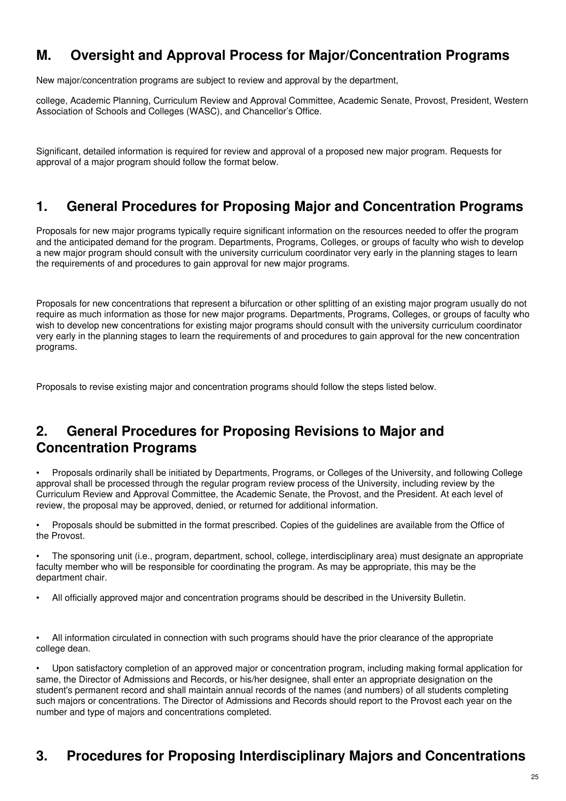# **M. Oversight and Approval Process for Major/Concentration Programs**

New major/concentration programs are subject to review and approval by the department,

college, Academic Planning, Curriculum Review and Approval Committee, Academic Senate, Provost, President, Western Association of Schools and Colleges (WASC), and Chancellor's Office.

Significant, detailed information is required for review and approval of a proposed new major program. Requests for approval of a major program should follow the format below.

## **1. General Procedures for Proposing Major and Concentration Programs**

Proposals for new major programs typically require significant information on the resources needed to offer the program and the anticipated demand for the program. Departments, Programs, Colleges, or groups of faculty who wish to develop a new major program should consult with the university curriculum coordinator very early in the planning stages to learn the requirements of and procedures to gain approval for new major programs.

Proposals for new concentrations that represent a bifurcation or other splitting of an existing major program usually do not require as much information as those for new major programs. Departments, Programs, Colleges, or groups of faculty who wish to develop new concentrations for existing major programs should consult with the university curriculum coordinator very early in the planning stages to learn the requirements of and procedures to gain approval for the new concentration programs.

Proposals to revise existing major and concentration programs should follow the steps listed below.

# **2. General Procedures for Proposing Revisions to Major and Concentration Programs**

• Proposals ordinarily shall be initiated by Departments, Programs, or Colleges of the University, and following College approval shall be processed through the regular program review process of the University, including review by the Curriculum Review and Approval Committee, the Academic Senate, the Provost, and the President. At each level of review, the proposal may be approved, denied, or returned for additional information.

• Proposals should be submitted in the format prescribed. Copies of the guidelines are available from the Office of the Provost.

• The sponsoring unit (i.e., program, department, school, college, interdisciplinary area) must designate an appropriate faculty member who will be responsible for coordinating the program. As may be appropriate, this may be the department chair.

• All officially approved major and concentration programs should be described in the University Bulletin.

• All information circulated in connection with such programs should have the prior clearance of the appropriate college dean.

• Upon satisfactory completion of an approved major or concentration program, including making formal application for same, the Director of Admissions and Records, or his/her designee, shall enter an appropriate designation on the student's permanent record and shall maintain annual records of the names (and numbers) of all students completing such majors or concentrations. The Director of Admissions and Records should report to the Provost each year on the number and type of majors and concentrations completed.

# **3. Procedures for Proposing Interdisciplinary Majors and Concentrations**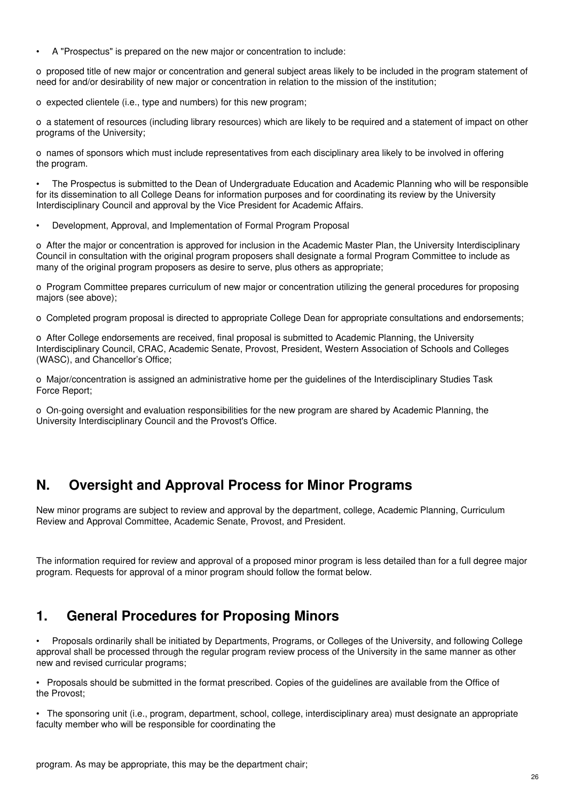• A "Prospectus" is prepared on the new major or concentration to include:

o proposed title of new major or concentration and general subject areas likely to be included in the program statement of need for and/or desirability of new major or concentration in relation to the mission of the institution;

o expected clientele (i.e., type and numbers) for this new program;

o a statement of resources (including library resources) which are likely to be required and a statement of impact on other programs of the University;

o names of sponsors which must include representatives from each disciplinary area likely to be involved in offering the program.

• The Prospectus is submitted to the Dean of Undergraduate Education and Academic Planning who will be responsible for its dissemination to all College Deans for information purposes and for coordinating its review by the University Interdisciplinary Council and approval by the Vice President for Academic Affairs.

• Development, Approval, and Implementation of Formal Program Proposal

o After the major or concentration is approved for inclusion in the Academic Master Plan, the University Interdisciplinary Council in consultation with the original program proposers shall designate a formal Program Committee to include as many of the original program proposers as desire to serve, plus others as appropriate;

o Program Committee prepares curriculum of new major or concentration utilizing the general procedures for proposing majors (see above);

o Completed program proposal is directed to appropriate College Dean for appropriate consultations and endorsements;

o After College endorsements are received, final proposal is submitted to Academic Planning, the University Interdisciplinary Council, CRAC, Academic Senate, Provost, President, Western Association of Schools and Colleges (WASC), and Chancellor's Office;

o Major/concentration is assigned an administrative home per the guidelines of the Interdisciplinary Studies Task Force Report;

o On-going oversight and evaluation responsibilities for the new program are shared by Academic Planning, the University Interdisciplinary Council and the Provost's Office.

# **N. Oversight and Approval Process for Minor Programs**

New minor programs are subject to review and approval by the department, college, Academic Planning, Curriculum Review and Approval Committee, Academic Senate, Provost, and President.

The information required for review and approval of a proposed minor program is less detailed than for a full degree major program. Requests for approval of a minor program should follow the format below.

# **1. General Procedures for Proposing Minors**

• Proposals ordinarily shall be initiated by Departments, Programs, or Colleges of the University, and following College approval shall be processed through the regular program review process of the University in the same manner as other new and revised curricular programs;

• Proposals should be submitted in the format prescribed. Copies of the guidelines are available from the Office of the Provost;

• The sponsoring unit (i.e., program, department, school, college, interdisciplinary area) must designate an appropriate faculty member who will be responsible for coordinating the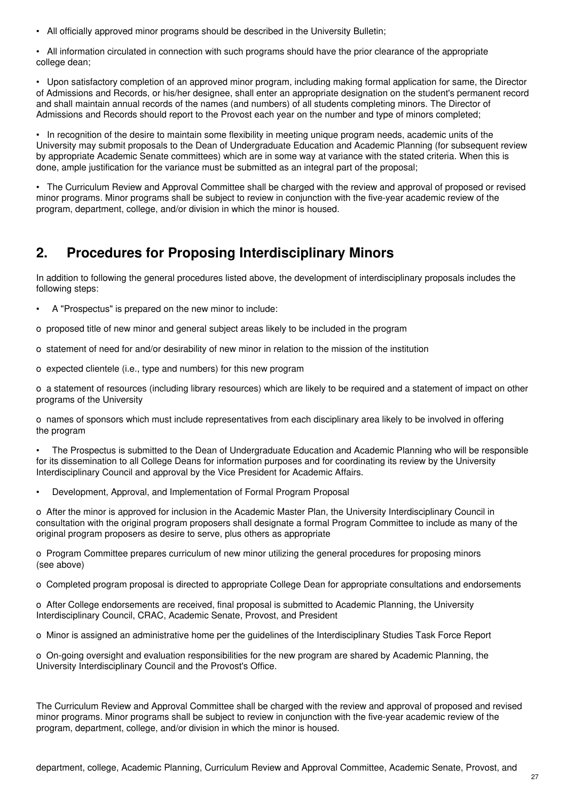• All officially approved minor programs should be described in the University Bulletin;

• All information circulated in connection with such programs should have the prior clearance of the appropriate college dean;

• Upon satisfactory completion of an approved minor program, including making formal application for same, the Director of Admissions and Records, or his/her designee, shall enter an appropriate designation on the student's permanent record and shall maintain annual records of the names (and numbers) of all students completing minors. The Director of Admissions and Records should report to the Provost each year on the number and type of minors completed;

• In recognition of the desire to maintain some flexibility in meeting unique program needs, academic units of the University may submit proposals to the Dean of Undergraduate Education and Academic Planning (for subsequent review by appropriate Academic Senate committees) which are in some way at variance with the stated criteria. When this is done, ample justification for the variance must be submitted as an integral part of the proposal;

• The Curriculum Review and Approval Committee shall be charged with the review and approval of proposed or revised minor programs. Minor programs shall be subject to review in conjunction with the five-year academic review of the program, department, college, and/or division in which the minor is housed.

# **2. Procedures for Proposing Interdisciplinary Minors**

In addition to following the general procedures listed above, the development of interdisciplinary proposals includes the following steps:

• A "Prospectus" is prepared on the new minor to include:

o proposed title of new minor and general subject areas likely to be included in the program

- o statement of need for and/or desirability of new minor in relation to the mission of the institution
- o expected clientele (i.e., type and numbers) for this new program

o a statement of resources (including library resources) which are likely to be required and a statement of impact on other programs of the University

o names of sponsors which must include representatives from each disciplinary area likely to be involved in offering the program

• The Prospectus is submitted to the Dean of Undergraduate Education and Academic Planning who will be responsible for its dissemination to all College Deans for information purposes and for coordinating its review by the University Interdisciplinary Council and approval by the Vice President for Academic Affairs.

• Development, Approval, and Implementation of Formal Program Proposal

o After the minor is approved for inclusion in the Academic Master Plan, the University Interdisciplinary Council in consultation with the original program proposers shall designate a formal Program Committee to include as many of the original program proposers as desire to serve, plus others as appropriate

o Program Committee prepares curriculum of new minor utilizing the general procedures for proposing minors (see above)

o Completed program proposal is directed to appropriate College Dean for appropriate consultations and endorsements

o After College endorsements are received, final proposal is submitted to Academic Planning, the University Interdisciplinary Council, CRAC, Academic Senate, Provost, and President

o Minor is assigned an administrative home per the guidelines of the Interdisciplinary Studies Task Force Report

o On-going oversight and evaluation responsibilities for the new program are shared by Academic Planning, the University Interdisciplinary Council and the Provost's Office.

The Curriculum Review and Approval Committee shall be charged with the review and approval of proposed and revised minor programs. Minor programs shall be subject to review in conjunction with the five-year academic review of the program, department, college, and/or division in which the minor is housed.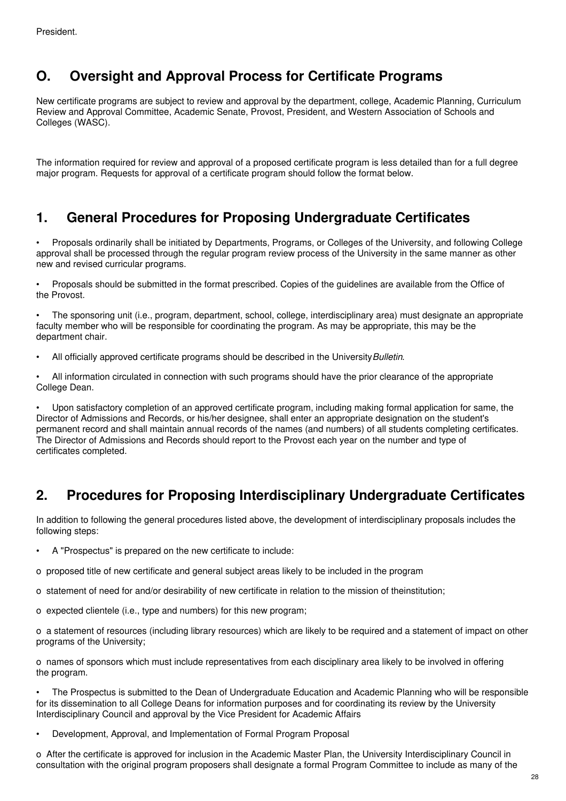# **O. Oversight and Approval Process for Certificate Programs**

New certificate programs are subject to review and approval by the department, college, Academic Planning, Curriculum Review and Approval Committee, Academic Senate, Provost, President, and Western Association of Schools and Colleges (WASC).

The information required for review and approval of a proposed certificate program is less detailed than for a full degree major program. Requests for approval of a certificate program should follow the format below.

## **1. General Procedures for Proposing Undergraduate Certificates**

• Proposals ordinarily shall be initiated by Departments, Programs, or Colleges of the University, and following College approval shall be processed through the regular program review process of the University in the same manner as other new and revised curricular programs.

• Proposals should be submitted in the format prescribed. Copies of the guidelines are available from the Office of the Provost.

• The sponsoring unit (i.e., program, department, school, college, interdisciplinary area) must designate an appropriate faculty member who will be responsible for coordinating the program. As may be appropriate, this may be the department chair.

• All officially approved certificate programs should be described in the University*Bulletin*.

• All information circulated in connection with such programs should have the prior clearance of the appropriate College Dean.

• Upon satisfactory completion of an approved certificate program, including making formal application for same, the Director of Admissions and Records, or his/her designee, shall enter an appropriate designation on the student's permanent record and shall maintain annual records of the names (and numbers) of all students completing certificates. The Director of Admissions and Records should report to the Provost each year on the number and type of certificates completed.

# **2. Procedures for Proposing Interdisciplinary Undergraduate Certificates**

In addition to following the general procedures listed above, the development of interdisciplinary proposals includes the following steps:

- A "Prospectus" is prepared on the new certificate to include:
- o proposed title of new certificate and general subject areas likely to be included in the program
- o statement of need for and/or desirability of new certificate in relation to the mission of theinstitution;
- o expected clientele (i.e., type and numbers) for this new program;

o a statement of resources (including library resources) which are likely to be required and a statement of impact on other programs of the University;

o names of sponsors which must include representatives from each disciplinary area likely to be involved in offering the program.

• The Prospectus is submitted to the Dean of Undergraduate Education and Academic Planning who will be responsible for its dissemination to all College Deans for information purposes and for coordinating its review by the University Interdisciplinary Council and approval by the Vice President for Academic Affairs

• Development, Approval, and Implementation of Formal Program Proposal

o After the certificate is approved for inclusion in the Academic Master Plan, the University Interdisciplinary Council in consultation with the original program proposers shall designate a formal Program Committee to include as many of the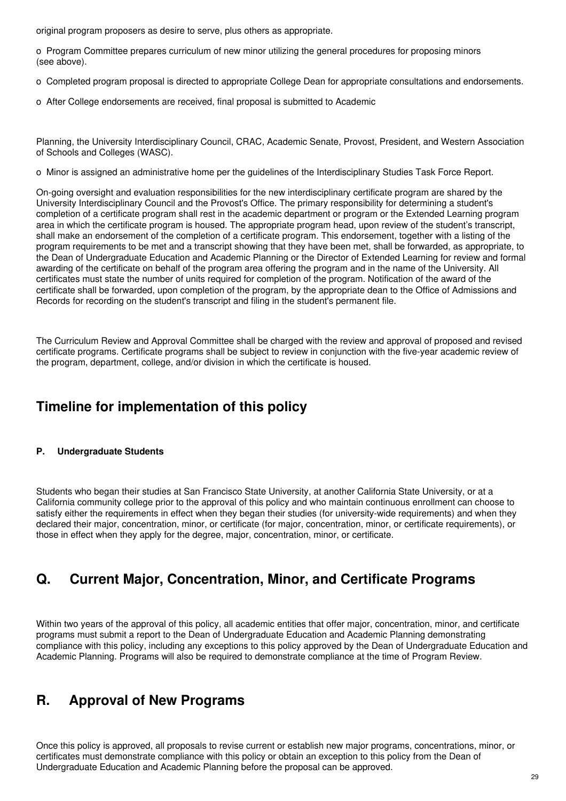original program proposers as desire to serve, plus others as appropriate.

o Program Committee prepares curriculum of new minor utilizing the general procedures for proposing minors (see above).

- o Completed program proposal is directed to appropriate College Dean for appropriate consultations and endorsements.
- o After College endorsements are received, final proposal is submitted to Academic

Planning, the University Interdisciplinary Council, CRAC, Academic Senate, Provost, President, and Western Association of Schools and Colleges (WASC).

o Minor is assigned an administrative home per the guidelines of the Interdisciplinary Studies Task Force Report.

On-going oversight and evaluation responsibilities for the new interdisciplinary certificate program are shared by the University Interdisciplinary Council and the Provost's Office. The primary responsibility for determining a student's completion of a certificate program shall rest in the academic department or program or the Extended Learning program area in which the certificate program is housed. The appropriate program head, upon review of the student's transcript, shall make an endorsement of the completion of a certificate program. This endorsement, together with a listing of the program requirements to be met and a transcript showing that they have been met, shall be forwarded, as appropriate, to the Dean of Undergraduate Education and Academic Planning or the Director of Extended Learning for review and formal awarding of the certificate on behalf of the program area offering the program and in the name of the University. All certificates must state the number of units required for completion of the program. Notification of the award of the certificate shall be forwarded, upon completion of the program, by the appropriate dean to the Office of Admissions and Records for recording on the student's transcript and filing in the student's permanent file.

The Curriculum Review and Approval Committee shall be charged with the review and approval of proposed and revised certificate programs. Certificate programs shall be subject to review in conjunction with the five-year academic review of the program, department, college, and/or division in which the certificate is housed.

# **Timeline for implementation of this policy**

### **P. Undergraduate Students**

Students who began their studies at San Francisco State University, at another California State University, or at a California community college prior to the approval of this policy and who maintain continuous enrollment can choose to satisfy either the requirements in effect when they began their studies (for university-wide requirements) and when they declared their major, concentration, minor, or certificate (for major, concentration, minor, or certificate requirements), or those in effect when they apply for the degree, major, concentration, minor, or certificate.

# **Q. Current Major, Concentration, Minor, and Certificate Programs**

Within two years of the approval of this policy, all academic entities that offer major, concentration, minor, and certificate programs must submit a report to the Dean of Undergraduate Education and Academic Planning demonstrating compliance with this policy, including any exceptions to this policy approved by the Dean of Undergraduate Education and Academic Planning. Programs will also be required to demonstrate compliance at the time of Program Review.

### **R. Approval of New Programs**

Once this policy is approved, all proposals to revise current or establish new major programs, concentrations, minor, or certificates must demonstrate compliance with this policy or obtain an exception to this policy from the Dean of Undergraduate Education and Academic Planning before the proposal can be approved.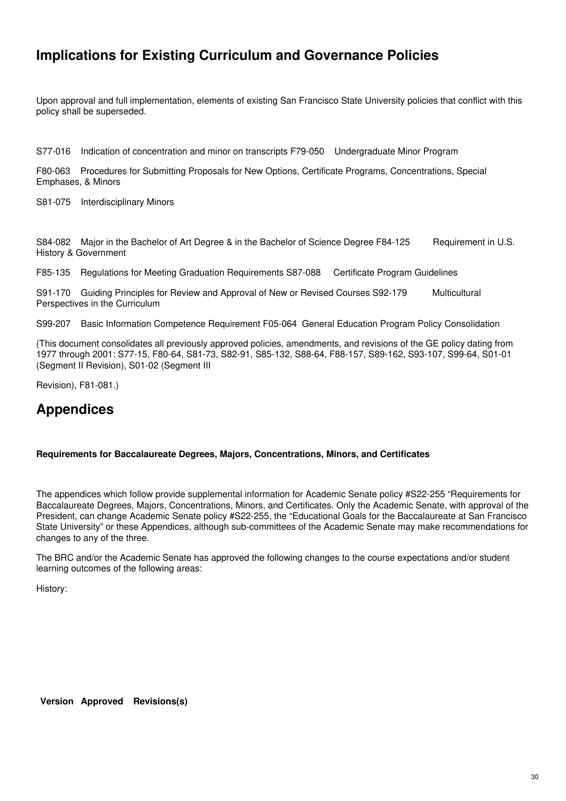# **Implications for Existing Curriculum and Governance Policies**

Upon approval and full implementation, elements of existing San Francisco State University policies that conflict with this policy shall be superseded.

S77-016 Indication of concentration and minor on transcripts F79-050 Undergraduate Minor Program

F80-063 Procedures for Submitting Proposals for New Options, Certificate Programs, Concentrations, Special Emphases, & Minors

S81-075 Interdisciplinary Minors

S84-082 Major in the Bachelor of Art Degree & in the Bachelor of Science Degree F84-125 Requirement in U.S. History & Government

F85-135 Regulations for Meeting Graduation Requirements S87-088 Certificate Program Guidelines

S91-170 Guiding Principles for Review and Approval of New or Revised Courses S92-179 Multicultural Perspectives in the Curriculum

S99-207 Basic Information Competence Requirement F05-064 General Education Program Policy Consolidation

(This document consolidates all previously approved policies, amendments, and revisions of the GE policy dating from 1977 through 2001: S77-15, F80-64, S81-73, S82-91, S85-132, S88-64, F88-157, S89-162, S93-107, S99-64, S01-01 (Segment II Revision), S01-02 (Segment III

Revision), F81-081.)

# **Appendices**

#### **Requirements for Baccalaureate Degrees, Majors, Concentrations, Minors, and Certificates**

The appendices which follow provide supplemental information for Academic Senate policy #S22-255 "Requirements for Baccalaureate Degrees, Majors, Concentrations, Minors, and Certificates. Only the Academic Senate, with approval of the President, can change Academic Senate policy #S22-255, the "Educational Goals for the Baccalaureate at San Francisco State University" or these Appendices, although sub-committees of the Academic Senate may make recommendations for changes to any of the three.

The BRC and/or the Academic Senate has approved the following changes to the course expectations and/or student learning outcomes of the following areas:

History:

**Version Approved Revisions(s)**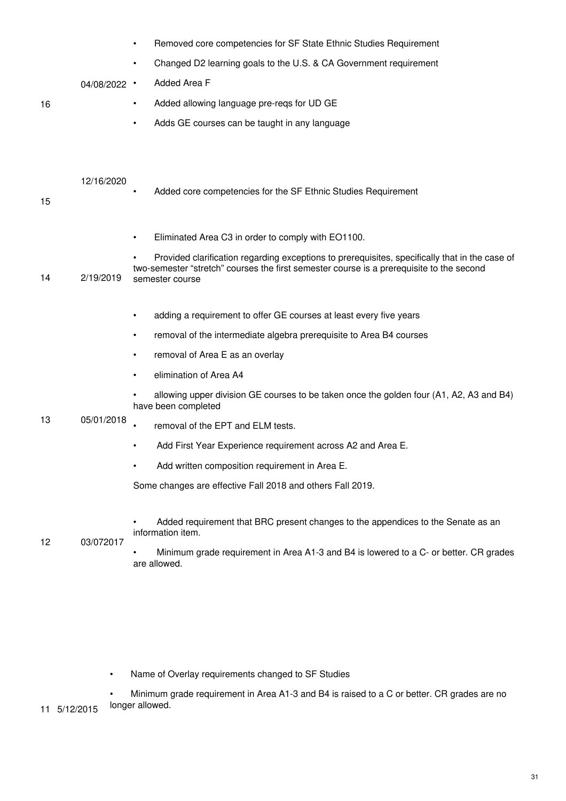|    |                | Removed core competencies for SF State Ethnic Studies Requirement<br>$\bullet$                                 |
|----|----------------|----------------------------------------------------------------------------------------------------------------|
|    |                | Changed D2 learning goals to the U.S. & CA Government requirement                                              |
|    | $04/08/2022$ · | Added Area F                                                                                                   |
| 16 |                | Added allowing language pre-reqs for UD GE<br>$\bullet$                                                        |
|    |                | Adds GE courses can be taught in any language<br>$\bullet$                                                     |
|    |                |                                                                                                                |
|    |                |                                                                                                                |
|    | 12/16/2020     |                                                                                                                |
| 15 |                | Added core competencies for the SF Ethnic Studies Requirement                                                  |
|    |                |                                                                                                                |
|    |                | Eliminated Area C3 in order to comply with EO1100.<br>$\bullet$                                                |
|    |                | Provided clarification regarding exceptions to prerequisites, specifically that in the case of                 |
| 14 | 2/19/2019      | two-semester "stretch" courses the first semester course is a prerequisite to the second<br>semester course    |
|    |                |                                                                                                                |
|    |                | adding a requirement to offer GE courses at least every five years<br>$\bullet$                                |
|    | 05/01/2018     | removal of the intermediate algebra prerequisite to Area B4 courses<br>$\bullet$                               |
|    |                | removal of Area E as an overlay<br>$\bullet$                                                                   |
|    |                | elimination of Area A4                                                                                         |
| 13 |                | allowing upper division GE courses to be taken once the golden four (A1, A2, A3 and B4)<br>have been completed |
|    |                | removal of the EPT and ELM tests.                                                                              |
|    |                | Add First Year Experience requirement across A2 and Area E.                                                    |
|    |                | Add written composition requirement in Area E.                                                                 |
|    |                | Some changes are effective Fall 2018 and others Fall 2019.                                                     |
|    |                |                                                                                                                |
| 12 | 03/072017      | Added requirement that BRC present changes to the appendices to the Senate as an<br>information item.          |
|    |                | Minimum grade requirement in Area A1-3 and B4 is lowered to a C- or better. CR grades<br>are allowed.          |

• Name of Overlay requirements changed to SF Studies

11 5/12/2015 • Minimum grade requirement in Area A1-3 and B4 is raised to a C or better. CR grades are no longer allowed.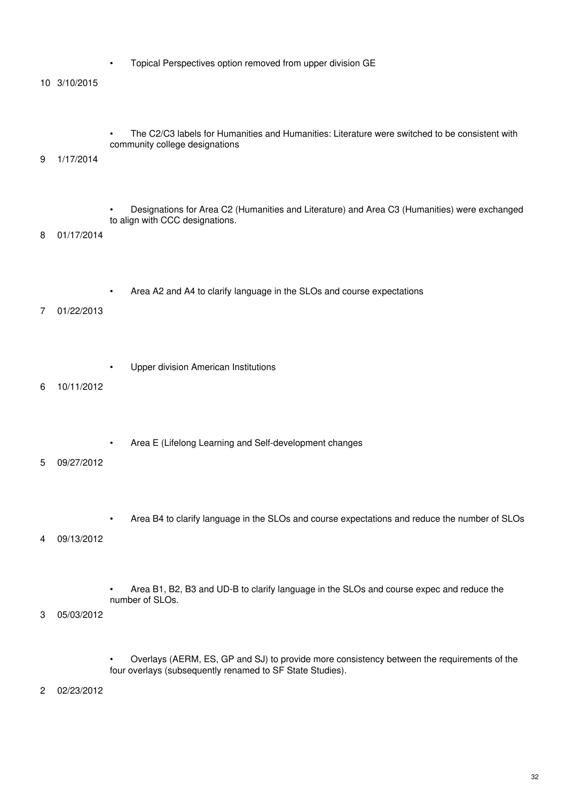- Topical Perspectives option removed from upper division GE
- 10 3/10/2015

• The C2/C3 labels for Humanities and Humanities: Literature were switched to be consistent with community college designations

#### 9 1/17/2014

• Designations for Area C2 (Humanities and Literature) and Area C3 (Humanities) were exchanged to align with CCC designations.

8 01/17/2014

• Area A2 and A4 to clarify language in the SLOs and course expectations

### 7 01/22/2013

• Upper division American Institutions

#### 6 10/11/2012

• Area E (Lifelong Learning and Self-development changes

### 5 09/27/2012

• Area B4 to clarify language in the SLOs and course expectations and reduce the number of SLOs

#### 4 09/13/2012

• Area B1, B2, B3 and UD-B to clarify language in the SLOs and course expec and reduce the number of SLOs.

3 05/03/2012

• Overlays (AERM, ES, GP and SJ) to provide more consistency between the requirements of the four overlays (subsequently renamed to SF State Studies).

2 02/23/2012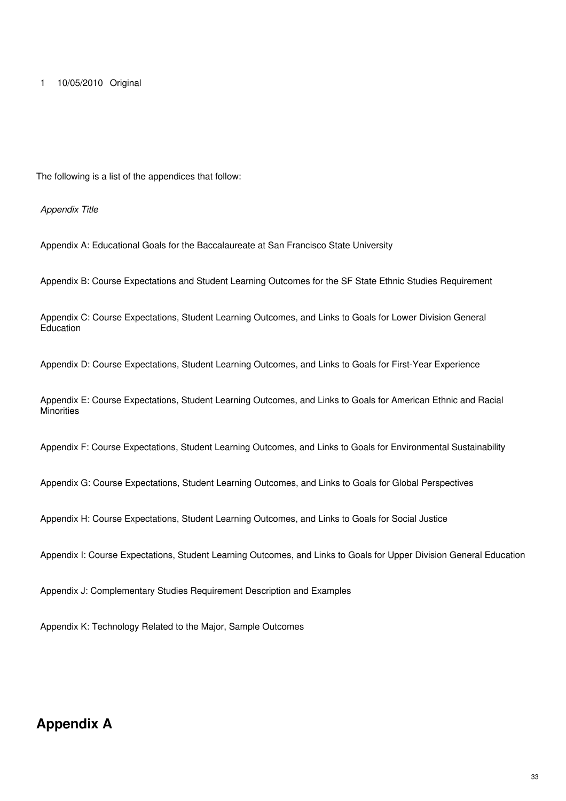The following is a list of the appendices that follow:

*Appendix Title*

Appendix A: Educational Goals for the Baccalaureate at San Francisco State University

Appendix B: Course Expectations and Student Learning Outcomes for the SF State Ethnic Studies Requirement

Appendix C: Course Expectations, Student Learning Outcomes, and Links to Goals for Lower Division General **Education** 

Appendix D: Course Expectations, Student Learning Outcomes, and Links to Goals for First-Year Experience

Appendix E: Course Expectations, Student Learning Outcomes, and Links to Goals for American Ethnic and Racial **Minorities** 

Appendix F: Course Expectations, Student Learning Outcomes, and Links to Goals for Environmental Sustainability

Appendix G: Course Expectations, Student Learning Outcomes, and Links to Goals for Global Perspectives

Appendix H: Course Expectations, Student Learning Outcomes, and Links to Goals for Social Justice

Appendix I: Course Expectations, Student Learning Outcomes, and Links to Goals for Upper Division General Education

Appendix J: Complementary Studies Requirement Description and Examples

Appendix K: Technology Related to the Major, Sample Outcomes

## **Appendix A**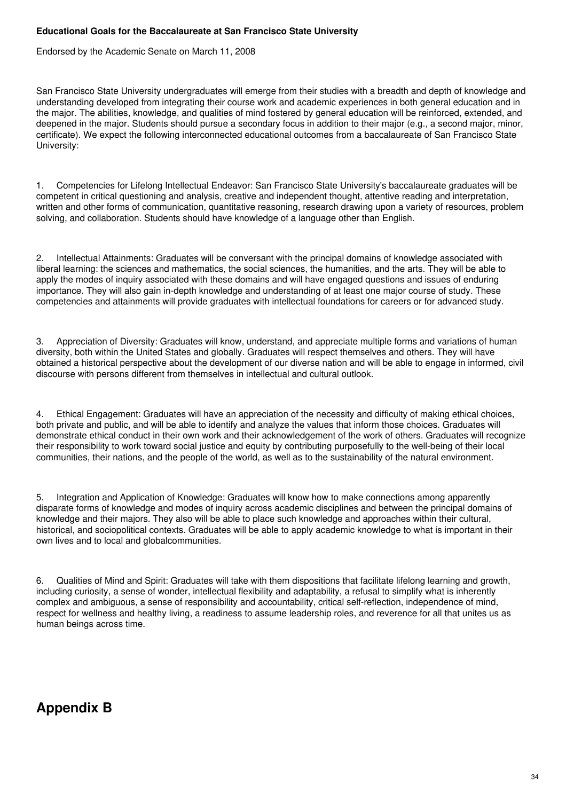### **Educational Goals for the Baccalaureate at San Francisco State University**

Endorsed by the Academic Senate on March 11, 2008

San Francisco State University undergraduates will emerge from their studies with a breadth and depth of knowledge and understanding developed from integrating their course work and academic experiences in both general education and in the major. The abilities, knowledge, and qualities of mind fostered by general education will be reinforced, extended, and deepened in the major. Students should pursue a secondary focus in addition to their major (e.g., a second major, minor, certificate). We expect the following interconnected educational outcomes from a baccalaureate of San Francisco State University:

1. Competencies for Lifelong Intellectual Endeavor: San Francisco State University's baccalaureate graduates will be competent in critical questioning and analysis, creative and independent thought, attentive reading and interpretation, written and other forms of communication, quantitative reasoning, research drawing upon a variety of resources, problem solving, and collaboration. Students should have knowledge of a language other than English.

2. Intellectual Attainments: Graduates will be conversant with the principal domains of knowledge associated with liberal learning: the sciences and mathematics, the social sciences, the humanities, and the arts. They will be able to apply the modes of inquiry associated with these domains and will have engaged questions and issues of enduring importance. They will also gain in-depth knowledge and understanding of at least one major course of study. These competencies and attainments will provide graduates with intellectual foundations for careers or for advanced study.

3. Appreciation of Diversity: Graduates will know, understand, and appreciate multiple forms and variations of human diversity, both within the United States and globally. Graduates will respect themselves and others. They will have obtained a historical perspective about the development of our diverse nation and will be able to engage in informed, civil discourse with persons different from themselves in intellectual and cultural outlook.

4. Ethical Engagement: Graduates will have an appreciation of the necessity and difficulty of making ethical choices, both private and public, and will be able to identify and analyze the values that inform those choices. Graduates will demonstrate ethical conduct in their own work and their acknowledgement of the work of others. Graduates will recognize their responsibility to work toward social justice and equity by contributing purposefully to the well-being of their local communities, their nations, and the people of the world, as well as to the sustainability of the natural environment.

5. Integration and Application of Knowledge: Graduates will know how to make connections among apparently disparate forms of knowledge and modes of inquiry across academic disciplines and between the principal domains of knowledge and their majors. They also will be able to place such knowledge and approaches within their cultural, historical, and sociopolitical contexts. Graduates will be able to apply academic knowledge to what is important in their own lives and to local and globalcommunities.

6. Qualities of Mind and Spirit: Graduates will take with them dispositions that facilitate lifelong learning and growth, including curiosity, a sense of wonder, intellectual flexibility and adaptability, a refusal to simplify what is inherently complex and ambiguous, a sense of responsibility and accountability, critical self-reflection, independence of mind, respect for wellness and healthy living, a readiness to assume leadership roles, and reverence for all that unites us as human beings across time.

# **Appendix B**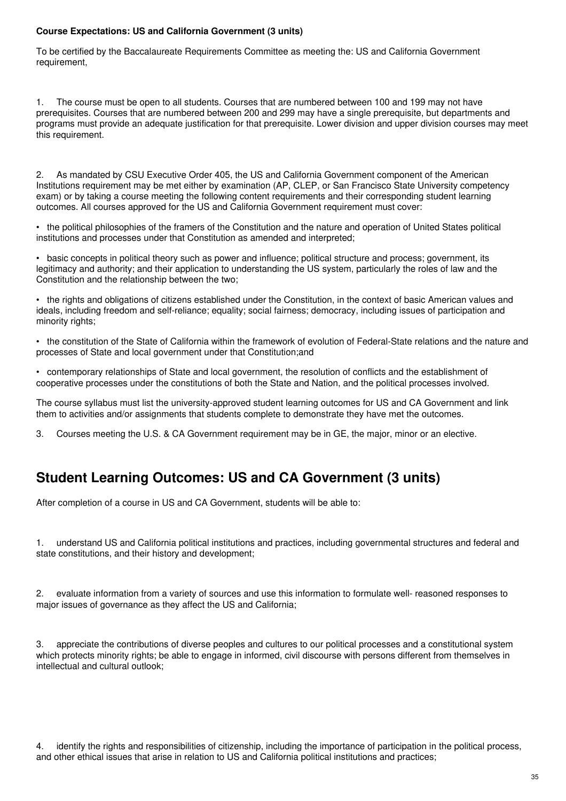### **Course Expectations: US and California Government (3 units)**

To be certified by the Baccalaureate Requirements Committee as meeting the: US and California Government requirement,

1. The course must be open to all students. Courses that are numbered between 100 and 199 may not have prerequisites. Courses that are numbered between 200 and 299 may have a single prerequisite, but departments and programs must provide an adequate justification for that prerequisite. Lower division and upper division courses may meet this requirement.

2. As mandated by CSU Executive Order 405, the US and California Government component of the American Institutions requirement may be met either by examination (AP, CLEP, or San Francisco State University competency exam) or by taking a course meeting the following content requirements and their corresponding student learning outcomes. All courses approved for the US and California Government requirement must cover:

• the political philosophies of the framers of the Constitution and the nature and operation of United States political institutions and processes under that Constitution as amended and interpreted;

• basic concepts in political theory such as power and influence; political structure and process; government, its legitimacy and authority; and their application to understanding the US system, particularly the roles of law and the Constitution and the relationship between the two;

• the rights and obligations of citizens established under the Constitution, in the context of basic American values and ideals, including freedom and self-reliance; equality; social fairness; democracy, including issues of participation and minority rights;

• the constitution of the State of California within the framework of evolution of Federal-State relations and the nature and processes of State and local government under that Constitution;and

• contemporary relationships of State and local government, the resolution of conflicts and the establishment of cooperative processes under the constitutions of both the State and Nation, and the political processes involved.

The course syllabus must list the university-approved student learning outcomes for US and CA Government and link them to activities and/or assignments that students complete to demonstrate they have met the outcomes.

3. Courses meeting the U.S. & CA Government requirement may be in GE, the major, minor or an elective.

# **Student Learning Outcomes: US and CA Government (3 units)**

After completion of a course in US and CA Government, students will be able to:

1. understand US and California political institutions and practices, including governmental structures and federal and state constitutions, and their history and development;

2. evaluate information from a variety of sources and use this information to formulate well- reasoned responses to major issues of governance as they affect the US and California;

3. appreciate the contributions of diverse peoples and cultures to our political processes and a constitutional system which protects minority rights; be able to engage in informed, civil discourse with persons different from themselves in intellectual and cultural outlook;

4. identify the rights and responsibilities of citizenship, including the importance of participation in the political process, and other ethical issues that arise in relation to US and California political institutions and practices;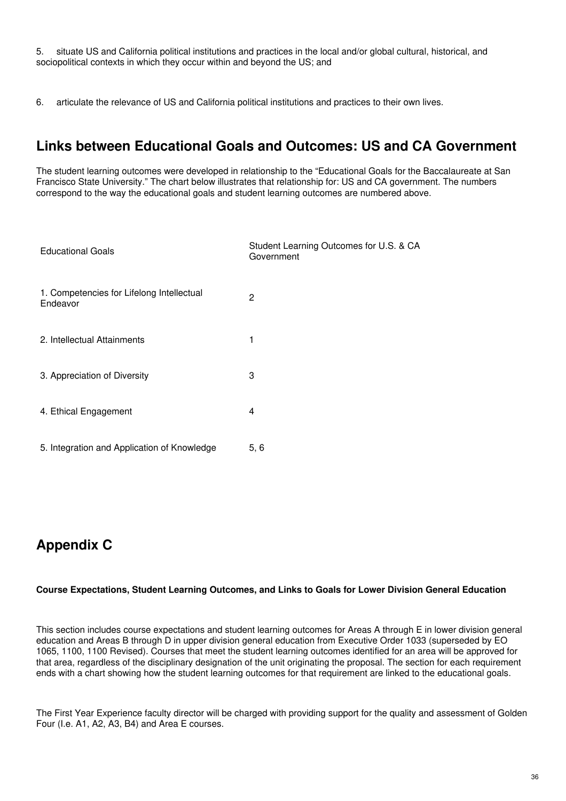5. situate US and California political institutions and practices in the local and/or global cultural, historical, and sociopolitical contexts in which they occur within and beyond the US; and

6. articulate the relevance of US and California political institutions and practices to their own lives.

# **Links between Educational Goals and Outcomes: US and CA Government**

The student learning outcomes were developed in relationship to the "Educational Goals for the Baccalaureate at San Francisco State University." The chart below illustrates that relationship for: US and CA government. The numbers correspond to the way the educational goals and student learning outcomes are numbered above.

| <b>Educational Goals</b>                              | Student Learning Outcomes for U.S. & CA<br>Government |
|-------------------------------------------------------|-------------------------------------------------------|
| 1. Competencies for Lifelong Intellectual<br>Endeavor | 2                                                     |
| 2. Intellectual Attainments                           |                                                       |
| 3. Appreciation of Diversity                          | 3                                                     |
| 4. Ethical Engagement                                 | 4                                                     |
| 5. Integration and Application of Knowledge           | 5, 6                                                  |

# **Appendix C**

### **Course Expectations, Student Learning Outcomes, and Links to Goals for Lower Division General Education**

This section includes course expectations and student learning outcomes for Areas A through E in lower division general education and Areas B through D in upper division general education from Executive Order 1033 (superseded by EO 1065, 1100, 1100 Revised). Courses that meet the student learning outcomes identified for an area will be approved for that area, regardless of the disciplinary designation of the unit originating the proposal. The section for each requirement ends with a chart showing how the student learning outcomes for that requirement are linked to the educational goals.

The First Year Experience faculty director will be charged with providing support for the quality and assessment of Golden Four (I.e. A1, A2, A3, B4) and Area E courses.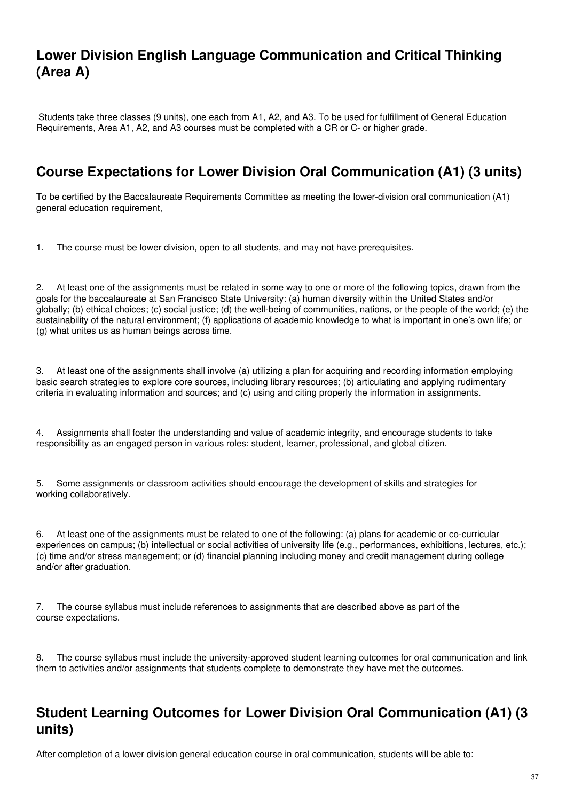# **Lower Division English Language Communication and Critical Thinking (Area A)**

Students take three classes (9 units), one each from A1, A2, and A3. To be used for fulfillment of General Education Requirements, Area A1, A2, and A3 courses must be completed with a CR or C- or higher grade.

# **Course Expectations for Lower Division Oral Communication (A1) (3 units)**

To be certified by the Baccalaureate Requirements Committee as meeting the lower-division oral communication (A1) general education requirement,

1. The course must be lower division, open to all students, and may not have prerequisites.

2. At least one of the assignments must be related in some way to one or more of the following topics, drawn from the goals for the baccalaureate at San Francisco State University: (a) human diversity within the United States and/or globally; (b) ethical choices; (c) social justice; (d) the well-being of communities, nations, or the people of the world; (e) the sustainability of the natural environment; (f) applications of academic knowledge to what is important in one's own life; or (g) what unites us as human beings across time.

3. At least one of the assignments shall involve (a) utilizing a plan for acquiring and recording information employing basic search strategies to explore core sources, including library resources; (b) articulating and applying rudimentary criteria in evaluating information and sources; and (c) using and citing properly the information in assignments.

4. Assignments shall foster the understanding and value of academic integrity, and encourage students to take responsibility as an engaged person in various roles: student, learner, professional, and global citizen.

5. Some assignments or classroom activities should encourage the development of skills and strategies for working collaboratively.

6. At least one of the assignments must be related to one of the following: (a) plans for academic or co-curricular experiences on campus; (b) intellectual or social activities of university life (e.g., performances, exhibitions, lectures, etc.); (c) time and/or stress management; or (d) financial planning including money and credit management during college and/or after graduation.

7. The course syllabus must include references to assignments that are described above as part of the course expectations.

8. The course syllabus must include the university-approved student learning outcomes for oral communication and link them to activities and/or assignments that students complete to demonstrate they have met the outcomes.

# **Student Learning Outcomes for Lower Division Oral Communication (A1) (3 units)**

After completion of a lower division general education course in oral communication, students will be able to: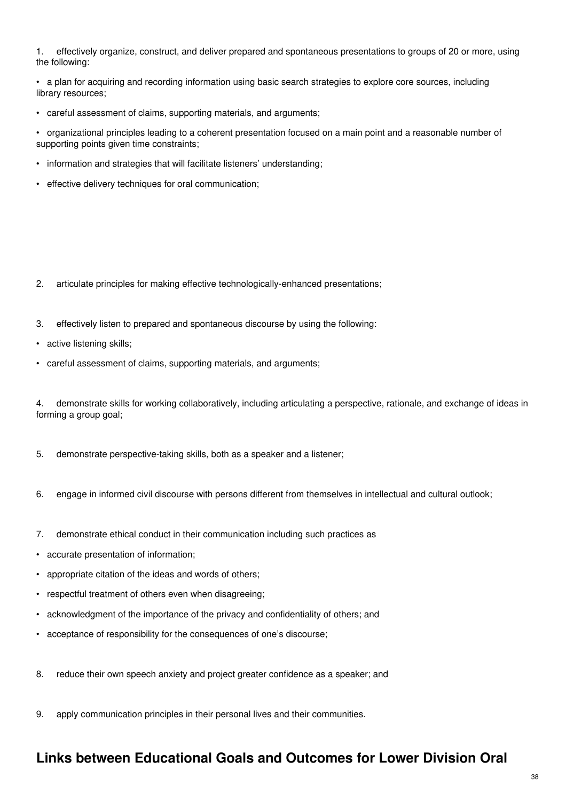1. effectively organize, construct, and deliver prepared and spontaneous presentations to groups of 20 or more, using the following:

• a plan for acquiring and recording information using basic search strategies to explore core sources, including library resources;

• careful assessment of claims, supporting materials, and arguments;

• organizational principles leading to a coherent presentation focused on a main point and a reasonable number of supporting points given time constraints;

- information and strategies that will facilitate listeners' understanding;
- effective delivery techniques for oral communication;

- 2. articulate principles for making effective technologically-enhanced presentations;
- 3. effectively listen to prepared and spontaneous discourse by using the following:
- active listening skills;
- careful assessment of claims, supporting materials, and arguments;

4. demonstrate skills for working collaboratively, including articulating a perspective, rationale, and exchange of ideas in forming a group goal;

- 5. demonstrate perspective-taking skills, both as a speaker and a listener;
- 6. engage in informed civil discourse with persons different from themselves in intellectual and cultural outlook;
- 7. demonstrate ethical conduct in their communication including such practices as
- accurate presentation of information;
- appropriate citation of the ideas and words of others;
- respectful treatment of others even when disagreeing;
- acknowledgment of the importance of the privacy and confidentiality of others; and
- acceptance of responsibility for the consequences of one's discourse;
- 8. reduce their own speech anxiety and project greater confidence as a speaker; and
- 9. apply communication principles in their personal lives and their communities.

#### **Links between Educational Goals and Outcomes for Lower Division Oral**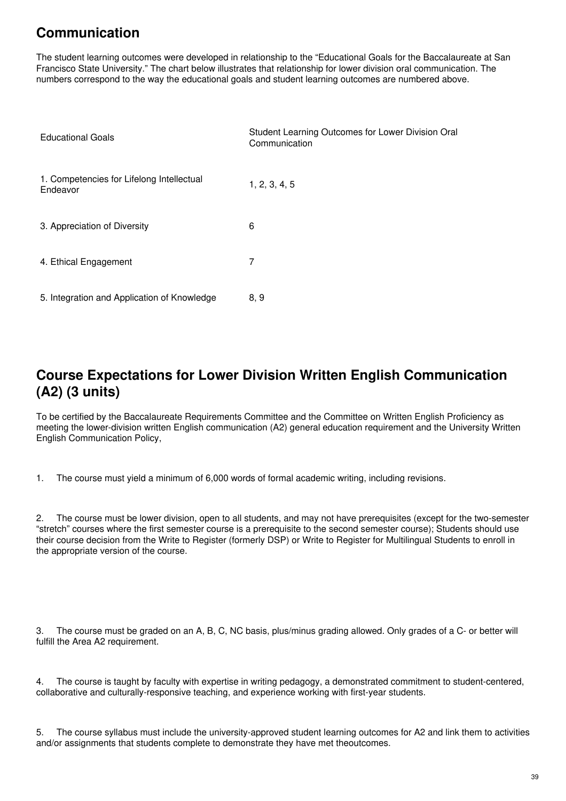# **Communication**

The student learning outcomes were developed in relationship to the "Educational Goals for the Baccalaureate at San Francisco State University." The chart below illustrates that relationship for lower division oral communication. The numbers correspond to the way the educational goals and student learning outcomes are numbered above.

| <b>Educational Goals</b>                              | Student Learning Outcomes for Lower Division Oral<br>Communication |
|-------------------------------------------------------|--------------------------------------------------------------------|
| 1. Competencies for Lifelong Intellectual<br>Endeavor | 1, 2, 3, 4, 5                                                      |
| 3. Appreciation of Diversity                          | 6                                                                  |
| 4. Ethical Engagement                                 | 7                                                                  |
| 5. Integration and Application of Knowledge           | 8, 9                                                               |

# **Course Expectations for Lower Division Written English Communication (A2) (3 units)**

To be certified by the Baccalaureate Requirements Committee and the Committee on Written English Proficiency as meeting the lower-division written English communication (A2) general education requirement and the University Written English Communication Policy,

1. The course must yield a minimum of 6,000 words of formal academic writing, including revisions.

2. The course must be lower division, open to all students, and may not have prerequisites (except for the two-semester "stretch" courses where the first semester course is a prerequisite to the second semester course); Students should use their course decision from the Write to Register (formerly DSP) or Write to Register for Multilingual Students to enroll in the appropriate version of the course.

3. The course must be graded on an A, B, C, NC basis, plus/minus grading allowed. Only grades of a C- or better will fulfill the Area A2 requirement.

4. The course is taught by faculty with expertise in writing pedagogy, a demonstrated commitment to student-centered, collaborative and culturally-responsive teaching, and experience working with first-year students.

5. The course syllabus must include the university-approved student learning outcomes for A2 and link them to activities and/or assignments that students complete to demonstrate they have met theoutcomes.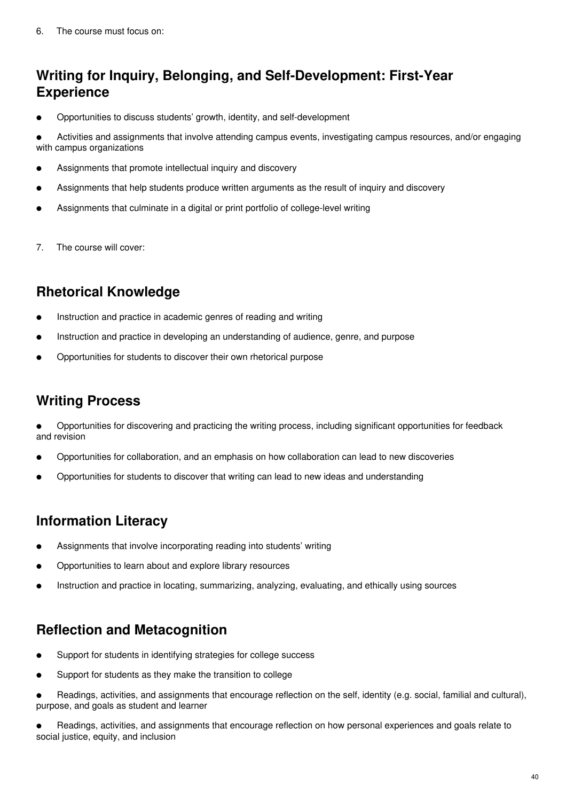# **Writing for Inquiry, Belonging, and Self-Development: First-Year Experience**

Opportunities to discuss students' growth, identity, and self-development

Activities and assignments that involve attending campus events, investigating campus resources, and/or engaging with campus organizations

- Assignments that promote intellectual inquiry and discovery
- Assignments that help students produce written arguments as the result of inquiry and discovery
- Assignments that culminate in a digital or print portfolio of college-level writing
- 7. The course will cover:

# **Rhetorical Knowledge**

- Instruction and practice in academic genres of reading and writing
- Instruction and practice in developing an understanding of audience, genre, and purpose
- Opportunities for students to discover their own rhetorical purpose

#### **Writing Process**

● Opportunities for discovering and practicing the writing process, including significant opportunities for feedback and revision

- Opportunities for collaboration, and an emphasis on how collaboration can lead to new discoveries
- Opportunities for students to discover that writing can lead to new ideas and understanding

# **Information Literacy**

- Assignments that involve incorporating reading into students' writing
- Opportunities to learn about and explore library resources
- Instruction and practice in locating, summarizing, analyzing, evaluating, and ethically using sources

# **Reflection and Metacognition**

- Support for students in identifying strategies for college success
- Support for students as they make the transition to college
- Readings, activities, and assignments that encourage reflection on the self, identity (e.g. social, familial and cultural), purpose, and goals as student and learner

Readings, activities, and assignments that encourage reflection on how personal experiences and goals relate to social justice, equity, and inclusion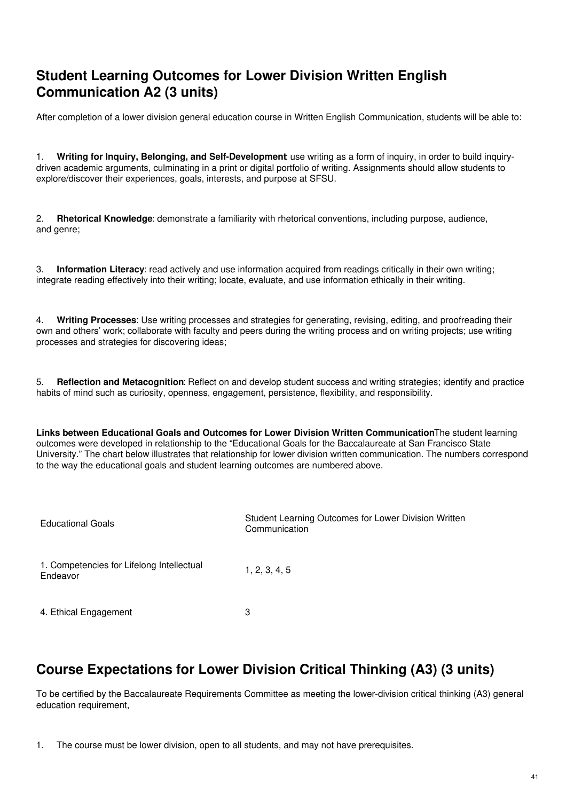# **Student Learning Outcomes for Lower Division Written English Communication A2 (3 units)**

After completion of a lower division general education course in Written English Communication, students will be able to:

1. **Writing for Inquiry, Belonging, and Self-Development**: use writing as a form of inquiry, in order to build inquirydriven academic arguments, culminating in a print or digital portfolio of writing. Assignments should allow students to explore/discover their experiences, goals, interests, and purpose at SFSU.

2. **Rhetorical Knowledge**: demonstrate a familiarity with rhetorical conventions, including purpose, audience, and genre;

3. **Information Literacy**: read actively and use information acquired from readings critically in their own writing; integrate reading effectively into their writing; locate, evaluate, and use information ethically in their writing.

4. **Writing Processes**: Use writing processes and strategies for generating, revising, editing, and proofreading their own and others' work; collaborate with faculty and peers during the writing process and on writing projects; use writing processes and strategies for discovering ideas;

5. **Reflection and Metacognition**: Reflect on and develop student success and writing strategies; identify and practice habits of mind such as curiosity, openness, engagement, persistence, flexibility, and responsibility.

**Links between Educational Goals and Outcomes for Lower Division Written Communication**The student learning outcomes were developed in relationship to the "Educational Goals for the Baccalaureate at San Francisco State University." The chart below illustrates that relationship for lower division written communication. The numbers correspond to the way the educational goals and student learning outcomes are numbered above.

| <b>Educational Goals</b>                              | Student Learning Outcomes for Lower Division Written<br>Communication |
|-------------------------------------------------------|-----------------------------------------------------------------------|
| 1. Competencies for Lifelong Intellectual<br>Endeavor | 1, 2, 3, 4, 5                                                         |
| 4. Ethical Engagement                                 | 3                                                                     |

# **Course Expectations for Lower Division Critical Thinking (A3) (3 units)**

To be certified by the Baccalaureate Requirements Committee as meeting the lower-division critical thinking (A3) general education requirement,

<sup>1.</sup> The course must be lower division, open to all students, and may not have prerequisites.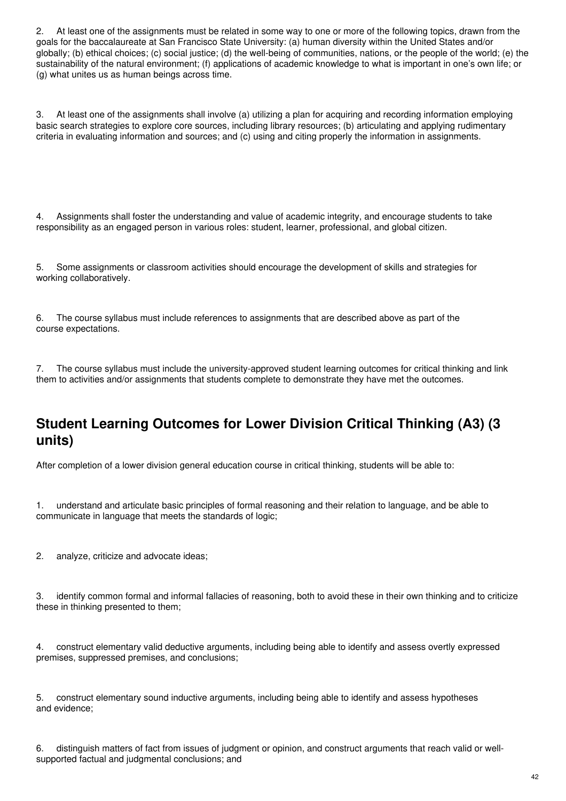2. At least one of the assignments must be related in some way to one or more of the following topics, drawn from the goals for the baccalaureate at San Francisco State University: (a) human diversity within the United States and/or globally; (b) ethical choices; (c) social justice; (d) the well-being of communities, nations, or the people of the world; (e) the sustainability of the natural environment; (f) applications of academic knowledge to what is important in one's own life; or (g) what unites us as human beings across time.

3. At least one of the assignments shall involve (a) utilizing a plan for acquiring and recording information employing basic search strategies to explore core sources, including library resources; (b) articulating and applying rudimentary criteria in evaluating information and sources; and (c) using and citing properly the information in assignments.

4. Assignments shall foster the understanding and value of academic integrity, and encourage students to take responsibility as an engaged person in various roles: student, learner, professional, and global citizen.

5. Some assignments or classroom activities should encourage the development of skills and strategies for working collaboratively.

6. The course syllabus must include references to assignments that are described above as part of the course expectations.

7. The course syllabus must include the university-approved student learning outcomes for critical thinking and link them to activities and/or assignments that students complete to demonstrate they have met the outcomes.

#### **Student Learning Outcomes for Lower Division Critical Thinking (A3) (3 units)**

After completion of a lower division general education course in critical thinking, students will be able to:

1. understand and articulate basic principles of formal reasoning and their relation to language, and be able to communicate in language that meets the standards of logic;

2. analyze, criticize and advocate ideas;

3. identify common formal and informal fallacies of reasoning, both to avoid these in their own thinking and to criticize these in thinking presented to them;

4. construct elementary valid deductive arguments, including being able to identify and assess overtly expressed premises, suppressed premises, and conclusions;

5. construct elementary sound inductive arguments, including being able to identify and assess hypotheses and evidence;

6. distinguish matters of fact from issues of judgment or opinion, and construct arguments that reach valid or wellsupported factual and judgmental conclusions; and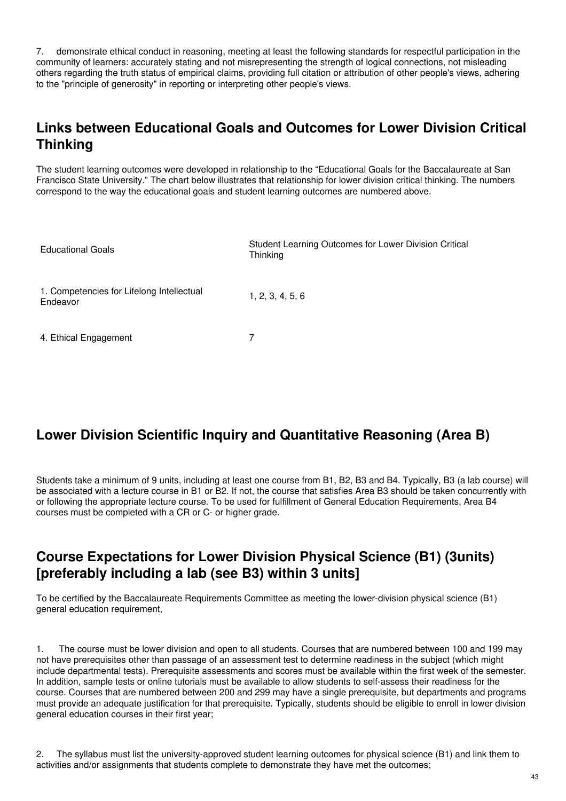7. demonstrate ethical conduct in reasoning, meeting at least the following standards for respectful participation in the community of learners: accurately stating and not misrepresenting the strength of logical connections, not misleading others regarding the truth status of empirical claims, providing full citation or attribution of other people's views, adhering to the "principle of generosity" in reporting or interpreting other people's views.

# **Links between Educational Goals and Outcomes for Lower Division Critical Thinking**

The student learning outcomes were developed in relationship to the "Educational Goals for the Baccalaureate at San Francisco State University." The chart below illustrates that relationship for lower division critical thinking. The numbers correspond to the way the educational goals and student learning outcomes are numbered above.

| <b>Educational Goals</b>                              | Student Learning Outcomes for Lower Division Critical<br>Thinking |
|-------------------------------------------------------|-------------------------------------------------------------------|
| 1. Competencies for Lifelong Intellectual<br>Endeavor | 1, 2, 3, 4, 5, 6                                                  |
| 4. Ethical Engagement                                 | 7                                                                 |

# **Lower Division Scientific Inquiry and Quantitative Reasoning (Area B)**

Students take a minimum of 9 units, including at least one course from B1, B2, B3 and B4. Typically, B3 (a lab course) will be associated with a lecture course in B1 or B2. If not, the course that satisfies Area B3 should be taken concurrently with or following the appropriate lecture course. To be used for fulfillment of General Education Requirements, Area B4 courses must be completed with a CR or C- or higher grade.

# **Course Expectations for Lower Division Physical Science (B1) (3units) [preferably including a lab (see B3) within 3 units]**

To be certified by the Baccalaureate Requirements Committee as meeting the lower-division physical science (B1) general education requirement,

1. The course must be lower division and open to all students. Courses that are numbered between 100 and 199 may not have prerequisites other than passage of an assessment test to determine readiness in the subject (which might include departmental tests). Prerequisite assessments and scores must be available within the first week of the semester. In addition, sample tests or online tutorials must be available to allow students to self-assess their readiness for the course. Courses that are numbered between 200 and 299 may have a single prerequisite, but departments and programs must provide an adequate justification for that prerequisite. Typically, students should be eligible to enroll in lower division general education courses in their first year;

2. The syllabus must list the university-approved student learning outcomes for physical science (B1) and link them to activities and/or assignments that students complete to demonstrate they have met the outcomes;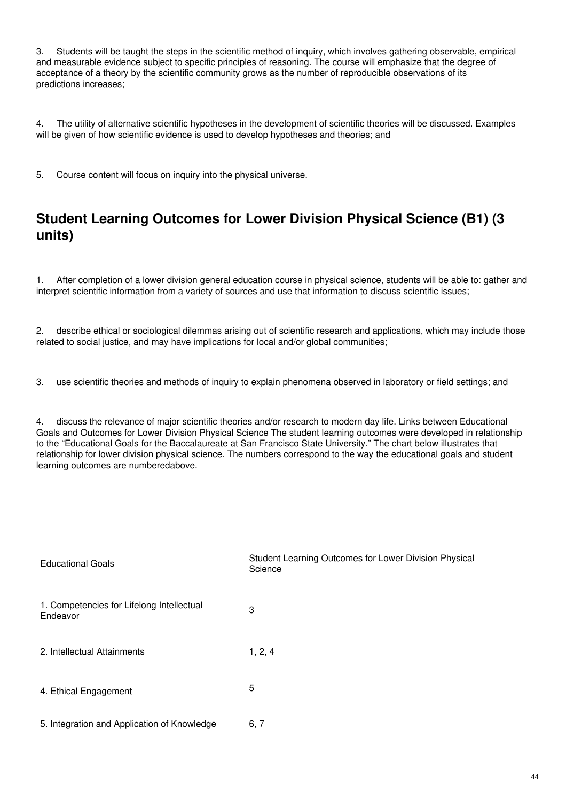3. Students will be taught the steps in the scientific method of inquiry, which involves gathering observable, empirical and measurable evidence subject to specific principles of reasoning. The course will emphasize that the degree of acceptance of a theory by the scientific community grows as the number of reproducible observations of its predictions increases;

4. The utility of alternative scientific hypotheses in the development of scientific theories will be discussed. Examples will be given of how scientific evidence is used to develop hypotheses and theories; and

5. Course content will focus on inquiry into the physical universe.

# **Student Learning Outcomes for Lower Division Physical Science (B1) (3 units)**

1. After completion of a lower division general education course in physical science, students will be able to: gather and interpret scientific information from a variety of sources and use that information to discuss scientific issues;

2. describe ethical or sociological dilemmas arising out of scientific research and applications, which may include those related to social justice, and may have implications for local and/or global communities;

3. use scientific theories and methods of inquiry to explain phenomena observed in laboratory or field settings; and

4. discuss the relevance of major scientific theories and/or research to modern day life. Links between Educational Goals and Outcomes for Lower Division Physical Science The student learning outcomes were developed in relationship to the "Educational Goals for the Baccalaureate at San Francisco State University." The chart below illustrates that relationship for lower division physical science. The numbers correspond to the way the educational goals and student learning outcomes are numberedabove.

| <b>Educational Goals</b>                              | Student Learning Outcomes for Lower Division Physical<br>Science |
|-------------------------------------------------------|------------------------------------------------------------------|
| 1. Competencies for Lifelong Intellectual<br>Endeavor | 3                                                                |
| 2. Intellectual Attainments                           | 1, 2, 4                                                          |
| 4. Ethical Engagement                                 | 5                                                                |
| 5. Integration and Application of Knowledge           | 6, 7                                                             |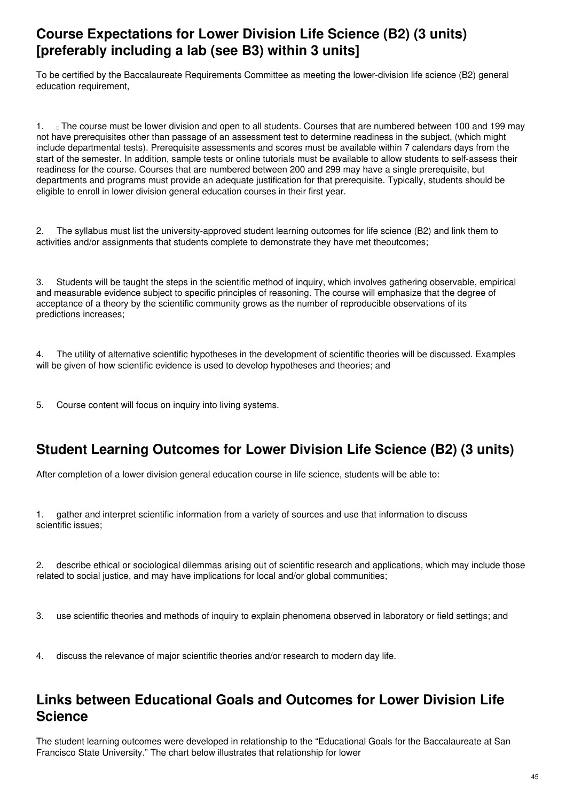# **Course Expectations for Lower Division Life Science (B2) (3 units) [preferably including a lab (see B3) within 3 units]**

To be certified by the Baccalaureate Requirements Committee as meeting the lower-division life science (B2) general education requirement.

1. The course must be lower division and open to all students. Courses that are numbered between 100 and 199 may not have prerequisites other than passage of an assessment test to determine readiness in the subject, (which might include departmental tests). Prerequisite assessments and scores must be available within 7 calendars days from the start of the semester. In addition, sample tests or online tutorials must be available to allow students to self-assess their readiness for the course. Courses that are numbered between 200 and 299 may have a single prerequisite, but departments and programs must provide an adequate justification for that prerequisite. Typically, students should be eligible to enroll in lower division general education courses in their first year.

2. The syllabus must list the university-approved student learning outcomes for life science (B2) and link them to activities and/or assignments that students complete to demonstrate they have met theoutcomes;

3. Students will be taught the steps in the scientific method of inquiry, which involves gathering observable, empirical and measurable evidence subject to specific principles of reasoning. The course will emphasize that the degree of acceptance of a theory by the scientific community grows as the number of reproducible observations of its predictions increases;

4. The utility of alternative scientific hypotheses in the development of scientific theories will be discussed. Examples will be given of how scientific evidence is used to develop hypotheses and theories; and

5. Course content will focus on inquiry into living systems.

# **Student Learning Outcomes for Lower Division Life Science (B2) (3 units)**

After completion of a lower division general education course in life science, students will be able to:

1. gather and interpret scientific information from a variety of sources and use that information to discuss scientific issues;

2. describe ethical or sociological dilemmas arising out of scientific research and applications, which may include those related to social justice, and may have implications for local and/or global communities;

3. use scientific theories and methods of inquiry to explain phenomena observed in laboratory or field settings; and

4. discuss the relevance of major scientific theories and/or research to modern day life.

# **Links between Educational Goals and Outcomes for Lower Division Life Science**

The student learning outcomes were developed in relationship to the "Educational Goals for the Baccalaureate at San Francisco State University." The chart below illustrates that relationship for lower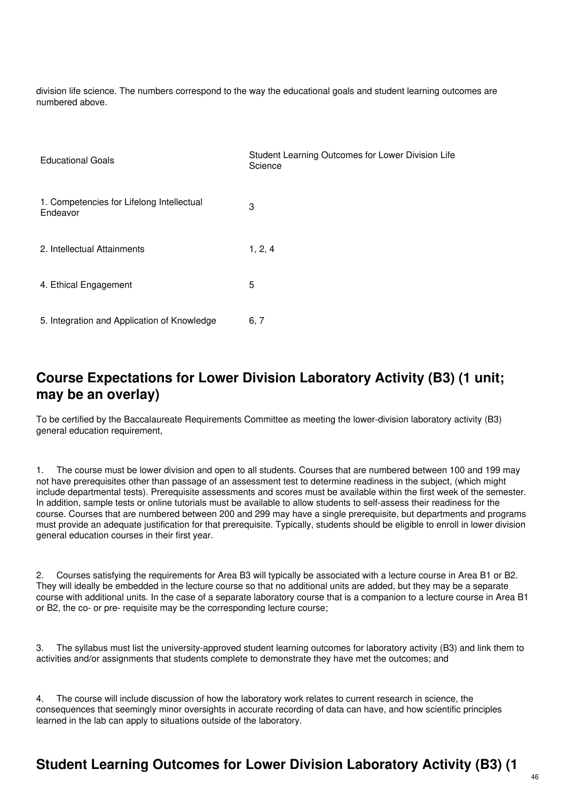division life science. The numbers correspond to the way the educational goals and student learning outcomes are numbered above.

| <b>Educational Goals</b>                              | Student Learning Outcomes for Lower Division Life<br>Science |
|-------------------------------------------------------|--------------------------------------------------------------|
| 1. Competencies for Lifelong Intellectual<br>Endeavor | 3                                                            |
| 2. Intellectual Attainments                           | 1, 2, 4                                                      |
| 4. Ethical Engagement                                 | 5                                                            |
| 5. Integration and Application of Knowledge           | 6, 7                                                         |

# **Course Expectations for Lower Division Laboratory Activity (B3) (1 unit; may be an overlay)**

To be certified by the Baccalaureate Requirements Committee as meeting the lower-division laboratory activity (B3) general education requirement,

1. The course must be lower division and open to all students. Courses that are numbered between 100 and 199 may not have prerequisites other than passage of an assessment test to determine readiness in the subject, (which might include departmental tests). Prerequisite assessments and scores must be available within the first week of the semester. In addition, sample tests or online tutorials must be available to allow students to self-assess their readiness for the course. Courses that are numbered between 200 and 299 may have a single prerequisite, but departments and programs must provide an adequate justification for that prerequisite. Typically, students should be eligible to enroll in lower division general education courses in their first year.

2. Courses satisfying the requirements for Area B3 will typically be associated with a lecture course in Area B1 or B2. They will ideally be embedded in the lecture course so that no additional units are added, but they may be a separate course with additional units. In the case of a separate laboratory course that is a companion to a lecture course in Area B1 or B2, the co- or pre- requisite may be the corresponding lecture course;

3. The syllabus must list the university-approved student learning outcomes for laboratory activity (B3) and link them to activities and/or assignments that students complete to demonstrate they have met the outcomes; and

4. The course will include discussion of how the laboratory work relates to current research in science, the consequences that seemingly minor oversights in accurate recording of data can have, and how scientific principles learned in the lab can apply to situations outside of the laboratory.

# **Student Learning Outcomes for Lower Division Laboratory Activity (B3) (1**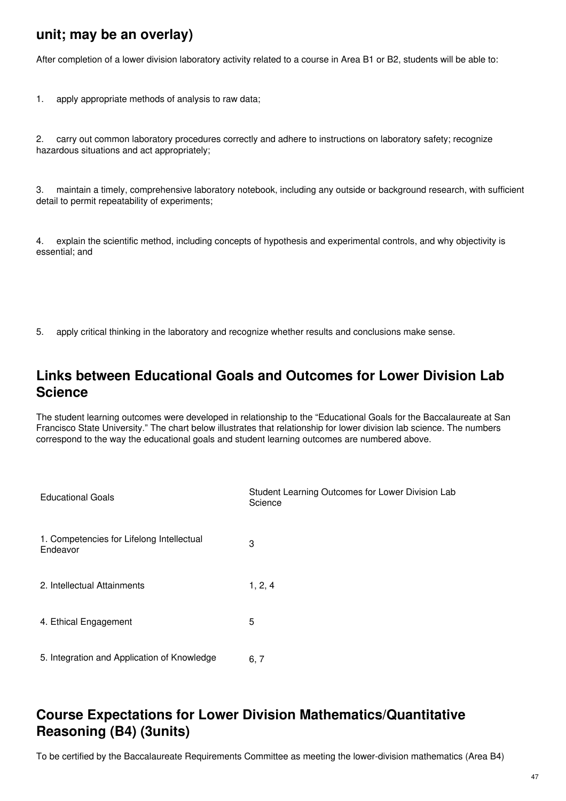## **unit; may be an overlay)**

After completion of a lower division laboratory activity related to a course in Area B1 or B2, students will be able to:

1. apply appropriate methods of analysis to raw data;

2. carry out common laboratory procedures correctly and adhere to instructions on laboratory safety; recognize hazardous situations and act appropriately;

3. maintain a timely, comprehensive laboratory notebook, including any outside or background research, with sufficient detail to permit repeatability of experiments;

4. explain the scientific method, including concepts of hypothesis and experimental controls, and why objectivity is essential; and

5. apply critical thinking in the laboratory and recognize whether results and conclusions make sense.

## **Links between Educational Goals and Outcomes for Lower Division Lab Science**

The student learning outcomes were developed in relationship to the "Educational Goals for the Baccalaureate at San Francisco State University." The chart below illustrates that relationship for lower division lab science. The numbers correspond to the way the educational goals and student learning outcomes are numbered above.

| <b>Educational Goals</b>                              | Student Learning Outcomes for Lower Division Lab<br>Science |
|-------------------------------------------------------|-------------------------------------------------------------|
| 1. Competencies for Lifelong Intellectual<br>Endeavor | 3                                                           |
| 2. Intellectual Attainments                           | 1, 2, 4                                                     |
| 4. Ethical Engagement                                 | 5                                                           |
| 5. Integration and Application of Knowledge           | 6, 7                                                        |

# **Course Expectations for Lower Division Mathematics/Quantitative Reasoning (B4) (3units)**

To be certified by the Baccalaureate Requirements Committee as meeting the lower-division mathematics (Area B4)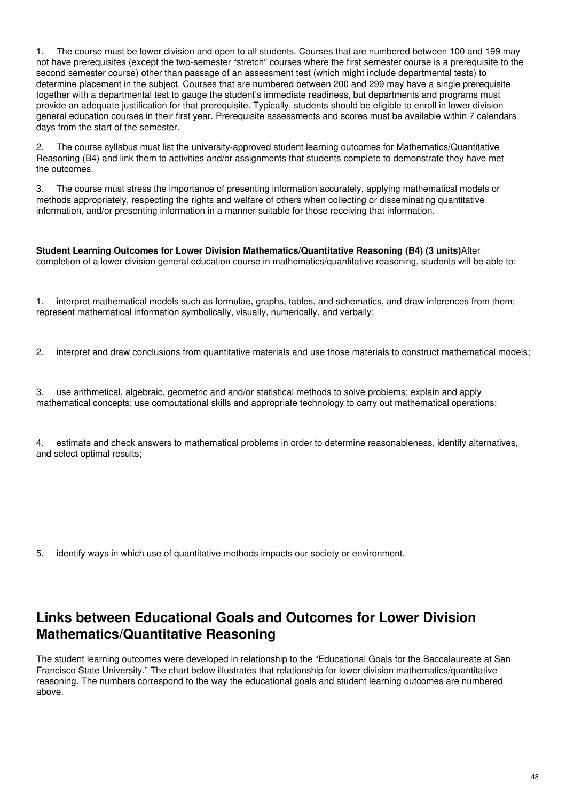1. The course must be lower division and open to all students. Courses that are numbered between 100 and 199 may not have prerequisites (except the two-semester "stretch" courses where the first semester course is a prerequisite to the second semester course) other than passage of an assessment test (which might include departmental tests) to determine placement in the subject. Courses that are numbered between 200 and 299 may have a single prerequisite together with a departmental test to gauge the student's immediate readiness, but departments and programs must provide an adequate justification for that prerequisite. Typically, students should be eligible to enroll in lower division general education courses in their first year. Prerequisite assessments and scores must be available within 7 calendars days from the start of the semester.

2. The course syllabus must list the university-approved student learning outcomes for Mathematics/Quantitative Reasoning (B4) and link them to activities and/or assignments that students complete to demonstrate they have met the outcomes.

3. The course must stress the importance of presenting information accurately, applying mathematical models or methods appropriately, respecting the rights and welfare of others when collecting or disseminating quantitative information, and/or presenting information in a manner suitable for those receiving that information.

**Student Learning Outcomes for Lower Division Mathematics/Quantitative Reasoning (B4) (3 units)**After completion of a lower division general education course in mathematics/quantitative reasoning, students will be able to:

1. interpret mathematical models such as formulae, graphs, tables, and schematics, and draw inferences from them; represent mathematical information symbolically, visually, numerically, and verbally;

2. interpret and draw conclusions from quantitative materials and use those materials to construct mathematical models;

3. use arithmetical, algebraic, geometric and and/or statistical methods to solve problems; explain and apply mathematical concepts; use computational skills and appropriate technology to carry out mathematical operations;

4. estimate and check answers to mathematical problems in order to determine reasonableness, identify alternatives, and select optimal results;

5. identify ways in which use of quantitative methods impacts our society or environment.

## **Links between Educational Goals and Outcomes for Lower Division Mathematics/Quantitative Reasoning**

The student learning outcomes were developed in relationship to the "Educational Goals for the Baccalaureate at San Francisco State University." The chart below illustrates that relationship for lower division mathematics/quantitative reasoning. The numbers correspond to the way the educational goals and student learning outcomes are numbered above.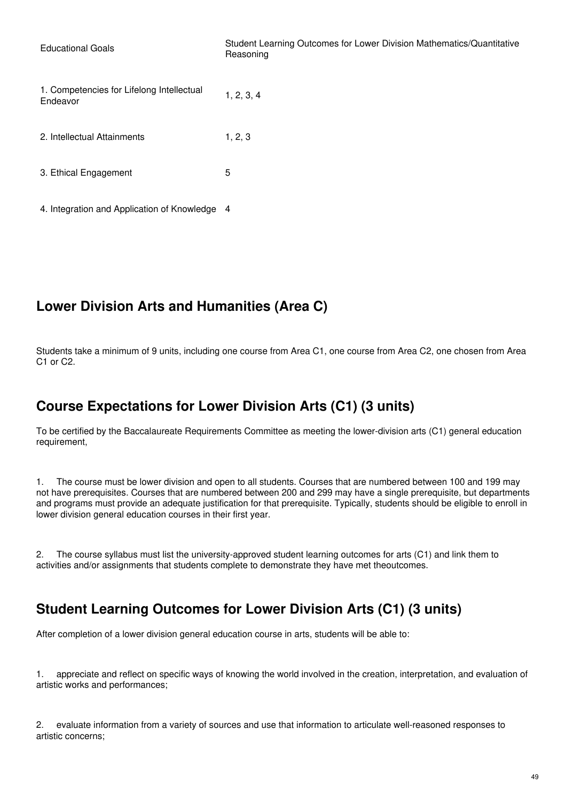| <b>Educational Goals</b>                              | Student Learning Outcomes for Lower Division Mathematics/Quantitative<br>Reasoning |
|-------------------------------------------------------|------------------------------------------------------------------------------------|
| 1. Competencies for Lifelong Intellectual<br>Endeavor | 1, 2, 3, 4                                                                         |
| 2. Intellectual Attainments                           | 1, 2, 3                                                                            |
| 3. Ethical Engagement                                 | 5                                                                                  |
| 4. Integration and Application of Knowledge 4         |                                                                                    |

# **Lower Division Arts and Humanities (Area C)**

Students take a minimum of 9 units, including one course from Area C1, one course from Area C2, one chosen from Area C1 or C2.

# **Course Expectations for Lower Division Arts (C1) (3 units)**

To be certified by the Baccalaureate Requirements Committee as meeting the lower-division arts (C1) general education requirement,

1. The course must be lower division and open to all students. Courses that are numbered between 100 and 199 may not have prerequisites. Courses that are numbered between 200 and 299 may have a single prerequisite, but departments and programs must provide an adequate justification for that prerequisite. Typically, students should be eligible to enroll in lower division general education courses in their first year.

2. The course syllabus must list the university-approved student learning outcomes for arts (C1) and link them to activities and/or assignments that students complete to demonstrate they have met theoutcomes.

# **Student Learning Outcomes for Lower Division Arts (C1) (3 units)**

After completion of a lower division general education course in arts, students will be able to:

1. appreciate and reflect on specific ways of knowing the world involved in the creation, interpretation, and evaluation of artistic works and performances;

2. evaluate information from a variety of sources and use that information to articulate well-reasoned responses to artistic concerns;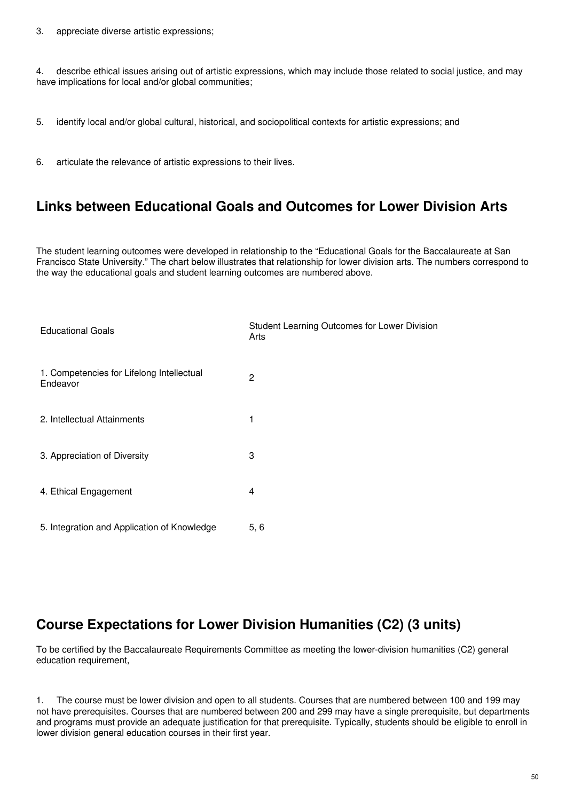4. describe ethical issues arising out of artistic expressions, which may include those related to social justice, and may have implications for local and/or global communities;

- 5. identify local and/or global cultural, historical, and sociopolitical contexts for artistic expressions; and
- 6. articulate the relevance of artistic expressions to their lives.

#### **Links between Educational Goals and Outcomes for Lower Division Arts**

The student learning outcomes were developed in relationship to the "Educational Goals for the Baccalaureate at San Francisco State University." The chart below illustrates that relationship for lower division arts. The numbers correspond to the way the educational goals and student learning outcomes are numbered above.

| <b>Educational Goals</b>                              | Student Learning Outcomes for Lower Division<br>Arts |
|-------------------------------------------------------|------------------------------------------------------|
| 1. Competencies for Lifelong Intellectual<br>Endeavor | $\overline{2}$                                       |
| 2. Intellectual Attainments                           | 1                                                    |
| 3. Appreciation of Diversity                          | 3                                                    |
| 4. Ethical Engagement                                 | 4                                                    |
| 5. Integration and Application of Knowledge           | 5, 6                                                 |

# **Course Expectations for Lower Division Humanities (C2) (3 units)**

To be certified by the Baccalaureate Requirements Committee as meeting the lower-division humanities (C2) general education requirement,

1. The course must be lower division and open to all students. Courses that are numbered between 100 and 199 may not have prerequisites. Courses that are numbered between 200 and 299 may have a single prerequisite, but departments and programs must provide an adequate justification for that prerequisite. Typically, students should be eligible to enroll in lower division general education courses in their first year.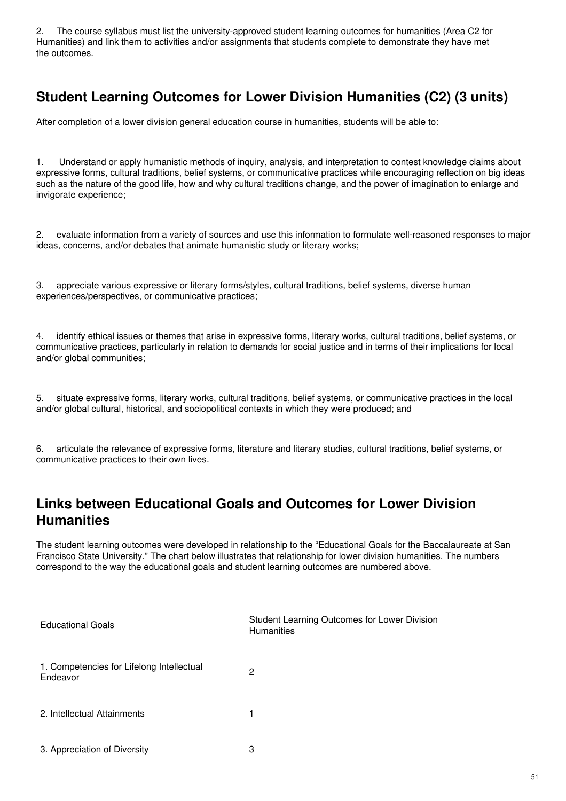2. The course syllabus must list the university-approved student learning outcomes for humanities (Area C2 for Humanities) and link them to activities and/or assignments that students complete to demonstrate they have met the outcomes.

# **Student Learning Outcomes for Lower Division Humanities (C2) (3 units)**

After completion of a lower division general education course in humanities, students will be able to:

1. Understand or apply humanistic methods of inquiry, analysis, and interpretation to contest knowledge claims about expressive forms, cultural traditions, belief systems, or communicative practices while encouraging reflection on big ideas such as the nature of the good life, how and why cultural traditions change, and the power of imagination to enlarge and invigorate experience;

2. evaluate information from a variety of sources and use this information to formulate well-reasoned responses to major ideas, concerns, and/or debates that animate humanistic study or literary works;

3. appreciate various expressive or literary forms/styles, cultural traditions, belief systems, diverse human experiences/perspectives, or communicative practices;

4. identify ethical issues or themes that arise in expressive forms, literary works, cultural traditions, belief systems, or communicative practices, particularly in relation to demands for social justice and in terms of their implications for local and/or global communities:

5. situate expressive forms, literary works, cultural traditions, belief systems, or communicative practices in the local and/or global cultural, historical, and sociopolitical contexts in which they were produced; and

6. articulate the relevance of expressive forms, literature and literary studies, cultural traditions, belief systems, or communicative practices to their own lives.

# **Links between Educational Goals and Outcomes for Lower Division Humanities**

The student learning outcomes were developed in relationship to the "Educational Goals for the Baccalaureate at San Francisco State University." The chart below illustrates that relationship for lower division humanities. The numbers correspond to the way the educational goals and student learning outcomes are numbered above.

| <b>Educational Goals</b>                              | Student Learning Outcomes for Lower Division<br><b>Humanities</b> |
|-------------------------------------------------------|-------------------------------------------------------------------|
| 1. Competencies for Lifelong Intellectual<br>Endeavor | 2                                                                 |
| 2. Intellectual Attainments                           |                                                                   |
| 3. Appreciation of Diversity                          | 3                                                                 |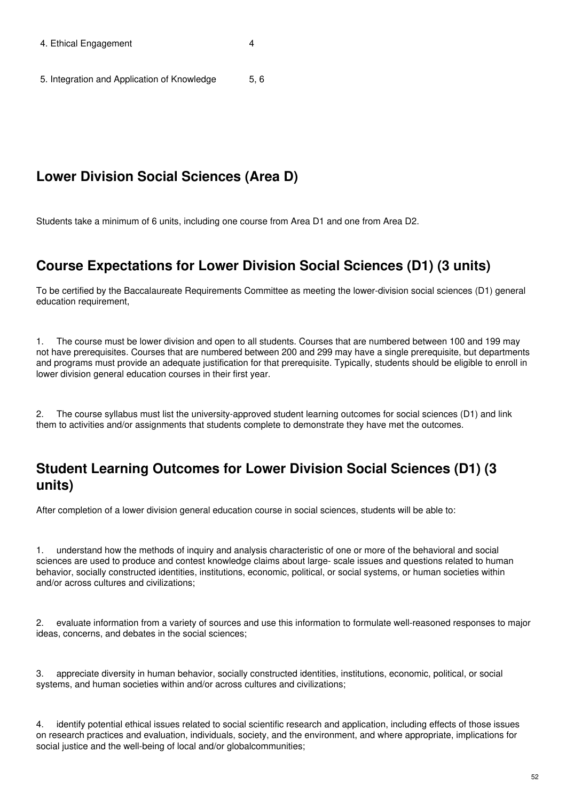5. Integration and Application of Knowledge 5, 6

## **Lower Division Social Sciences (Area D)**

Students take a minimum of 6 units, including one course from Area D1 and one from Area D2.

## **Course Expectations for Lower Division Social Sciences (D1) (3 units)**

To be certified by the Baccalaureate Requirements Committee as meeting the lower-division social sciences (D1) general education requirement,

1. The course must be lower division and open to all students. Courses that are numbered between 100 and 199 may not have prerequisites. Courses that are numbered between 200 and 299 may have a single prerequisite, but departments and programs must provide an adequate justification for that prerequisite. Typically, students should be eligible to enroll in lower division general education courses in their first year.

2. The course syllabus must list the university-approved student learning outcomes for social sciences (D1) and link them to activities and/or assignments that students complete to demonstrate they have met the outcomes.

## **Student Learning Outcomes for Lower Division Social Sciences (D1) (3 units)**

After completion of a lower division general education course in social sciences, students will be able to:

1. understand how the methods of inquiry and analysis characteristic of one or more of the behavioral and social sciences are used to produce and contest knowledge claims about large- scale issues and questions related to human behavior, socially constructed identities, institutions, economic, political, or social systems, or human societies within and/or across cultures and civilizations;

2. evaluate information from a variety of sources and use this information to formulate well-reasoned responses to major ideas, concerns, and debates in the social sciences;

3. appreciate diversity in human behavior, socially constructed identities, institutions, economic, political, or social systems, and human societies within and/or across cultures and civilizations;

4. identify potential ethical issues related to social scientific research and application, including effects of those issues on research practices and evaluation, individuals, society, and the environment, and where appropriate, implications for social justice and the well-being of local and/or globalcommunities;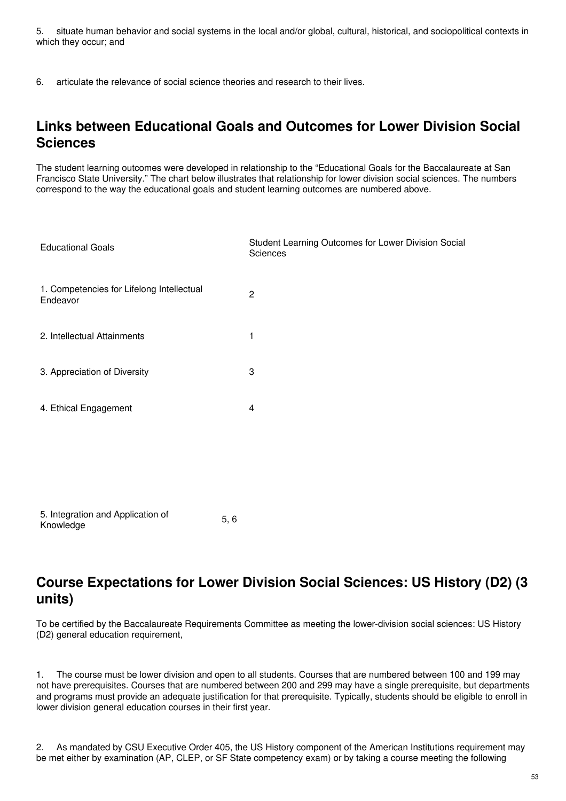5. situate human behavior and social systems in the local and/or global, cultural, historical, and sociopolitical contexts in which they occur; and

6. articulate the relevance of social science theories and research to their lives.

## **Links between Educational Goals and Outcomes for Lower Division Social Sciences**

The student learning outcomes were developed in relationship to the "Educational Goals for the Baccalaureate at San Francisco State University." The chart below illustrates that relationship for lower division social sciences. The numbers correspond to the way the educational goals and student learning outcomes are numbered above.

| <b>Educational Goals</b>                              | Student Learning Outcomes for Lower Division Social<br>Sciences |
|-------------------------------------------------------|-----------------------------------------------------------------|
| 1. Competencies for Lifelong Intellectual<br>Endeavor | $\overline{2}$                                                  |
| 2. Intellectual Attainments                           | 1                                                               |
| 3. Appreciation of Diversity                          | 3                                                               |
| 4. Ethical Engagement                                 | $\overline{\mathbf{4}}$                                         |
|                                                       |                                                                 |
|                                                       |                                                                 |
| 5. Integration and Application of<br>5,6<br>Knowledge |                                                                 |

## **Course Expectations for Lower Division Social Sciences: US History (D2) (3 units)**

To be certified by the Baccalaureate Requirements Committee as meeting the lower-division social sciences: US History (D2) general education requirement,

1. The course must be lower division and open to all students. Courses that are numbered between 100 and 199 may not have prerequisites. Courses that are numbered between 200 and 299 may have a single prerequisite, but departments and programs must provide an adequate justification for that prerequisite. Typically, students should be eligible to enroll in lower division general education courses in their first year.

2. As mandated by CSU Executive Order 405, the US History component of the American Institutions requirement may be met either by examination (AP, CLEP, or SF State competency exam) or by taking a course meeting the following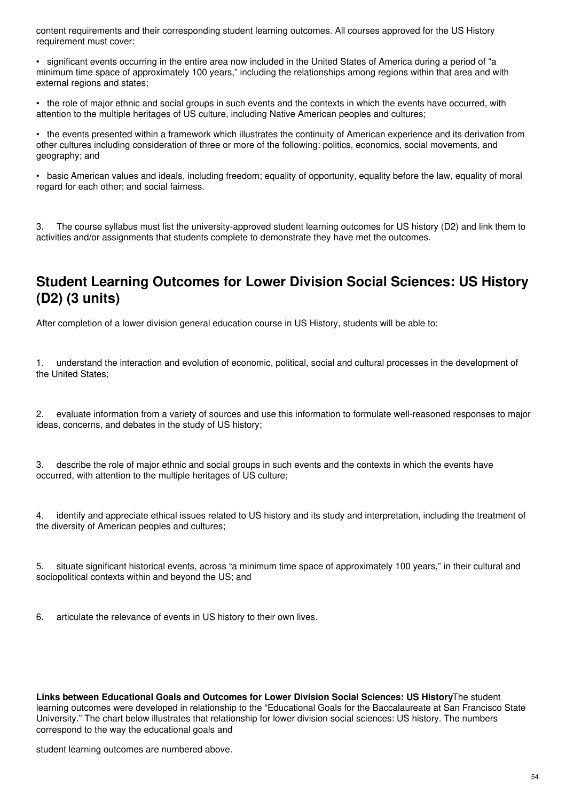content requirements and their corresponding student learning outcomes. All courses approved for the US History requirement must cover:

• significant events occurring in the entire area now included in the United States of America during a period of "a minimum time space of approximately 100 years," including the relationships among regions within that area and with external regions and states;

• the role of major ethnic and social groups in such events and the contexts in which the events have occurred, with attention to the multiple heritages of US culture, including Native American peoples and cultures;

• the events presented within a framework which illustrates the continuity of American experience and its derivation from other cultures including consideration of three or more of the following: politics, economics, social movements, and geography; and

• basic American values and ideals, including freedom; equality of opportunity, equality before the law, equality of moral regard for each other; and social fairness.

3. The course syllabus must list the university-approved student learning outcomes for US history (D2) and link them to activities and/or assignments that students complete to demonstrate they have met the outcomes.

## **Student Learning Outcomes for Lower Division Social Sciences: US History (D2) (3 units)**

After completion of a lower division general education course in US History, students will be able to:

1. understand the interaction and evolution of economic, political, social and cultural processes in the development of the United States;

2. evaluate information from a variety of sources and use this information to formulate well-reasoned responses to major ideas, concerns, and debates in the study of US history;

3. describe the role of major ethnic and social groups in such events and the contexts in which the events have occurred, with attention to the multiple heritages of US culture;

4. identify and appreciate ethical issues related to US history and its study and interpretation, including the treatment of the diversity of American peoples and cultures;

5. situate significant historical events, across "a minimum time space of approximately 100 years," in their cultural and sociopolitical contexts within and beyond the US; and

6. articulate the relevance of events in US history to their own lives.

**Links between Educational Goals and Outcomes for Lower Division Social Sciences: US History**The student learning outcomes were developed in relationship to the "Educational Goals for the Baccalaureate at San Francisco State University." The chart below illustrates that relationship for lower division social sciences: US history. The numbers correspond to the way the educational goals and

student learning outcomes are numbered above.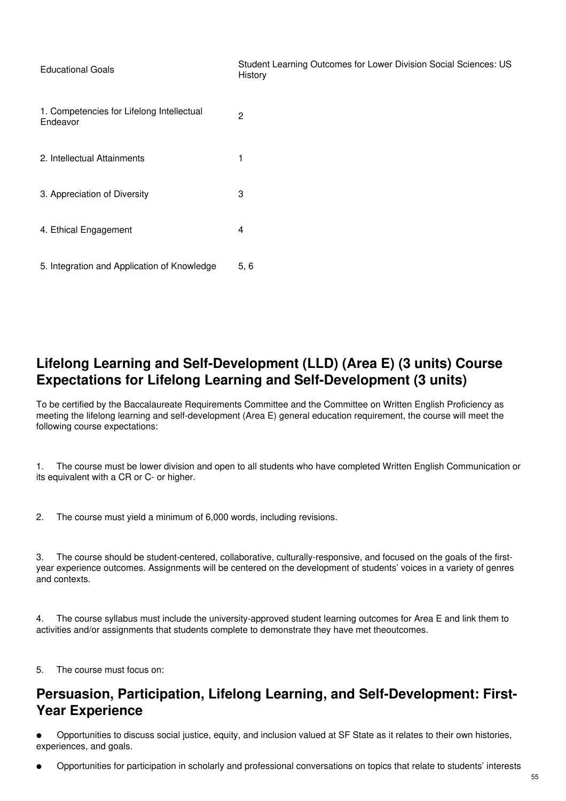| <b>Educational Goals</b>                              | Student Learning Outcomes for Lower Division Social Sciences: US<br>History |
|-------------------------------------------------------|-----------------------------------------------------------------------------|
| 1. Competencies for Lifelong Intellectual<br>Endeavor | $\overline{2}$                                                              |
| 2. Intellectual Attainments                           | 1                                                                           |
| 3. Appreciation of Diversity                          | 3                                                                           |
| 4. Ethical Engagement                                 | 4                                                                           |
| 5. Integration and Application of Knowledge           | 5, 6                                                                        |

# **Lifelong Learning and Self-Development (LLD) (Area E) (3 units) Course Expectations for Lifelong Learning and Self-Development (3 units)**

To be certified by the Baccalaureate Requirements Committee and the Committee on Written English Proficiency as meeting the lifelong learning and self-development (Area E) general education requirement, the course will meet the following course expectations:

1. The course must be lower division and open to all students who have completed Written English Communication or its equivalent with a CR or C- or higher.

2. The course must yield a minimum of 6,000 words, including revisions.

3. The course should be student-centered, collaborative, culturally-responsive, and focused on the goals of the firstyear experience outcomes. Assignments will be centered on the development of students' voices in a variety of genres and contexts.

4. The course syllabus must include the university-approved student learning outcomes for Area E and link them to activities and/or assignments that students complete to demonstrate they have met theoutcomes.

5. The course must focus on:

# **Persuasion, Participation, Lifelong Learning, and Self-Development: First-Year Experience**

● Opportunities to discuss social justice, equity, and inclusion valued at SF State as it relates to their own histories, experiences, and goals.

● Opportunities for participation in scholarly and professional conversations on topics that relate to students' interests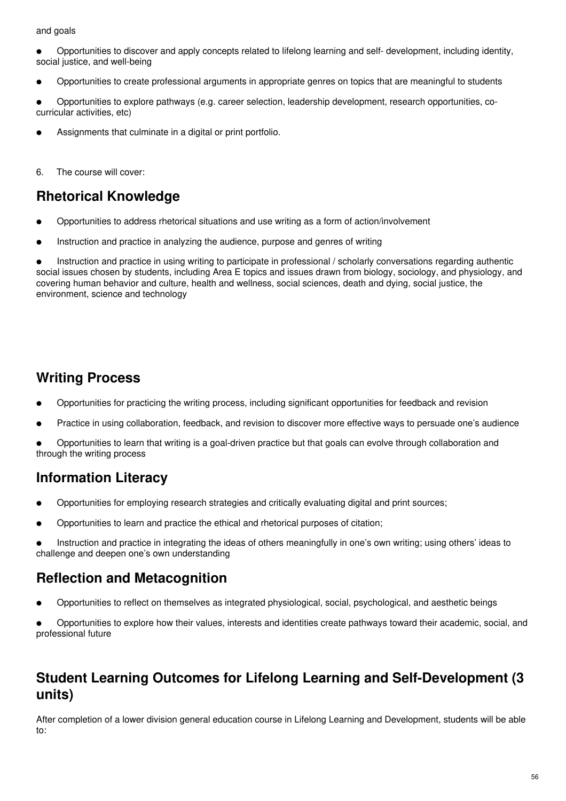#### and goals

● Opportunities to discover and apply concepts related to lifelong learning and self- development, including identity, social justice, and well-being

● Opportunities to create professional arguments in appropriate genres on topics that are meaningful to students

● Opportunities to explore pathways (e.g. career selection, leadership development, research opportunities, cocurricular activities, etc)

Assignments that culminate in a digital or print portfolio.

6. The course will cover:

## **Rhetorical Knowledge**

- Opportunities to address rhetorical situations and use writing as a form of action/involvement
- Instruction and practice in analyzing the audience, purpose and genres of writing

Instruction and practice in using writing to participate in professional / scholarly conversations regarding authentic social issues chosen by students, including Area E topics and issues drawn from biology, sociology, and physiology, and covering human behavior and culture, health and wellness, social sciences, death and dying, social justice, the environment, science and technology

## **Writing Process**

- Opportunities for practicing the writing process, including significant opportunities for feedback and revision
- Practice in using collaboration, feedback, and revision to discover more effective ways to persuade one's audience

● Opportunities to learn that writing is a goal-driven practice but that goals can evolve through collaboration and through the writing process

# **Information Literacy**

- Opportunities for employing research strategies and critically evaluating digital and print sources;
- Opportunities to learn and practice the ethical and rhetorical purposes of citation;
- Instruction and practice in integrating the ideas of others meaningfully in one's own writing; using others' ideas to challenge and deepen one's own understanding

# **Reflection and Metacognition**

● Opportunities to reflect on themselves as integrated physiological, social, psychological, and aesthetic beings

Opportunities to explore how their values, interests and identities create pathways toward their academic, social, and professional future

## **Student Learning Outcomes for Lifelong Learning and Self-Development (3 units)**

After completion of a lower division general education course in Lifelong Learning and Development, students will be able to: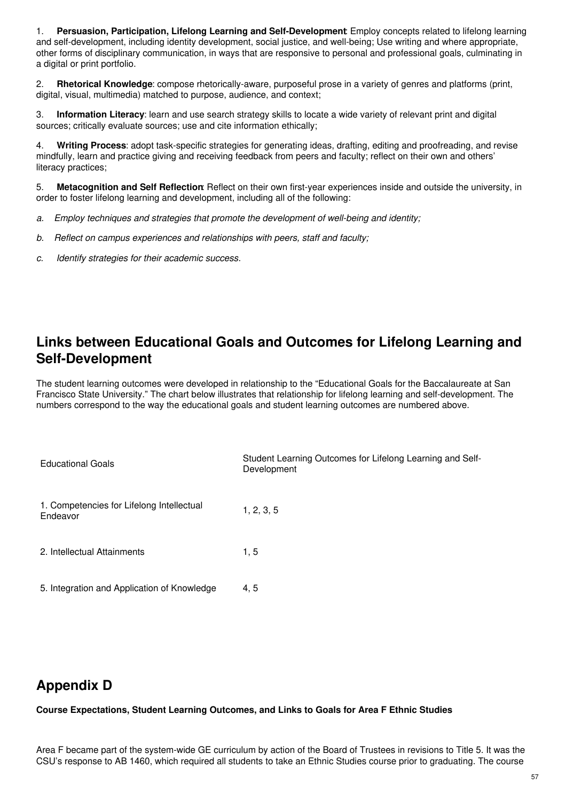1. **Persuasion, Participation, Lifelong Learning and Self-Development**: Employ concepts related to lifelong learning and self-development, including identity development, social justice, and well-being; Use writing and where appropriate, other forms of disciplinary communication, in ways that are responsive to personal and professional goals, culminating in a digital or print portfolio.

2. **Rhetorical Knowledge**: compose rhetorically-aware, purposeful prose in a variety of genres and platforms (print, digital, visual, multimedia) matched to purpose, audience, and context;

3. **Information Literacy**: learn and use search strategy skills to locate a wide variety of relevant print and digital sources; critically evaluate sources; use and cite information ethically;

4. **Writing Process**: adopt task-specific strategies for generating ideas, drafting, editing and proofreading, and revise mindfully, learn and practice giving and receiving feedback from peers and faculty; reflect on their own and others' literacy practices;

5. **Metacognition and Self Reflection**: Reflect on their own first-year experiences inside and outside the university, in order to foster lifelong learning and development, including all of the following:

- *a. Employ techniques and strategies that promote the development of well-being and identity;*
- *b. Reflect on campus experiences and relationships with peers, staff and faculty;*
- *c. Identify strategies for their academic success.*

## **Links between Educational Goals and Outcomes for Lifelong Learning and Self-Development**

The student learning outcomes were developed in relationship to the "Educational Goals for the Baccalaureate at San Francisco State University." The chart below illustrates that relationship for lifelong learning and self-development. The numbers correspond to the way the educational goals and student learning outcomes are numbered above.

| <b>Educational Goals</b>                              | Student Learning Outcomes for Lifelong Learning and Self-<br>Development |
|-------------------------------------------------------|--------------------------------------------------------------------------|
| 1. Competencies for Lifelong Intellectual<br>Endeavor | 1, 2, 3, 5                                                               |
| 2. Intellectual Attainments                           | 1, 5                                                                     |
| 5. Integration and Application of Knowledge           | 4, 5                                                                     |

#### **Appendix D**

#### **Course Expectations, Student Learning Outcomes, and Links to Goals for Area F Ethnic Studies**

Area F became part of the system-wide GE curriculum by action of the Board of Trustees in revisions to Title 5. It was the CSU's response to AB 1460, which required all students to take an Ethnic Studies course prior to graduating. The course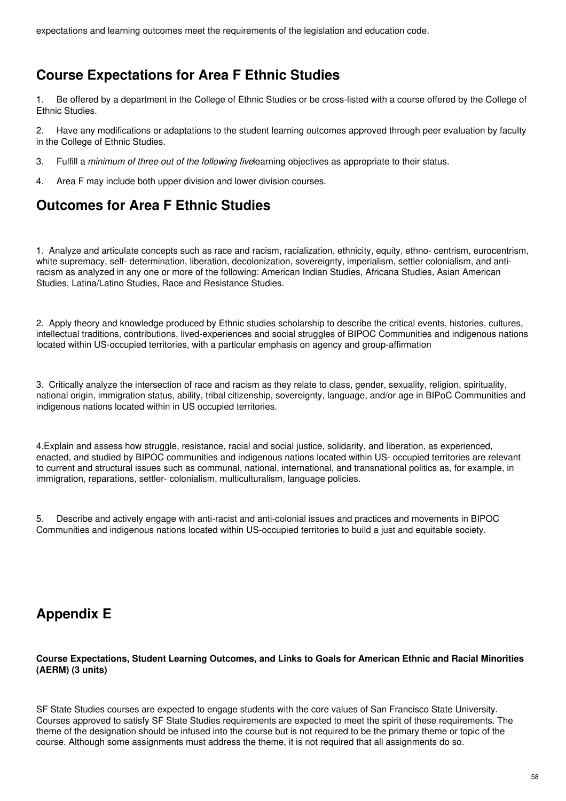expectations and learning outcomes meet the requirements of the legislation and education code.

# **Course Expectations for Area F Ethnic Studies**

1. Be offered by a department in the College of Ethnic Studies or be cross-listed with a course offered by the College of Ethnic Studies.

2. Have any modifications or adaptations to the student learning outcomes approved through peer evaluation by faculty in the College of Ethnic Studies.

- 3. Fulfill a *minimum of three out of the following five*learning objectives as appropriate to their status.
- 4. Area F may include both upper division and lower division courses.

# **Outcomes for Area F Ethnic Studies**

1. Analyze and articulate concepts such as race and racism, racialization, ethnicity, equity, ethno- centrism, eurocentrism, white supremacy, self- determination, liberation, decolonization, sovereignty, imperialism, settler colonialism, and antiracism as analyzed in any one or more of the following: American Indian Studies, Africana Studies, Asian American Studies, Latina/Latino Studies, Race and Resistance Studies.

2. Apply theory and knowledge produced by Ethnic studies scholarship to describe the critical events, histories, cultures, intellectual traditions, contributions, lived-experiences and social struggles of BIPOC Communities and indigenous nations located within US-occupied territories, with a particular emphasis on agency and group-affirmation

3. Critically analyze the intersection of race and racism as they relate to class, gender, sexuality, religion, spirituality, national origin, immigration status, ability, tribal citizenship, sovereignty, language, and/or age in BIPoC Communities and indigenous nations located within in US occupied territories.

4.Explain and assess how struggle, resistance, racial and social justice, solidarity, and liberation, as experienced, enacted, and studied by BIPOC communities and indigenous nations located within US- occupied territories are relevant to current and structural issues such as communal, national, international, and transnational politics as, for example, in immigration, reparations, settler- colonialism, multiculturalism, language policies.

5. Describe and actively engage with anti-racist and anti-colonial issues and practices and movements in BIPOC Communities and indigenous nations located within US-occupied territories to build a just and equitable society.

# **Appendix E**

#### **Course Expectations, Student Learning Outcomes, and Links to Goals for American Ethnic and Racial Minorities (AERM) (3 units)**

SF State Studies courses are expected to engage students with the core values of San Francisco State University. Courses approved to satisfy SF State Studies requirements are expected to meet the spirit of these requirements. The theme of the designation should be infused into the course but is not required to be the primary theme or topic of the course. Although some assignments must address the theme, it is not required that all assignments do so.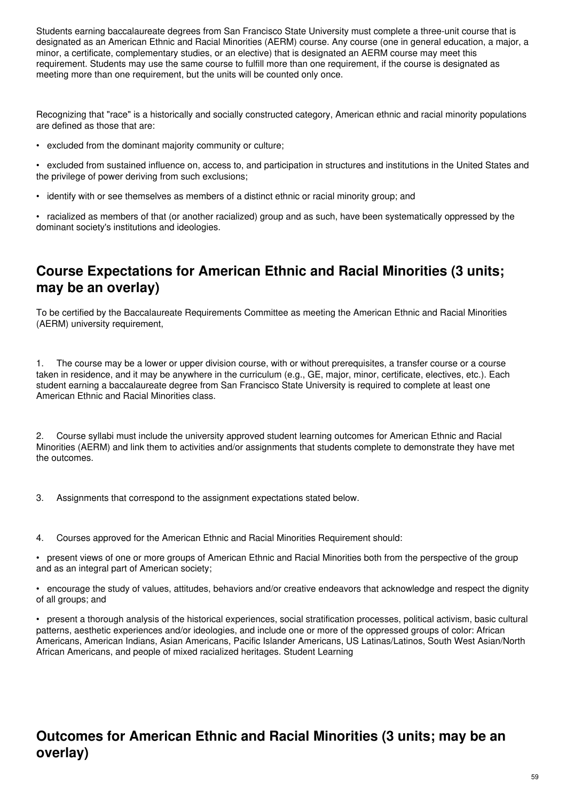Students earning baccalaureate degrees from San Francisco State University must complete a three-unit course that is designated as an American Ethnic and Racial Minorities (AERM) course. Any course (one in general education, a major, a minor, a certificate, complementary studies, or an elective) that is designated an AERM course may meet this requirement. Students may use the same course to fulfill more than one requirement, if the course is designated as meeting more than one requirement, but the units will be counted only once.

Recognizing that "race" is a historically and socially constructed category, American ethnic and racial minority populations are defined as those that are:

• excluded from the dominant majority community or culture;

• excluded from sustained influence on, access to, and participation in structures and institutions in the United States and the privilege of power deriving from such exclusions;

• identify with or see themselves as members of a distinct ethnic or racial minority group; and

• racialized as members of that (or another racialized) group and as such, have been systematically oppressed by the dominant society's institutions and ideologies.

# **Course Expectations for American Ethnic and Racial Minorities (3 units; may be an overlay)**

To be certified by the Baccalaureate Requirements Committee as meeting the American Ethnic and Racial Minorities (AERM) university requirement,

1. The course may be a lower or upper division course, with or without prerequisites, a transfer course or a course taken in residence, and it may be anywhere in the curriculum (e.g., GE, major, minor, certificate, electives, etc.). Each student earning a baccalaureate degree from San Francisco State University is required to complete at least one American Ethnic and Racial Minorities class.

2. Course syllabi must include the university approved student learning outcomes for American Ethnic and Racial Minorities (AERM) and link them to activities and/or assignments that students complete to demonstrate they have met the outcomes.

- 3. Assignments that correspond to the assignment expectations stated below.
- 4. Courses approved for the American Ethnic and Racial Minorities Requirement should:

• present views of one or more groups of American Ethnic and Racial Minorities both from the perspective of the group and as an integral part of American society;

• encourage the study of values, attitudes, behaviors and/or creative endeavors that acknowledge and respect the dignity of all groups; and

• present a thorough analysis of the historical experiences, social stratification processes, political activism, basic cultural patterns, aesthetic experiences and/or ideologies, and include one or more of the oppressed groups of color: African Americans, American Indians, Asian Americans, Pacific Islander Americans, US Latinas/Latinos, South West Asian/North African Americans, and people of mixed racialized heritages. Student Learning

# **Outcomes for American Ethnic and Racial Minorities (3 units; may be an overlay)**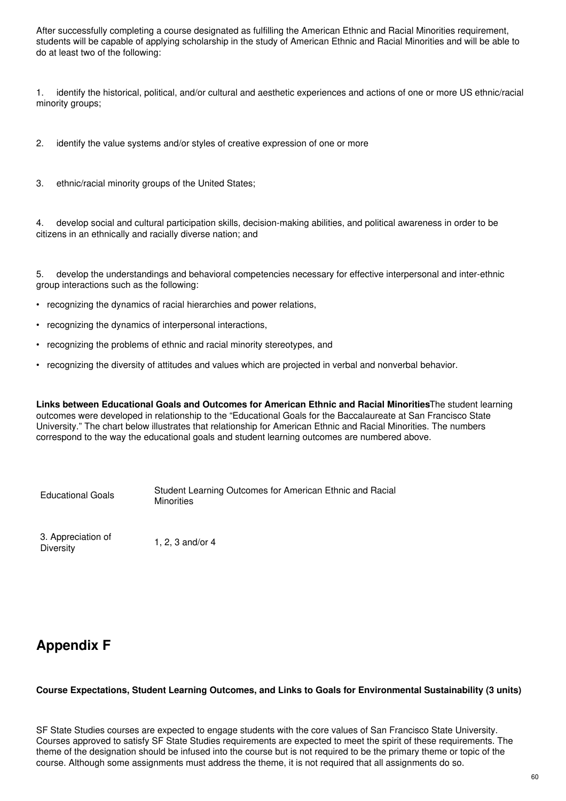After successfully completing a course designated as fulfilling the American Ethnic and Racial Minorities requirement, students will be capable of applying scholarship in the study of American Ethnic and Racial Minorities and will be able to do at least two of the following:

1. identify the historical, political, and/or cultural and aesthetic experiences and actions of one or more US ethnic/racial minority groups;

2. identify the value systems and/or styles of creative expression of one or more

3. ethnic/racial minority groups of the United States;

4. develop social and cultural participation skills, decision-making abilities, and political awareness in order to be citizens in an ethnically and racially diverse nation; and

5. develop the understandings and behavioral competencies necessary for effective interpersonal and inter-ethnic group interactions such as the following:

- recognizing the dynamics of racial hierarchies and power relations,
- recognizing the dynamics of interpersonal interactions,
- recognizing the problems of ethnic and racial minority stereotypes, and
- recognizing the diversity of attitudes and values which are projected in verbal and nonverbal behavior.

**Links between Educational Goals and Outcomes for American Ethnic and Racial Minorities**The student learning outcomes were developed in relationship to the "Educational Goals for the Baccalaureate at San Francisco State University." The chart below illustrates that relationship for American Ethnic and Racial Minorities. The numbers correspond to the way the educational goals and student learning outcomes are numbered above.

Educational Goals

Student Learning Outcomes for American Ethnic and Racial **Minorities** 

3. Appreciation of Diversity

1, 2, 3 and/or 4

# **Appendix F**

#### **Course Expectations, Student Learning Outcomes, and Links to Goals for Environmental Sustainability (3 units)**

SF State Studies courses are expected to engage students with the core values of San Francisco State University. Courses approved to satisfy SF State Studies requirements are expected to meet the spirit of these requirements. The theme of the designation should be infused into the course but is not required to be the primary theme or topic of the course. Although some assignments must address the theme, it is not required that all assignments do so.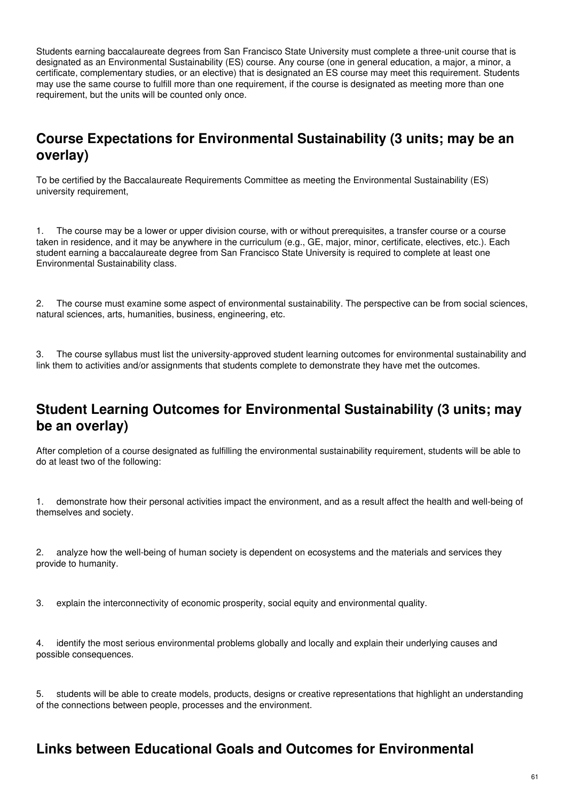Students earning baccalaureate degrees from San Francisco State University must complete a three-unit course that is designated as an Environmental Sustainability (ES) course. Any course (one in general education, a major, a minor, a certificate, complementary studies, or an elective) that is designated an ES course may meet this requirement. Students may use the same course to fulfill more than one requirement, if the course is designated as meeting more than one requirement, but the units will be counted only once.

# **Course Expectations for Environmental Sustainability (3 units; may be an overlay)**

To be certified by the Baccalaureate Requirements Committee as meeting the Environmental Sustainability (ES) university requirement,

1. The course may be a lower or upper division course, with or without prerequisites, a transfer course or a course taken in residence, and it may be anywhere in the curriculum (e.g., GE, major, minor, certificate, electives, etc.). Each student earning a baccalaureate degree from San Francisco State University is required to complete at least one Environmental Sustainability class.

2. The course must examine some aspect of environmental sustainability. The perspective can be from social sciences, natural sciences, arts, humanities, business, engineering, etc.

3. The course syllabus must list the university-approved student learning outcomes for environmental sustainability and link them to activities and/or assignments that students complete to demonstrate they have met the outcomes.

## **Student Learning Outcomes for Environmental Sustainability (3 units; may be an overlay)**

After completion of a course designated as fulfilling the environmental sustainability requirement, students will be able to do at least two of the following:

1. demonstrate how their personal activities impact the environment, and as a result affect the health and well-being of themselves and society.

2. analyze how the well-being of human society is dependent on ecosystems and the materials and services they provide to humanity.

3. explain the interconnectivity of economic prosperity, social equity and environmental quality.

4. identify the most serious environmental problems globally and locally and explain their underlying causes and possible consequences.

5. students will be able to create models, products, designs or creative representations that highlight an understanding of the connections between people, processes and the environment.

# **Links between Educational Goals and Outcomes for Environmental**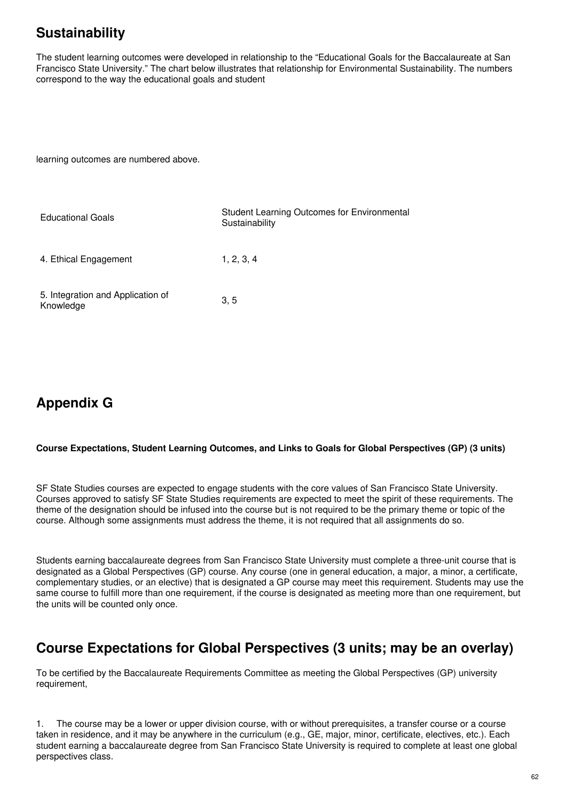# **Sustainability**

The student learning outcomes were developed in relationship to the "Educational Goals for the Baccalaureate at San Francisco State University." The chart below illustrates that relationship for Environmental Sustainability. The numbers correspond to the way the educational goals and student

learning outcomes are numbered above.

| <b>Educational Goals</b>                       | Student Learning Outcomes for Environmental<br>Sustainability |
|------------------------------------------------|---------------------------------------------------------------|
| 4. Ethical Engagement                          | 1, 2, 3, 4                                                    |
| 5. Integration and Application of<br>Knowledge | 3, 5                                                          |

# **Appendix G**

#### **Course Expectations, Student Learning Outcomes, and Links to Goals for Global Perspectives (GP) (3 units)**

SF State Studies courses are expected to engage students with the core values of San Francisco State University. Courses approved to satisfy SF State Studies requirements are expected to meet the spirit of these requirements. The theme of the designation should be infused into the course but is not required to be the primary theme or topic of the course. Although some assignments must address the theme, it is not required that all assignments do so.

Students earning baccalaureate degrees from San Francisco State University must complete a three-unit course that is designated as a Global Perspectives (GP) course. Any course (one in general education, a major, a minor, a certificate, complementary studies, or an elective) that is designated a GP course may meet this requirement. Students may use the same course to fulfill more than one requirement, if the course is designated as meeting more than one requirement, but the units will be counted only once.

# **Course Expectations for Global Perspectives (3 units; may be an overlay)**

To be certified by the Baccalaureate Requirements Committee as meeting the Global Perspectives (GP) university requirement,

1. The course may be a lower or upper division course, with or without prerequisites, a transfer course or a course taken in residence, and it may be anywhere in the curriculum (e.g., GE, major, minor, certificate, electives, etc.). Each student earning a baccalaureate degree from San Francisco State University is required to complete at least one global perspectives class.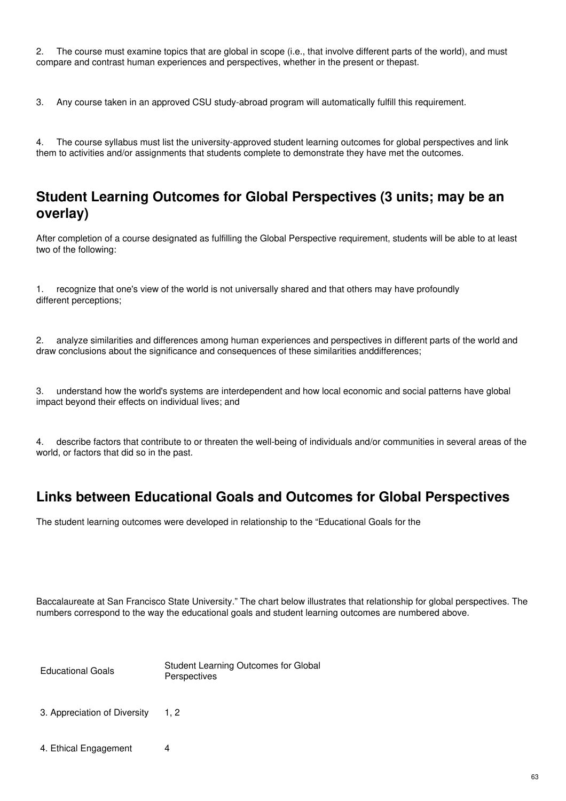2. The course must examine topics that are global in scope (i.e., that involve different parts of the world), and must compare and contrast human experiences and perspectives, whether in the present or thepast.

3. Any course taken in an approved CSU study-abroad program will automatically fulfill this requirement.

4. The course syllabus must list the university-approved student learning outcomes for global perspectives and link them to activities and/or assignments that students complete to demonstrate they have met the outcomes.

#### **Student Learning Outcomes for Global Perspectives (3 units; may be an overlay)**

After completion of a course designated as fulfilling the Global Perspective requirement, students will be able to at least two of the following:

1. recognize that one's view of the world is not universally shared and that others may have profoundly different perceptions;

2. analyze similarities and differences among human experiences and perspectives in different parts of the world and draw conclusions about the significance and consequences of these similarities anddifferences;

3. understand how the world's systems are interdependent and how local economic and social patterns have global impact beyond their effects on individual lives; and

4. describe factors that contribute to or threaten the well-being of individuals and/or communities in several areas of the world, or factors that did so in the past.

# **Links between Educational Goals and Outcomes for Global Perspectives**

The student learning outcomes were developed in relationship to the "Educational Goals for the

Baccalaureate at San Francisco State University." The chart below illustrates that relationship for global perspectives. The numbers correspond to the way the educational goals and student learning outcomes are numbered above.

Educational Goals

Student Learning Outcomes for Global **Perspectives** 

- 3. Appreciation of Diversity 1, 2
- 4. Ethical Engagement 4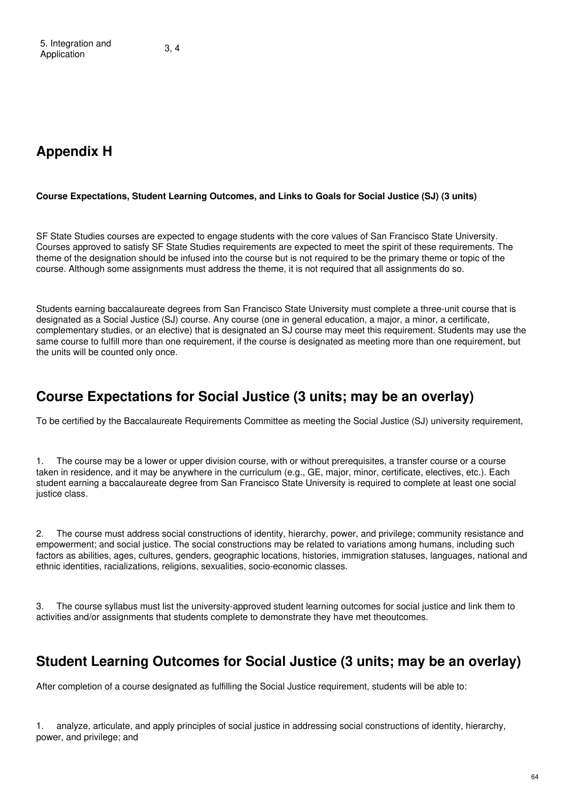# **Appendix H**

#### **Course Expectations, Student Learning Outcomes, and Links to Goals for Social Justice (SJ) (3 units)**

SF State Studies courses are expected to engage students with the core values of San Francisco State University. Courses approved to satisfy SF State Studies requirements are expected to meet the spirit of these requirements. The theme of the designation should be infused into the course but is not required to be the primary theme or topic of the course. Although some assignments must address the theme, it is not required that all assignments do so.

Students earning baccalaureate degrees from San Francisco State University must complete a three-unit course that is designated as a Social Justice (SJ) course. Any course (one in general education, a major, a minor, a certificate, complementary studies, or an elective) that is designated an SJ course may meet this requirement. Students may use the same course to fulfill more than one requirement, if the course is designated as meeting more than one requirement, but the units will be counted only once.

#### **Course Expectations for Social Justice (3 units; may be an overlay)**

To be certified by the Baccalaureate Requirements Committee as meeting the Social Justice (SJ) university requirement,

1. The course may be a lower or upper division course, with or without prerequisites, a transfer course or a course taken in residence, and it may be anywhere in the curriculum (e.g., GE, major, minor, certificate, electives, etc.). Each student earning a baccalaureate degree from San Francisco State University is required to complete at least one social justice class.

2. The course must address social constructions of identity, hierarchy, power, and privilege; community resistance and empowerment; and social justice. The social constructions may be related to variations among humans, including such factors as abilities, ages, cultures, genders, geographic locations, histories, immigration statuses, languages, national and ethnic identities, racializations, religions, sexualities, socio-economic classes.

3. The course syllabus must list the university-approved student learning outcomes for social justice and link them to activities and/or assignments that students complete to demonstrate they have met theoutcomes.

#### **Student Learning Outcomes for Social Justice (3 units; may be an overlay)**

After completion of a course designated as fulfilling the Social Justice requirement, students will be able to:

1. analyze, articulate, and apply principles of social justice in addressing social constructions of identity, hierarchy, power, and privilege; and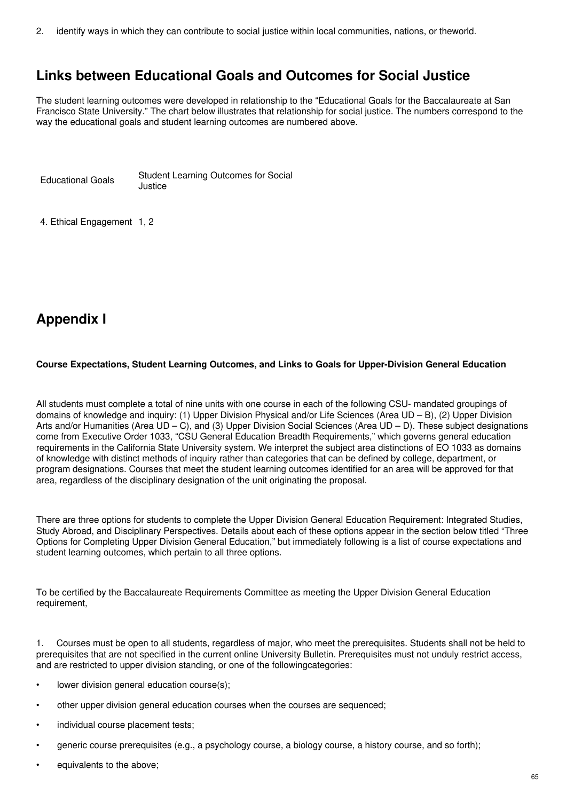2. identify ways in which they can contribute to social justice within local communities, nations, or theworld.

# **Links between Educational Goals and Outcomes for Social Justice**

The student learning outcomes were developed in relationship to the "Educational Goals for the Baccalaureate at San Francisco State University." The chart below illustrates that relationship for social justice. The numbers correspond to the way the educational goals and student learning outcomes are numbered above.

Educational Goals Student Learning Outcomes for Social Justice

4. Ethical Engagement 1, 2

# **Appendix I**

#### **Course Expectations, Student Learning Outcomes, and Links to Goals for Upper-Division General Education**

All students must complete a total of nine units with one course in each of the following CSU- mandated groupings of domains of knowledge and inquiry: (1) Upper Division Physical and/or Life Sciences (Area UD – B), (2) Upper Division Arts and/or Humanities (Area UD – C), and (3) Upper Division Social Sciences (Area UD – D). These subject designations come from Executive Order 1033, "CSU General Education Breadth Requirements," which governs general education requirements in the California State University system. We interpret the subject area distinctions of EO 1033 as domains of knowledge with distinct methods of inquiry rather than categories that can be defined by college, department, or program designations. Courses that meet the student learning outcomes identified for an area will be approved for that area, regardless of the disciplinary designation of the unit originating the proposal.

There are three options for students to complete the Upper Division General Education Requirement: Integrated Studies, Study Abroad, and Disciplinary Perspectives. Details about each of these options appear in the section below titled "Three Options for Completing Upper Division General Education," but immediately following is a list of course expectations and student learning outcomes, which pertain to all three options.

To be certified by the Baccalaureate Requirements Committee as meeting the Upper Division General Education requirement,

1. Courses must be open to all students, regardless of major, who meet the prerequisites. Students shall not be held to prerequisites that are not specified in the current online University Bulletin. Prerequisites must not unduly restrict access, and are restricted to upper division standing, or one of the followingcategories:

- lower division general education course(s);
- other upper division general education courses when the courses are sequenced;
- individual course placement tests;
- generic course prerequisites (e.g., a psychology course, a biology course, a history course, and so forth);
- equivalents to the above;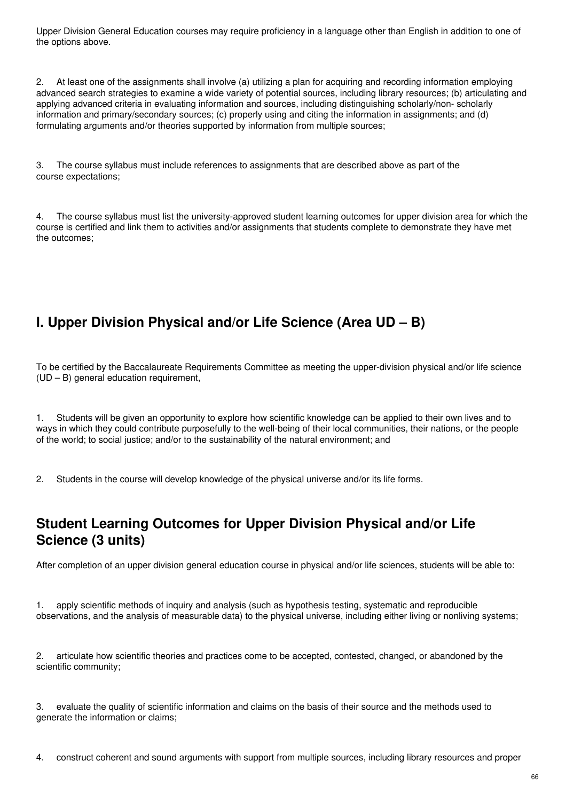Upper Division General Education courses may require proficiency in a language other than English in addition to one of the options above.

2. At least one of the assignments shall involve (a) utilizing a plan for acquiring and recording information employing advanced search strategies to examine a wide variety of potential sources, including library resources; (b) articulating and applying advanced criteria in evaluating information and sources, including distinguishing scholarly/non- scholarly information and primary/secondary sources; (c) properly using and citing the information in assignments; and (d) formulating arguments and/or theories supported by information from multiple sources;

3. The course syllabus must include references to assignments that are described above as part of the course expectations;

4. The course syllabus must list the university-approved student learning outcomes for upper division area for which the course is certified and link them to activities and/or assignments that students complete to demonstrate they have met the outcomes;

# **I. Upper Division Physical and/or Life Science (Area UD – B)**

To be certified by the Baccalaureate Requirements Committee as meeting the upper-division physical and/or life science (UD – B) general education requirement,

1. Students will be given an opportunity to explore how scientific knowledge can be applied to their own lives and to ways in which they could contribute purposefully to the well-being of their local communities, their nations, or the people of the world; to social justice; and/or to the sustainability of the natural environment; and

2. Students in the course will develop knowledge of the physical universe and/or its life forms.

# **Student Learning Outcomes for Upper Division Physical and/or Life Science (3 units)**

After completion of an upper division general education course in physical and/or life sciences, students will be able to:

1. apply scientific methods of inquiry and analysis (such as hypothesis testing, systematic and reproducible observations, and the analysis of measurable data) to the physical universe, including either living or nonliving systems;

2. articulate how scientific theories and practices come to be accepted, contested, changed, or abandoned by the scientific community;

3. evaluate the quality of scientific information and claims on the basis of their source and the methods used to generate the information or claims;

4. construct coherent and sound arguments with support from multiple sources, including library resources and proper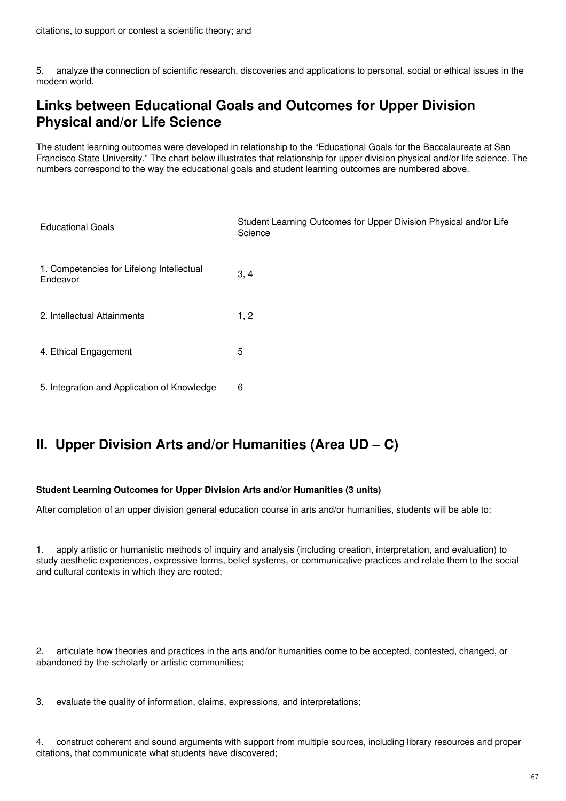5. analyze the connection of scientific research, discoveries and applications to personal, social or ethical issues in the modern world.

# **Links between Educational Goals and Outcomes for Upper Division Physical and/or Life Science**

The student learning outcomes were developed in relationship to the "Educational Goals for the Baccalaureate at San Francisco State University." The chart below illustrates that relationship for upper division physical and/or life science. The numbers correspond to the way the educational goals and student learning outcomes are numbered above.

| <b>Educational Goals</b>                              | Student Learning Outcomes for Upper Division Physical and/or Life<br>Science |
|-------------------------------------------------------|------------------------------------------------------------------------------|
| 1. Competencies for Lifelong Intellectual<br>Endeavor | 3, 4                                                                         |
| 2. Intellectual Attainments                           | 1, 2                                                                         |
| 4. Ethical Engagement                                 | 5                                                                            |
| 5. Integration and Application of Knowledge           | 6                                                                            |

# **II. Upper Division Arts and/or Humanities (Area UD – C)**

#### **Student Learning Outcomes for Upper Division Arts and/or Humanities (3 units)**

After completion of an upper division general education course in arts and/or humanities, students will be able to:

1. apply artistic or humanistic methods of inquiry and analysis (including creation, interpretation, and evaluation) to study aesthetic experiences, expressive forms, belief systems, or communicative practices and relate them to the social and cultural contexts in which they are rooted;

2. articulate how theories and practices in the arts and/or humanities come to be accepted, contested, changed, or abandoned by the scholarly or artistic communities;

3. evaluate the quality of information, claims, expressions, and interpretations;

4. construct coherent and sound arguments with support from multiple sources, including library resources and proper citations, that communicate what students have discovered;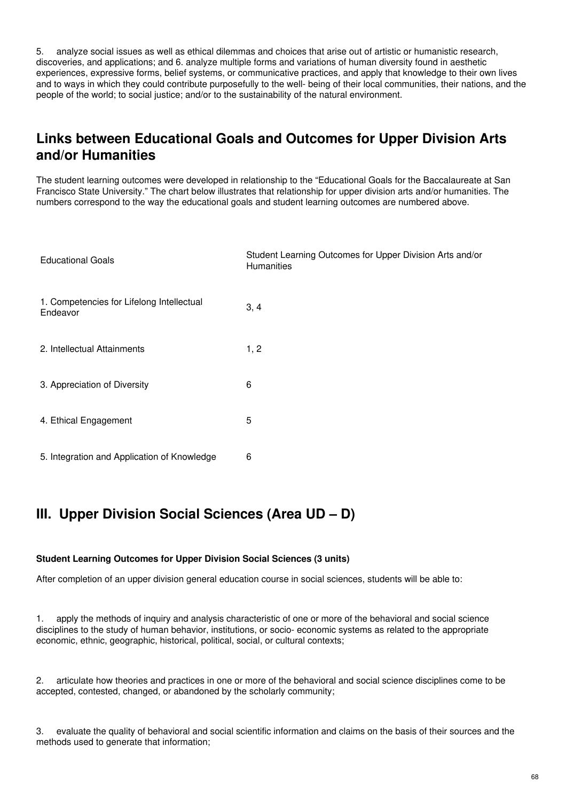5. analyze social issues as well as ethical dilemmas and choices that arise out of artistic or humanistic research, discoveries, and applications; and 6. analyze multiple forms and variations of human diversity found in aesthetic experiences, expressive forms, belief systems, or communicative practices, and apply that knowledge to their own lives and to ways in which they could contribute purposefully to the well- being of their local communities, their nations, and the people of the world; to social justice; and/or to the sustainability of the natural environment.

# **Links between Educational Goals and Outcomes for Upper Division Arts and/or Humanities**

The student learning outcomes were developed in relationship to the "Educational Goals for the Baccalaureate at San Francisco State University." The chart below illustrates that relationship for upper division arts and/or humanities. The numbers correspond to the way the educational goals and student learning outcomes are numbered above.

| <b>Educational Goals</b>                              | Student Learning Outcomes for Upper Division Arts and/or<br><b>Humanities</b> |
|-------------------------------------------------------|-------------------------------------------------------------------------------|
| 1. Competencies for Lifelong Intellectual<br>Endeavor | 3, 4                                                                          |
| 2. Intellectual Attainments                           | 1, 2                                                                          |
| 3. Appreciation of Diversity                          | 6                                                                             |
| 4. Ethical Engagement                                 | 5                                                                             |
| 5. Integration and Application of Knowledge           | 6                                                                             |

# **III. Upper Division Social Sciences (Area UD – D)**

#### **Student Learning Outcomes for Upper Division Social Sciences (3 units)**

After completion of an upper division general education course in social sciences, students will be able to:

1. apply the methods of inquiry and analysis characteristic of one or more of the behavioral and social science disciplines to the study of human behavior, institutions, or socio- economic systems as related to the appropriate economic, ethnic, geographic, historical, political, social, or cultural contexts;

2. articulate how theories and practices in one or more of the behavioral and social science disciplines come to be accepted, contested, changed, or abandoned by the scholarly community;

3. evaluate the quality of behavioral and social scientific information and claims on the basis of their sources and the methods used to generate that information;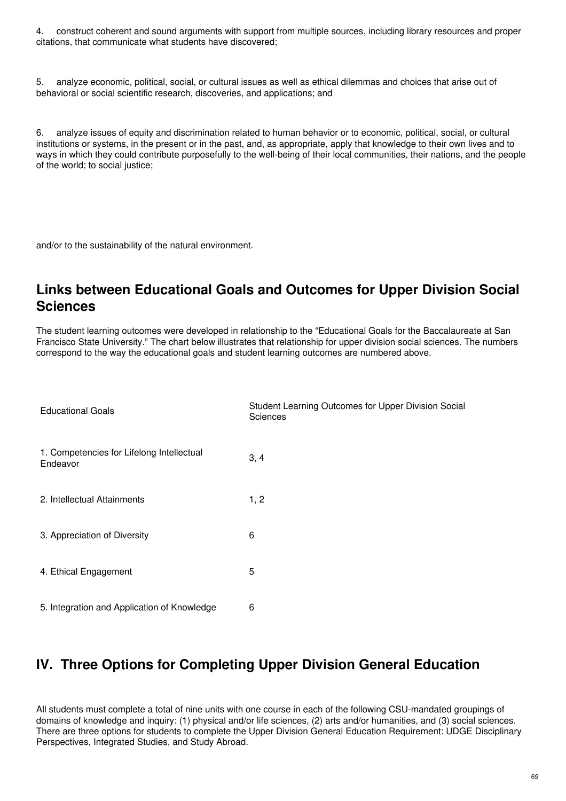4. construct coherent and sound arguments with support from multiple sources, including library resources and proper citations, that communicate what students have discovered;

5. analyze economic, political, social, or cultural issues as well as ethical dilemmas and choices that arise out of behavioral or social scientific research, discoveries, and applications; and

6. analyze issues of equity and discrimination related to human behavior or to economic, political, social, or cultural institutions or systems, in the present or in the past, and, as appropriate, apply that knowledge to their own lives and to ways in which they could contribute purposefully to the well-being of their local communities, their nations, and the people of the world; to social justice;

and/or to the sustainability of the natural environment.

## **Links between Educational Goals and Outcomes for Upper Division Social Sciences**

The student learning outcomes were developed in relationship to the "Educational Goals for the Baccalaureate at San Francisco State University." The chart below illustrates that relationship for upper division social sciences. The numbers correspond to the way the educational goals and student learning outcomes are numbered above.

| <b>Educational Goals</b>                              | Student Learning Outcomes for Upper Division Social<br><b>Sciences</b> |
|-------------------------------------------------------|------------------------------------------------------------------------|
| 1. Competencies for Lifelong Intellectual<br>Endeavor | 3, 4                                                                   |
| 2. Intellectual Attainments                           | 1, 2                                                                   |
| 3. Appreciation of Diversity                          | 6                                                                      |
| 4. Ethical Engagement                                 | 5                                                                      |
| 5. Integration and Application of Knowledge           | 6                                                                      |

# **IV. Three Options for Completing Upper Division General Education**

All students must complete a total of nine units with one course in each of the following CSU-mandated groupings of domains of knowledge and inquiry: (1) physical and/or life sciences, (2) arts and/or humanities, and (3) social sciences. There are three options for students to complete the Upper Division General Education Requirement: UDGE Disciplinary Perspectives, Integrated Studies, and Study Abroad.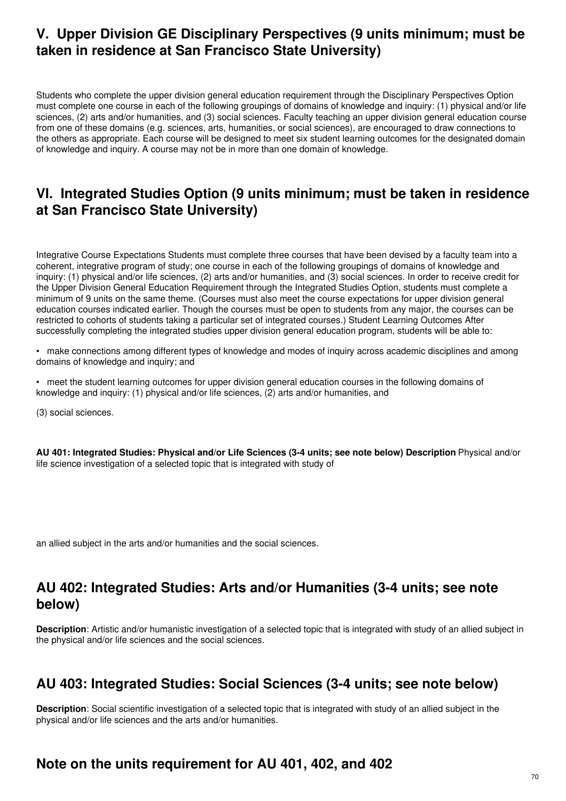## **V. Upper Division GE Disciplinary Perspectives (9 units minimum; must be taken in residence at San Francisco State University)**

Students who complete the upper division general education requirement through the Disciplinary Perspectives Option must complete one course in each of the following groupings of domains of knowledge and inquiry: (1) physical and/or life sciences, (2) arts and/or humanities, and (3) social sciences. Faculty teaching an upper division general education course from one of these domains (e.g. sciences, arts, humanities, or social sciences), are encouraged to draw connections to the others as appropriate. Each course will be designed to meet six student learning outcomes for the designated domain of knowledge and inquiry. A course may not be in more than one domain of knowledge.

#### **VI. Integrated Studies Option (9 units minimum; must be taken in residence at San Francisco State University)**

Integrative Course Expectations Students must complete three courses that have been devised by a faculty team into a coherent, integrative program of study; one course in each of the following groupings of domains of knowledge and inquiry: (1) physical and/or life sciences, (2) arts and/or humanities, and (3) social sciences. In order to receive credit for the Upper Division General Education Requirement through the Integrated Studies Option, students must complete a minimum of 9 units on the same theme. (Courses must also meet the course expectations for upper division general education courses indicated earlier. Though the courses must be open to students from any major, the courses can be restricted to cohorts of students taking a particular set of integrated courses.) Student Learning Outcomes After successfully completing the integrated studies upper division general education program, students will be able to:

• make connections among different types of knowledge and modes of inquiry across academic disciplines and among domains of knowledge and inquiry; and

• meet the student learning outcomes for upper division general education courses in the following domains of knowledge and inquiry: (1) physical and/or life sciences, (2) arts and/or humanities, and

(3) social sciences.

**AU 401: Integrated Studies: Physical and/or Life Sciences (3-4 units; see note below) Description**: Physical and/or life science investigation of a selected topic that is integrated with study of

an allied subject in the arts and/or humanities and the social sciences.

# **AU 402: Integrated Studies: Arts and/or Humanities (3-4 units; see note below)**

**Description**: Artistic and/or humanistic investigation of a selected topic that is integrated with study of an allied subject in the physical and/or life sciences and the social sciences.

#### **AU 403: Integrated Studies: Social Sciences (3-4 units; see note below)**

**Description**: Social scientific investigation of a selected topic that is integrated with study of an allied subject in the physical and/or life sciences and the arts and/or humanities.

#### **Note on the units requirement for AU 401, 402, and 402**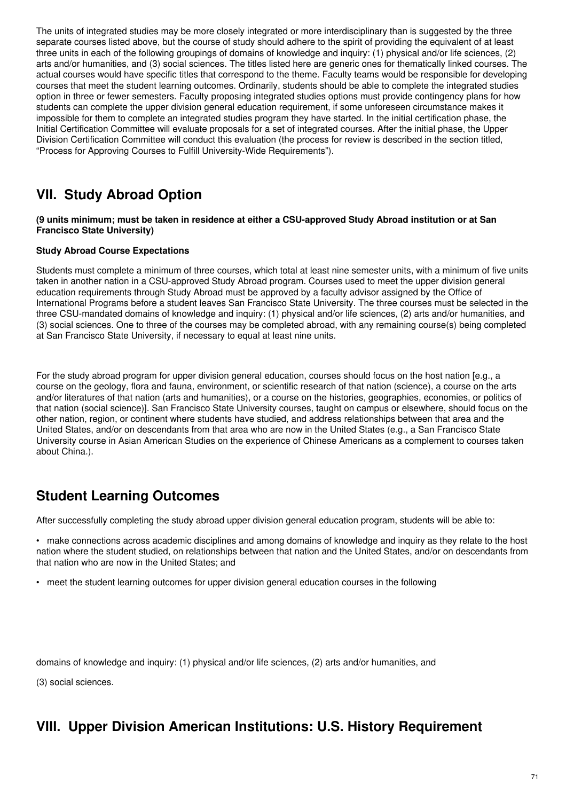The units of integrated studies may be more closely integrated or more interdisciplinary than is suggested by the three separate courses listed above, but the course of study should adhere to the spirit of providing the equivalent of at least three units in each of the following groupings of domains of knowledge and inquiry: (1) physical and/or life sciences, (2) arts and/or humanities, and (3) social sciences. The titles listed here are generic ones for thematically linked courses. The actual courses would have specific titles that correspond to the theme. Faculty teams would be responsible for developing courses that meet the student learning outcomes. Ordinarily, students should be able to complete the integrated studies option in three or fewer semesters. Faculty proposing integrated studies options must provide contingency plans for how students can complete the upper division general education requirement, if some unforeseen circumstance makes it impossible for them to complete an integrated studies program they have started. In the initial certification phase, the Initial Certification Committee will evaluate proposals for a set of integrated courses. After the initial phase, the Upper Division Certification Committee will conduct this evaluation (the process for review is described in the section titled, "Process for Approving Courses to Fulfill University-Wide Requirements").

# **VII. Study Abroad Option**

#### (9 units minimum; must be taken in residence at either a CSU-approved Study Abroad institution or at San **Francisco State University)**

#### **Study Abroad Course Expectations**

Students must complete a minimum of three courses, which total at least nine semester units, with a minimum of five units taken in another nation in a CSU-approved Study Abroad program. Courses used to meet the upper division general education requirements through Study Abroad must be approved by a faculty advisor assigned by the Office of International Programs before a student leaves San Francisco State University. The three courses must be selected in the three CSU-mandated domains of knowledge and inquiry: (1) physical and/or life sciences, (2) arts and/or humanities, and (3) social sciences. One to three of the courses may be completed abroad, with any remaining course(s) being completed at San Francisco State University, if necessary to equal at least nine units.

For the study abroad program for upper division general education, courses should focus on the host nation [e.g., a course on the geology, flora and fauna, environment, or scientific research of that nation (science), a course on the arts and/or literatures of that nation (arts and humanities), or a course on the histories, geographies, economies, or politics of that nation (social science)]. San Francisco State University courses, taught on campus or elsewhere, should focus on the other nation, region, or continent where students have studied, and address relationships between that area and the United States, and/or on descendants from that area who are now in the United States (e.g., a San Francisco State University course in Asian American Studies on the experience of Chinese Americans as a complement to courses taken about China.).

# **Student Learning Outcomes**

After successfully completing the study abroad upper division general education program, students will be able to:

• make connections across academic disciplines and among domains of knowledge and inquiry as they relate to the host nation where the student studied, on relationships between that nation and the United States, and/or on descendants from that nation who are now in the United States; and

• meet the student learning outcomes for upper division general education courses in the following

domains of knowledge and inquiry: (1) physical and/or life sciences, (2) arts and/or humanities, and

(3) social sciences.

# **VIII. Upper Division American Institutions: U.S. History Requirement**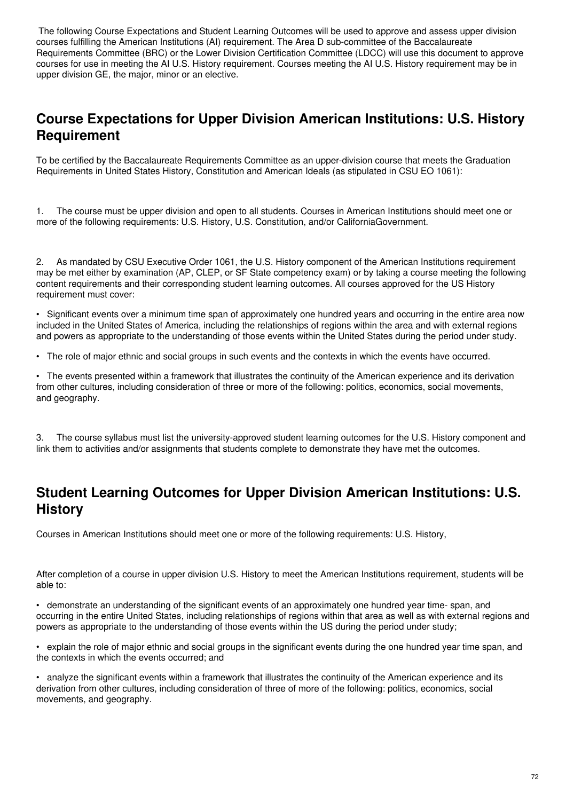The following Course Expectations and Student Learning Outcomes will be used to approve and assess upper division courses fulfilling the American Institutions (AI) requirement. The Area D sub-committee of the Baccalaureate Requirements Committee (BRC) or the Lower Division Certification Committee (LDCC) will use this document to approve courses for use in meeting the AI U.S. History requirement. Courses meeting the AI U.S. History requirement may be in upper division GE, the major, minor or an elective.

# **Course Expectations for Upper Division American Institutions: U.S. History Requirement**

To be certified by the Baccalaureate Requirements Committee as an upper-division course that meets the Graduation Requirements in United States History, Constitution and American Ideals (as stipulated in CSU EO 1061):

1. The course must be upper division and open to all students. Courses in American Institutions should meet one or more of the following requirements: U.S. History, U.S. Constitution, and/or CaliforniaGovernment.

2. As mandated by CSU Executive Order 1061, the U.S. History component of the American Institutions requirement may be met either by examination (AP, CLEP, or SF State competency exam) or by taking a course meeting the following content requirements and their corresponding student learning outcomes. All courses approved for the US History requirement must cover:

• Significant events over a minimum time span of approximately one hundred years and occurring in the entire area now included in the United States of America, including the relationships of regions within the area and with external regions and powers as appropriate to the understanding of those events within the United States during the period under study.

• The role of major ethnic and social groups in such events and the contexts in which the events have occurred.

• The events presented within a framework that illustrates the continuity of the American experience and its derivation from other cultures, including consideration of three or more of the following: politics, economics, social movements, and geography.

3. The course syllabus must list the university-approved student learning outcomes for the U.S. History component and link them to activities and/or assignments that students complete to demonstrate they have met the outcomes.

## **Student Learning Outcomes for Upper Division American Institutions: U.S. History**

Courses in American Institutions should meet one or more of the following requirements: U.S. History,

After completion of a course in upper division U.S. History to meet the American Institutions requirement, students will be able to:

• demonstrate an understanding of the significant events of an approximately one hundred year time- span, and occurring in the entire United States, including relationships of regions within that area as well as with external regions and powers as appropriate to the understanding of those events within the US during the period under study;

• explain the role of major ethnic and social groups in the significant events during the one hundred year time span, and the contexts in which the events occurred; and

• analyze the significant events within a framework that illustrates the continuity of the American experience and its derivation from other cultures, including consideration of three of more of the following: politics, economics, social movements, and geography.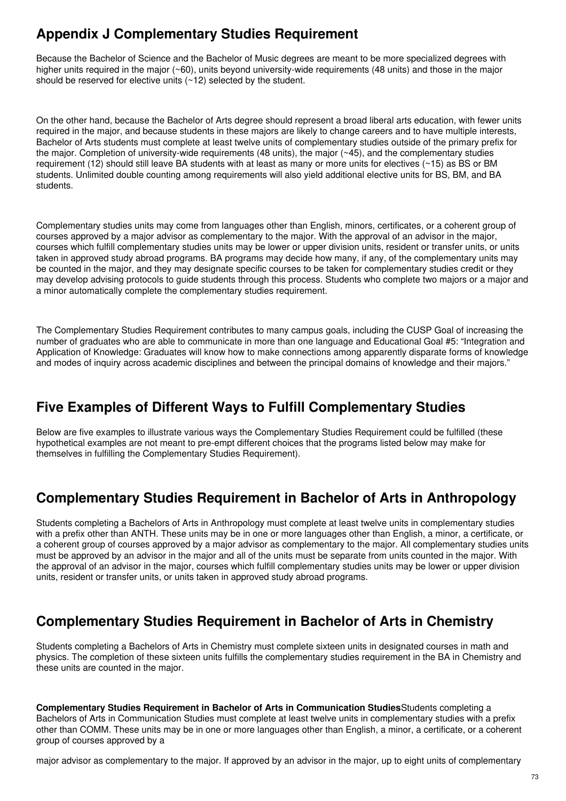# **Appendix J Complementary Studies Requirement**

Because the Bachelor of Science and the Bachelor of Music degrees are meant to be more specialized degrees with higher units required in the major (~60), units beyond university-wide requirements (48 units) and those in the major should be reserved for elective units (~12) selected by the student.

On the other hand, because the Bachelor of Arts degree should represent a broad liberal arts education, with fewer units required in the major, and because students in these majors are likely to change careers and to have multiple interests, Bachelor of Arts students must complete at least twelve units of complementary studies outside of the primary prefix for the major. Completion of university-wide requirements (48 units), the major  $(\sim 45)$ , and the complementary studies requirement (12) should still leave BA students with at least as many or more units for electives (~15) as BS or BM students. Unlimited double counting among requirements will also yield additional elective units for BS, BM, and BA students.

Complementary studies units may come from languages other than English, minors, certificates, or a coherent group of courses approved by a major advisor as complementary to the major. With the approval of an advisor in the major, courses which fulfill complementary studies units may be lower or upper division units, resident or transfer units, or units taken in approved study abroad programs. BA programs may decide how many, if any, of the complementary units may be counted in the major, and they may designate specific courses to be taken for complementary studies credit or they may develop advising protocols to guide students through this process. Students who complete two majors or a major and a minor automatically complete the complementary studies requirement.

The Complementary Studies Requirement contributes to many campus goals, including the CUSP Goal of increasing the number of graduates who are able to communicate in more than one language and Educational Goal #5: "Integration and Application of Knowledge: Graduates will know how to make connections among apparently disparate forms of knowledge and modes of inquiry across academic disciplines and between the principal domains of knowledge and their majors."

## **Five Examples of Different Ways to Fulfill Complementary Studies**

Below are five examples to illustrate various ways the Complementary Studies Requirement could be fulfilled (these hypothetical examples are not meant to pre-empt different choices that the programs listed below may make for themselves in fulfilling the Complementary Studies Requirement).

# **Complementary Studies Requirement in Bachelor of Arts in Anthropology**

Students completing a Bachelors of Arts in Anthropology must complete at least twelve units in complementary studies with a prefix other than ANTH. These units may be in one or more languages other than English, a minor, a certificate, or a coherent group of courses approved by a major advisor as complementary to the major. All complementary studies units must be approved by an advisor in the major and all of the units must be separate from units counted in the major. With the approval of an advisor in the major, courses which fulfill complementary studies units may be lower or upper division units, resident or transfer units, or units taken in approved study abroad programs.

## **Complementary Studies Requirement in Bachelor of Arts in Chemistry**

Students completing a Bachelors of Arts in Chemistry must complete sixteen units in designated courses in math and physics. The completion of these sixteen units fulfills the complementary studies requirement in the BA in Chemistry and these units are counted in the major.

**Complementary Studies Requirement in Bachelor of Arts in Communication Studies**Students completing a Bachelors of Arts in Communication Studies must complete at least twelve units in complementary studies with a prefix other than COMM. These units may be in one or more languages other than English, a minor, a certificate, or a coherent group of courses approved by a

major advisor as complementary to the major. If approved by an advisor in the major, up to eight units of complementary